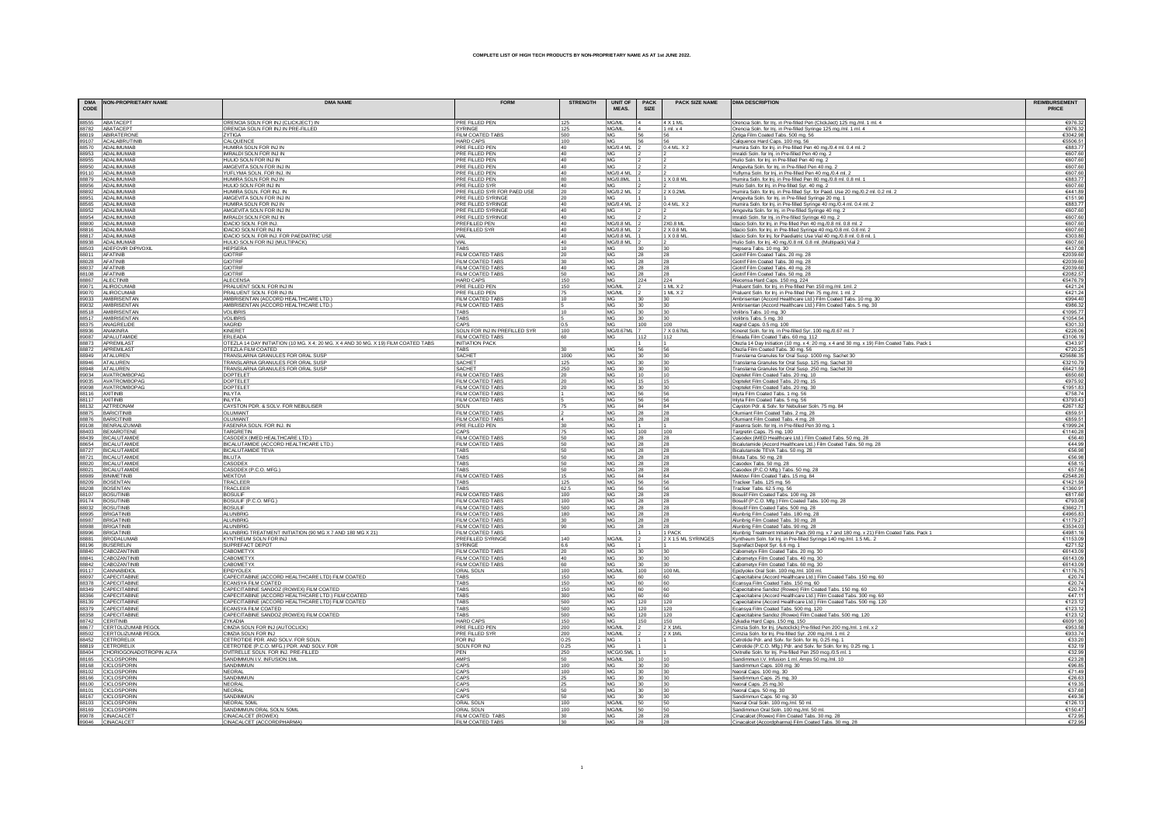| CODE | DMA NON-PROPRIETARY NAME                                                                                                                                                                                                                                                                                                                         | <b>DMA NAME</b>                                                                    | <b>FORM</b>                                        | <b>STRENGTH</b> | <b>UNIT OF</b><br><b>MEAS</b> | <b>PACK</b><br><b>SIZE</b> | <b>PACK SIZE NAME</b> | <b>DMA DESCRIPTION</b>                                                                                                                    | <b>REIMBURSEMENT</b><br><b>PRICE</b> |
|------|--------------------------------------------------------------------------------------------------------------------------------------------------------------------------------------------------------------------------------------------------------------------------------------------------------------------------------------------------|------------------------------------------------------------------------------------|----------------------------------------------------|-----------------|-------------------------------|----------------------------|-----------------------|-------------------------------------------------------------------------------------------------------------------------------------------|--------------------------------------|
|      |                                                                                                                                                                                                                                                                                                                                                  |                                                                                    |                                                    |                 |                               |                            |                       |                                                                                                                                           |                                      |
|      |                                                                                                                                                                                                                                                                                                                                                  | ORENCIA SOLN FOR INJ (CLICKJECT) IN                                                | PRE FILLED PEN<br>SYRING                           | 125             | MG/ML<br>MG/ML                |                            | 4 X 1 ML              | Orencia Soln. for Inj. in Pre-filled Pen (ClickJect) 125 mg/ml. 1 ml. 4                                                                   | €976.3                               |
|      |                                                                                                                                                                                                                                                                                                                                                  | ORENCIA SOLN FOR INJ IN PRE-FILLED<br>ZYTIGA                                       | FILM COATED TABS                                   | 125<br>500      | MG                            |                            | 1 ml. x 4<br>56       | Orencia Soln. for Inj. in Pre-filled Syringe 125 mg/ml. 1 ml. 4<br>Zytiga Film Coated Tabs. 500 mg. 56                                    | €976.3<br>€3042.9                    |
|      |                                                                                                                                                                                                                                                                                                                                                  | CALQUENCE                                                                          | <b>HARD CAPS</b>                                   | 100             | MG                            |                            | 56                    | Calquence Hard Caps. 100 mg. 56                                                                                                           | €5506.5                              |
|      |                                                                                                                                                                                                                                                                                                                                                  | HUMIRA SOLN FOR INJ IN                                                             | PRE FILLED PEN                                     | 40              | <b>MG/0.4 ML</b>              |                            | $0.4$ ML. $X$ 2       | Humira Soln. for Inj. in Pre-filled Pen 40 mg/0.4 ml. 0.4 ml. 2                                                                           | €883.                                |
|      |                                                                                                                                                                                                                                                                                                                                                  | IMRALDI SOLN FOR INJ IN<br>HULIO SOLN FOR INJ IN                                   | PRE FILLED PEN<br>PRE FILLED PEN                   | 40<br>40        | MG <sub></sub><br>MG          |                            |                       | Imraldi Soln. for Inj. in Pre-filled Pen 40 mg. 2<br>Hulio Soln. for Inj. in Pre-filled Pen 40 mg. 2                                      | €607.6<br>€607.6                     |
|      |                                                                                                                                                                                                                                                                                                                                                  | AMGEVITA SOLN FOR INJ IN                                                           | <b>PRE FILLED PEN</b>                              | 40              | MG                            |                            |                       | Amgevita Soln. for Inj. in Pre-filled Pen 40 mg. 2                                                                                        | €607.6                               |
|      |                                                                                                                                                                                                                                                                                                                                                  | YUFLYMA SOLN. FOR INJ. IN                                                          | PRE FILLED PEN                                     | 40              | MG/0.4 ML                     |                            |                       | Yuflyma Soln. for Inj. in Pre-filled Pen 40 mg./0.4 ml. 2                                                                                 | €607.6                               |
|      |                                                                                                                                                                                                                                                                                                                                                  | HUMIRA SOLN FOR INJ IN<br>HULIO SOLN FOR INJ IN                                    | PRE FILLED PEN<br><b>PRE FILLED SYP</b>            | 80              | <b>MG/0.8ML</b><br><b>MG</b>  |                            | $1 \times 0.8$ ML     | Humira Soln. for Inj. in Pre-filled Pen 80 mg./0.8 ml. 0.8 ml. 1                                                                          | €883.7<br>€607.6                     |
|      |                                                                                                                                                                                                                                                                                                                                                  | HUMIRA SOLN. FOR INJ. IN                                                           | PRE FILLED SYR FOR PAED USE                        | 40<br>20        | MG/0.2 ML                     |                            | 2 X 0.2ML             | Hulio Soln. for Inj. in Pre-filled Syr. 40 mg. 2                                                                                          | €441.8                               |
|      |                                                                                                                                                                                                                                                                                                                                                  | AMGEVITA SOLN FOR INJ IN                                                           | PRE FILLED SYRINGE                                 | 20              | <b>MG</b>                     |                            |                       | Humira Soln. for Inj. in Pre-filled Syr. for Paed. Use 20 mg./0.2 ml. 0.2 ml. 2<br>Amgevita Soln. for Inj. in Pre-filled Syringe 20 mg. 1 | €151.9                               |
|      |                                                                                                                                                                                                                                                                                                                                                  | HUMIRA SOLN FOR INJ IN<br>AMGEVITA SOLN FOR INJ IN                                 | <b>PRE FILLED SYRINGE</b><br>PRE FILLED SYRINGE    | 40<br>40        | MG/0.4 ML                     |                            | 0.4 ML. X 2           | Humira Soln. for lnj. in Pre-filled Syringe 40 mg/0.4 ml. 0.4 ml. 2<br>Amgevita Soln. for lnj. in Pre-filled Syringe 40 mg. 2             | €883.7<br>€607.6                     |
|      |                                                                                                                                                                                                                                                                                                                                                  | IMRALDI SOLN FOR INJ IN                                                            | PRE FILLED SYRINGE                                 | 40              | <b>MG</b><br><b>MG</b>        |                            |                       | Imraldi Soln. for Inj. in Pre-filled Syringe 40 mg. 2                                                                                     | €607.6                               |
|      |                                                                                                                                                                                                                                                                                                                                                  | IDACIO SOLN. FOR INJ.                                                              | PREFILLED PEN                                      | 40              | <b>MG/0.8 ML</b>              |                            | 2X0.8 ML              | Idacio Soln. for Inj. in Pre-filled Pen 40 mg./0.8 ml. 0.8 ml. 2                                                                          | €607.6                               |
|      |                                                                                                                                                                                                                                                                                                                                                  | <b>IDACIO SOLN FOR INJ IN</b>                                                      | PREFILLED SYR                                      | 40              | <b>MG/0.8 ML</b>              |                            | 2 X 0.8 M             | Idacio Soln. for Inj. in Pre-filled Syringe 40 mg./0.8 ml. 0.8 ml. 2                                                                      | €607.6                               |
|      |                                                                                                                                                                                                                                                                                                                                                  | IDACIO SOLN. FOR INJ. FOR PAEDIATRIC USE                                           | <b>VIAL</b><br><b>VIAL</b>                         | 40<br>40        | MG/0.8 ML<br>MG/0.8 ML        |                            | 1 X 0.8 M             | Idacio Soln. for Inj. for Paediatric Use Vial 40 mg./0.8 ml. 0.8 ml. 1<br>Hulio Soln. for Inj. 40 mg/0.8 ml. 0.8 ml. (Multipack) Vial 2   | €303.8<br>€607.6                     |
|      |                                                                                                                                                                                                                                                                                                                                                  | HULIO SOLN FOR INJ (MULTIPACK)<br><b>HEPSERA</b>                                   | <b>TABS</b>                                        | 10              | <b>MG</b>                     | 130                        | 30                    | Hepsera Tabs. 10 mg. 30                                                                                                                   | €437.0                               |
|      |                                                                                                                                                                                                                                                                                                                                                  | <b>GIOTRIF</b>                                                                     | <b>FILM COATED TABS</b>                            | 20              | MG                            | 28                         | 28                    | Giotrif Film Coated Tabs. 20 mg. 28                                                                                                       | €2039.6                              |
|      |                                                                                                                                                                                                                                                                                                                                                  | <b>GIOTRIF</b>                                                                     | <b>FILM COATED TABS</b>                            | 30              | MG                            | 28                         | 28                    | Giotrif Film Coated Tabs. 30 mg. 28                                                                                                       | €2039.6                              |
|      |                                                                                                                                                                                                                                                                                                                                                  | <b>GIOTRIF</b><br><b>GIOTRIF</b>                                                   | <b>FILM COATED TABS</b><br><b>FILM COATED TABS</b> | 40<br>50        | MG <sub></sub><br><b>MG</b>   | 28<br>28                   | 28<br>28              | Giotrif Film Coated Tabs. 40 mg. 28<br>Giotrif Film Coated Tabs. 50 mg. 28                                                                | €2039.6<br>€2082.5                   |
|      |                                                                                                                                                                                                                                                                                                                                                  | <b>ALECENSA</b>                                                                    | HARD CAPS<br>PRE FILLED PEN                        | 150             | <b>MG</b>                     | 224                        | 224                   | Alecensa Hard Caps. 150 mg. 224                                                                                                           | €5476.7                              |
|      |                                                                                                                                                                                                                                                                                                                                                  | PRALUENT SOLN. FOR INJ IN                                                          |                                                    | 150             | MG/ML                         |                            | 1 ML X 2              | Praluent Soln. for Inj. in Pre-filled Pen 150 mg./ml. 1ml. 2                                                                              | €421.2                               |
|      |                                                                                                                                                                                                                                                                                                                                                  |                                                                                    | <b>PRE FILLED PEN</b>                              | 75              | <b>MG/ML</b><br>MG            | 30                         | 1 ML X 2              | Praluent Soln. for Inj. in Pre-filled Pen 75 mg./ml. 1 ml. 2                                                                              | €421.2<br>€994.4                     |
|      |                                                                                                                                                                                                                                                                                                                                                  | AMBRISENTAN (ACCORD HEALTHCARE LTD.)<br>AMBRISENTAN (ACCORD HEALTHCARE LTD.)       | FILM COATED TABS<br>FILM COATED TABS               | 10              | MG                            | 30                         | 30<br>30              | Ambrisentan (Accord Healthcare Ltd.) Film Coated Tabs. 10 mg. 30<br>Ambrisentan (Accord Healthcare Ltd.) Film Coated Tabs. 5 mg. 30       | €986.3                               |
|      |                                                                                                                                                                                                                                                                                                                                                  | VOLIBRIS                                                                           | <b>TABS</b>                                        | 10              | MG                            | 30                         | 30                    | Volibris Tabs. 10 mg. 30                                                                                                                  | €1095.7                              |
|      |                                                                                                                                                                                                                                                                                                                                                  | <b>VOLIBRIS</b>                                                                    | <b>TABS</b>                                        |                 | MG                            | 30                         | 30                    | Volibris Tabs. 5 mg. 30                                                                                                                   | €1054.5                              |
|      |                                                                                                                                                                                                                                                                                                                                                  | <b>XAGRID</b><br><b>KINFRET</b>                                                    | CAPS<br><b>SOLN FOR INJ IN PREFILLED SYR</b>       | 0.5<br>100      | MG<br><b>MG/0 67ML 7</b>      | 100                        | 100<br>7 X 0.67M      | Xagrid Caps. 0.5 mg. 100<br>Kineret Soln. for Inj. in Pre-filled Syr. 100 mg./0.67 ml. 7                                                  | €301∶<br>€226.0                      |
|      |                                                                                                                                                                                                                                                                                                                                                  | <b>ERLEADA</b>                                                                     | FILM COATED TABS                                   | 60              | MG                            | 112                        | 112                   | Erleada Film Coated Tabs. 60 mg. 112                                                                                                      | €3106.1                              |
|      |                                                                                                                                                                                                                                                                                                                                                  | OTEZLA 14 DAY INITIATION (10 MG. X 4; 20 MG. X 4 AND 30 MG. X 19) FILM COATED TABS | <b>INITIATION PACK</b>                             |                 |                               |                            |                       | Otezla 14 Day Initiation (10 mg. x 4; 20 mg. x 4 and 30 mg. x 19) Film Coated Tabs. Pack 1                                                | €343.9                               |
|      |                                                                                                                                                                                                                                                                                                                                                  | OTEZLA FILM COATED                                                                 | TABS                                               | 30              | MG                            | 56                         | 56                    | Otezla Film Coated Tabs. 30 mg. 56                                                                                                        | €720.2                               |
|      |                                                                                                                                                                                                                                                                                                                                                  | TRANSLARNA GRANULES FOR ORAL SUSP<br>TRANSLARNA GRANULES FOR ORAL SUSP             | SACHE <sub>1</sub><br>SACHE <sup>®</sup>           | 1000<br>125     | MG<br>MG                      | 30<br>30                   | 30<br> 30             | Translarna Granules for Oral Susp. 1000 mg. Sachet 30<br>Translarna Granules for Oral Susp. 125 mg. Sachet 30                             | €25686.3<br>€3210.7                  |
|      |                                                                                                                                                                                                                                                                                                                                                  | TRANSLARNA GRANULES FOR ORAL SUSP                                                  | SACHE <sup>®</sup>                                 | 250             | MG                            | 30                         | 130                   | Translarna Granules for Oral Susp. 250 mg. Sachet 30                                                                                      | €6421.                               |
|      |                                                                                                                                                                                                                                                                                                                                                  | <b>DOPTELET</b>                                                                    | FILM COATED TABS                                   | 20              | MG                            | 10                         | 10                    | Doptelet Film Coated Tabs. 20 mg. 10                                                                                                      | €650.6                               |
|      | 89035 AVATROMBOPAG<br>89098 AVATROMBOPAG                                                                                                                                                                                                                                                                                                         | DOPTELET                                                                           | FILM COATED TABS                                   | 20              | MG                            | 15                         | 15                    | Doptelet Film Coated Tabs. 20 mg. 15                                                                                                      | €975.9                               |
|      |                                                                                                                                                                                                                                                                                                                                                  | DOPTELET<br><b>INLYTA</b>                                                          | FILM COATED TABS<br>FILM COATED TABS               |                 | MG<br>MG                      | 30<br>56                   | 30<br>56              | Doptelet Film Coated Tabs. 20 mg. 30<br>Inlyta Film Coated Tabs. 1 mg. 56                                                                 | €1951.8<br>€758.7                    |
|      |                                                                                                                                                                                                                                                                                                                                                  | INI VTA                                                                            | FILM COATED TABS                                   |                 | MG                            |                            | 56                    | Inlyta Film Coated Tabs. 5 mg. 56                                                                                                         | €3793.4                              |
|      | 88116 AXITINIB<br>88117 AXITINIB<br>88132 AZTREONAM                                                                                                                                                                                                                                                                                              | CAYSTON PDR. & SOLV. FOR NEBULISER                                                 | SOLN <sub></sub>                                   |                 | MG                            | 84                         | 84                    | Cayston Pdr. & Solv. for Nebuliser Soln. 75 mg. 84                                                                                        | €2671.8                              |
|      | 88875 BARICITINIB                                                                                                                                                                                                                                                                                                                                | OLUMIANT<br><b>OLUMIANT</b>                                                        | FILM COATED TABS                                   |                 | MG                            | 28<br>28                   | 28<br>28              | Olumiant Film Coated Tabs. 2 mg. 28                                                                                                       | €859.5<br>€859.                      |
|      | 88876 BARICITINIB<br>89108 BENRALIZUMAE                                                                                                                                                                                                                                                                                                          | FASENRA SOLN. FOR INJ. IN                                                          | FILM COATED TABS<br>PRE FILLED PEN                 | 30              | MG<br>MG                      |                            |                       | Olumiant Film Coated Tabs. 4 mg. 28<br>Fasenra Soln. for Inj. in Pre-filled Pen 30 mg. 1                                                  | €1999.2                              |
|      | 88403 BEXAROTENE<br>88439 BICALUTAMIDE<br>88654 BICALUTAMIDE<br>88727 BICALUTAMIDE                                                                                                                                                                                                                                                               | TARGRETIN                                                                          | CAPS                                               | 75              | MG                            | 100                        | 100                   | Targretin Caps. 75 mg. 100                                                                                                                | €1140.2                              |
|      |                                                                                                                                                                                                                                                                                                                                                  | CASODEX (IMED HEALTHCARE LTD.)                                                     | FILM COATED TABS                                   | 50              | MG                            |                            |                       | Casodex (iMED Healthcare Ltd.) Film Coated Tabs. 50 mg. 28                                                                                | €56.4                                |
|      |                                                                                                                                                                                                                                                                                                                                                  | BICALUTAMIDE (ACCORD HEALTHCARE LTD.)<br><b>BICALUTAMIDE TEVA</b>                  | <b>FILM COATED TABS</b><br>TABS                    | 50<br>50        | MG<br>MG                      | 28<br>28                   | 28<br>28              | Bicalutamide (Accord Healthcare Ltd.) Film Coated Tabs. 50 mg. 28                                                                         | €44.9<br>€56.9                       |
|      | 88721 BICALUTAMIDE                                                                                                                                                                                                                                                                                                                               | <b>BILUTA</b>                                                                      | TABS                                               | 50              | MG                            | 28                         | 28                    | Bicalutamide TEVA Tabs. 50 mg. 28<br>Biluta Tabs. 50 mg. 28                                                                               | €56.9                                |
|      | 88020 BICALUTAMIDI                                                                                                                                                                                                                                                                                                                               | CASODE)                                                                            | TABS                                               | 50              | MG                            | 28                         | 28                    | Casodex Tabs. 50 mg. 28                                                                                                                   | €58.1                                |
|      | 88021 BICALUTAMIDI                                                                                                                                                                                                                                                                                                                               | CASODEX (P.C.O. MFG.)<br><b>MEKTOVI</b>                                            | TABS                                               | 50              | MG                            | 28                         | 28                    | Casodex (P.C.O Mfg.) Tabs. 50 mg. 28                                                                                                      | €57.5                                |
|      |                                                                                                                                                                                                                                                                                                                                                  | TRACLEE                                                                            | FILM COATED TABS<br><b>TABS</b>                    | 15<br>125       | MG<br>MG                      | 84<br>56                   | 84<br>56              | Mektovi Film Coated Tabs. 15 mg. 84<br>Tracleer Tabs. 125 mg. 56                                                                          | €2548.2<br>€1421.5                   |
|      |                                                                                                                                                                                                                                                                                                                                                  | TRACLEER                                                                           | <b>TABS</b>                                        | 62.5            | MG                            | 56                         | 56                    | Tracleer Tabs. 62.5 mg. 56                                                                                                                | €1360.9                              |
|      |                                                                                                                                                                                                                                                                                                                                                  | <b>BOSULIF</b>                                                                     | FILM COATED TABS                                   | 100             | MG                            | 28                         | 28                    | Bosulif Film Coated Tabs. 100 mg. 28                                                                                                      | €817.6                               |
|      |                                                                                                                                                                                                                                                                                                                                                  | BOSULIF (P.C.O. MFG.)                                                              | FILM COATED TABS                                   | 100             | MG                            | 28                         | 28                    | Bosulif (P.C.O. Mfg.) Film Coated Tabs. 100 mg. 28                                                                                        | €793.0                               |
|      | $\begin{tabular}{c c c} \hline 892021 & \hline 80201 & \hline 9021 & \hline 90201 & \hline 90201 & \hline 90200 & \hline 90808 & \hline 90808 & \hline 90808 & \hline 90808 & \hline 90808 & \hline 90808 & \hline 908817 & \hline 90803 & \hline 908817 & \hline 90803 & \hline 908817 & \hline 90803 & \hline 90807 & \hline 90807 & \hline 9$ | <b>BOSULIF</b><br>ALUNBRIO                                                         | FILM COATED TABS<br>FILM COATED TABS               | 500<br>180      | MG<br>MG                      | 28<br>28                   | 28<br>28              | Bosulif Film Coated Tabs. 500 mg. 28<br>Alunbrig Film Coated Tabs. 180 mg. 28                                                             | €3662.7<br>€4965.8                   |
|      |                                                                                                                                                                                                                                                                                                                                                  | <b>ALUNBRIG</b>                                                                    | <b>FILM COATED TABS</b>                            | 30              | MG                            |                            | 28                    | Alunbrig Film Coated Tabs. 30 mg. 28                                                                                                      | €1179.2                              |
|      |                                                                                                                                                                                                                                                                                                                                                  | ALUNBRIG                                                                           | FILM COATED TABS                                   | 90              | MG                            | 28                         | 28                    | Alunbrig Film Coated Tabs. 90 mg. 28<br>Alunbrig Treatment Initiation Pack (90 mg. x 7 and 180 mg. x 21) Film Coated Tabs. Pack 1         | €3534.0                              |
|      |                                                                                                                                                                                                                                                                                                                                                  | ALUNBRIG TREATMENT INITIATION (90 MG X 7 AND 180 MG X 21)<br>KYNTHEUM SOLN FOR INJ | <b>FILM COATED TABS</b>                            |                 | MG/ML                         |                            | 1 PACK                |                                                                                                                                           | €4981.<br>€1153.0                    |
|      |                                                                                                                                                                                                                                                                                                                                                  | SUPREFACT DEPOT                                                                    | PREFILLED SYRINGE<br>SYRINGE                       | 140<br>6.6      | MG                            |                            | 2 X 1.5 ML SYRINGES   | Kyntheum Soln. for Inj. in Pre-filled Syringe 140 mg./ml. 1.5 ML. 2<br>Suprefact Depot Syr. 6.6 mg. 1                                     | €271.5                               |
|      |                                                                                                                                                                                                                                                                                                                                                  | <b>CABOMETYX</b>                                                                   | FILM COATED TABS                                   | 20              | MG                            | 30                         | 30                    | Cabometyx Film Coated Tabs. 20 mg. 30                                                                                                     | €6143.0                              |
|      |                                                                                                                                                                                                                                                                                                                                                  | CABOMETYX                                                                          | FILM COATED TABS                                   | 40              | MG                            |                            | 30                    | Cabometyx Film Coated Tabs. 40 mg. 30                                                                                                     | €6143.0                              |
|      |                                                                                                                                                                                                                                                                                                                                                  | <b>CABOMETYX</b><br>EPIDYOLEX                                                      | FILM COATED TABS<br><b>ORAL SOLN</b>               | 60<br>100       | MG<br>MG/M                    | 30<br>100                  | 130<br>100 ML         | Cabometyx Film Coated Tabs. 60 mg. 30<br>Epidyolex Oral Soln. 100 mg./ml. 100 ml.                                                         | €6143.0<br>€1176.7                   |
|      |                                                                                                                                                                                                                                                                                                                                                  | CAPECITABINE (ACCORD HEALTHCARE LTD) FILM COATED                                   | <b>TABS</b>                                        | 150             | MG                            | 60                         | 160                   |                                                                                                                                           | €20.7                                |
|      |                                                                                                                                                                                                                                                                                                                                                  | ECANSYA FILM COATED                                                                | <b>TABS</b>                                        | 150             | MG                            | 60                         | 160                   | Capecitabine (Accord Healthcare Ltd.) Film Coated Tabs. 150 mg. 60<br>Ecansya Film Coated Tabs. 150 mg. 60                                | €20.7                                |
|      |                                                                                                                                                                                                                                                                                                                                                  | CAPECITABINE SANDOZ (ROWEX) FILM COATED                                            | TARS                                               | 150             | MG                            | 60                         | 60                    | Capecitabine Sandoz (Rowex) Film Coated Tabs. 150 mg. 60                                                                                  | €20.7                                |
|      |                                                                                                                                                                                                                                                                                                                                                  | CAPECITABINE (ACCORD HEALTHCARE LTD.) FILM COATED                                  | TABS<br><b>TABS</b>                                | 300<br>500      | MG<br>MG                      | 60<br>120                  | 60                    | Capecitabine (Accord Healthcare Ltd.) Film Coated Tabs. 300 mg. 60                                                                        | €47.1<br>€123.1                      |
|      |                                                                                                                                                                                                                                                                                                                                                  | CAPECITABINE (ACCORD HEALTHCARE LTD) FILM COATED<br>ECANSYA FILM COATED            | <b>TABS</b>                                        | 500             | MG                            | 120                        | 120<br>120            | Capecitabine (Accord Healthcare Ltd.) Film Coated Tabs. 500 mg. 120<br>Ecansya Film Coated Tabs. 500 mg. 120                              | €123.1                               |
|      |                                                                                                                                                                                                                                                                                                                                                  | CAPECITABINE SANDOZ (ROWEX) FILM COATED                                            | <b>TABS</b>                                        | 500             | MG                            | 120                        | 120                   | Capecitabine Sandoz (Rowex) Film Coated Tabs. 500 mg. 120                                                                                 | €123.1                               |
|      |                                                                                                                                                                                                                                                                                                                                                  | ZYKADIA                                                                            | <b>HARD CAPS</b>                                   | 150             | <b>MG</b>                     | 150                        | 150                   | Zykadia Hard Caps. 150 mg. 150                                                                                                            | €6091.9                              |
|      |                                                                                                                                                                                                                                                                                                                                                  | CIMZIA SOLN FOR INJ (AUTOCLICK)<br>CIMZIA SOLN FOR INJ                             | <b>PRE FILLED PEN</b><br>PRE FILLED SYP            | 200<br>200      | MG/ML<br>MG/ML                |                            | $2$ X 1ML<br>2 X 1ML  | Cimzia Soln. for Inj. (Autoclick) Pre-filled Pen 200 mg./ml. 1 ml. x 2<br>Cimzia Soln. for Inj. Pre-filled Syr. 200 mg./ml. 1 ml. 2       | €953.5<br>€933.7                     |
|      |                                                                                                                                                                                                                                                                                                                                                  | CETROTIDE PDR. AND SOLV. FOR SOLN.                                                 | <b>FOR INJ</b>                                     | 0.25            | MG.                           |                            |                       | Cetrotide Pdr. and Solv. for Soln. for Inj. 0.25 mg. 1                                                                                    | €33.2                                |
|      |                                                                                                                                                                                                                                                                                                                                                  | CETROTIDE (P.C.O. MFG.) PDR. AND SOLV. FOR                                         | <b>SOLN FOR INJ</b>                                | 0.25            | <b>MG</b>                     |                            |                       | Cetrotide (P.C.O. Mfg.) Pdr. and Solv. for Soln. for Inj. 0.25 mg. 1                                                                      | €32.1                                |
|      |                                                                                                                                                                                                                                                                                                                                                  | OVITRELLE SOLN. FOR INJ. PRE-FILLED                                                | PFN                                                | 250             | MCG/0.5ML<br><b>MG/MI</b>     |                            |                       | Ovitrelle Soln. for Inj. Pre-filled Pen 250 mcg./0.5 ml. 1                                                                                | €32.9                                |
|      |                                                                                                                                                                                                                                                                                                                                                  | SANDIMMUN I.V. INFUSION 1ML<br>SANDIMMUN                                           | AMPS<br><b>CAPS</b>                                | 50<br>100       | MG                            | 110<br>30                  | 10<br> 30             | Sandimmun I.V. Infusion 1 ml. Amps 50 mg./ml. 10<br>Sandimmun Caps. 100 mg. 30                                                            | €23.2<br>€96.8                       |
|      |                                                                                                                                                                                                                                                                                                                                                  | NEORAL                                                                             | CAPS                                               | 100             | MG                            | 30                         | 30                    | Neoral Caps. 100 mg. 30                                                                                                                   | €71.4                                |
|      |                                                                                                                                                                                                                                                                                                                                                  | SANDIMMUN                                                                          | CAPS                                               | 25              | MG                            | 30                         | 30                    | Sandimmun Caps. 25 mg. 30                                                                                                                 | €26.6                                |
|      |                                                                                                                                                                                                                                                                                                                                                  | NEORAL<br>NEORAL                                                                   | CAPS<br>CAPS                                       | 25<br>50        | MG<br><b>MG</b>               | 30<br>30                   | 30                    | Neoral Caps. 25 mg.30                                                                                                                     | €19.3                                |
|      |                                                                                                                                                                                                                                                                                                                                                  | SANDIMMUN                                                                          | CAPS                                               | 50              | <b>MG</b>                     | 30                         | 30<br>30              | Neoral Caps. 50 mg. 30<br>Sandimmun Caps. 50 mg. 30                                                                                       | €37.6<br>€49.3                       |
|      |                                                                                                                                                                                                                                                                                                                                                  | NEORAL 50ML                                                                        | <b>ORAL SOLN</b>                                   | 100             | <b>MG/MI</b>                  | 50                         | 50                    | Neoral Oral Soln. 100 mg./ml. 50 ml.                                                                                                      | €126.1                               |
|      |                                                                                                                                                                                                                                                                                                                                                  | SANDIMMUN ORAL SOLN. 50ML                                                          | ORAL SOLN                                          | 100             | MG/ML                         | 50                         | 50                    | Sandimmun Oral Soln. 100 mg./ml. 50 ml.                                                                                                   | €150.4                               |
|      | 98349<br>98349<br>98388 CAPECITABINE<br>98379 CAPECITABINE<br>98379 CAPECITABINE<br>98379 CAPECITABINE<br>987742 CERTIOLIZIMAB PEGOL<br>986424 CERTIOLIZIMAB PEGOL<br>98424 CERTIOLIZIMAB PEGOL<br>98424 CERTIOLIZIMAB PEGOL<br>98424 CACOSPORIN<br>                                                                                             | CINACALCET (ROWEX)                                                                 | FILM COATED TABS                                   |                 | MG<br>MG                      | 28                         | 28                    | Cinacalcet (Rowex) Film Coated Tabs. 30 mg. 28                                                                                            | €72.9<br>£72.0                       |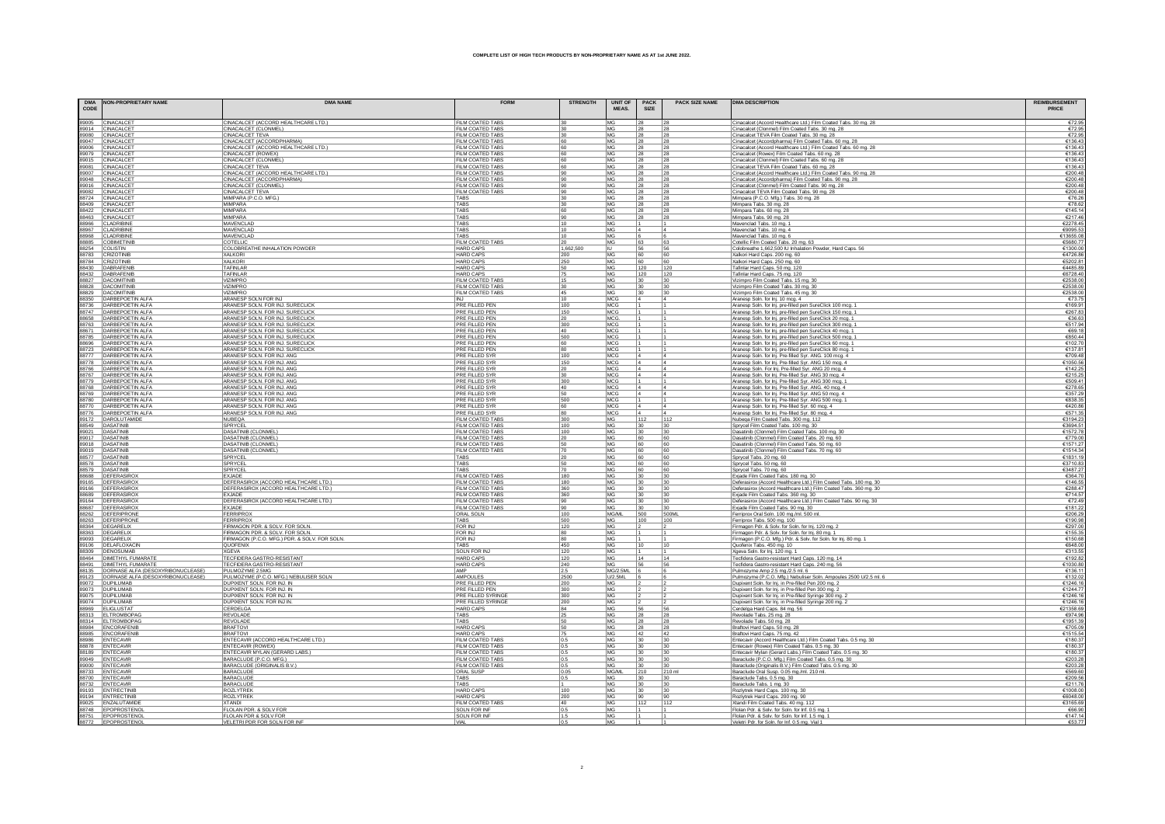| <b>DMA</b><br>CODE | <b>NON-PROPRIETARY NAME</b>                      | <b>DMA NAME</b>                                                      | <b>FORM</b>                               | <b>STRENGTH</b> | <b>UNIT OF</b><br>MEAS. | PACK<br><b>SIZE</b> | <b>PACK SIZE NAME</b> | <b>DMA DESCRIPTION</b>                                                                                                   | <b>REIMBURSEMENT</b><br>PRICE |
|--------------------|--------------------------------------------------|----------------------------------------------------------------------|-------------------------------------------|-----------------|-------------------------|---------------------|-----------------------|--------------------------------------------------------------------------------------------------------------------------|-------------------------------|
|                    | 89005 CINACALCET                                 | CINACALCET (ACCORD HEALTHCARE LTD.)                                  | FILM COATED TABS                          | 130             | MG                      | 128                 |                       | Cinacalcet (Accord Healthcare Ltd.) Film Coated Tabs. 30 mg. 28                                                          | $rac{672.9}{672.9}$           |
|                    | 89014 CINACALCET                                 | CINACALCET (CLONMEL)                                                 | FILM COATED TABS                          | 130             | MG                      | 28                  | 28                    | Cinacalcet (Clonmel) Film Coated Tabs. 30 mg. 28                                                                         |                               |
|                    | 89080 CINACALCET                                 | <b>CINACALCET TEVA</b>                                               | FILM COATED TABS                          | 30              | <b>MG</b>               | 28                  | 28                    | Cinacalcet TEVA Film Coated Tabs, 30 mg, 28                                                                              | €72.9                         |
|                    | 89047 CINACALCET                                 | CINACALCET (ACCORDPHARMA)                                            | FILM COATED TABS                          | 60              | MG                      | 28                  | 28                    | Cinacalcet (Accordpharma) Film Coated Tabs. 60 mg. 28                                                                    | €136.4                        |
|                    | 89006 CINACALCET                                 | CINACALCET (ACCORD HEALTHCARE LTD.)                                  | <b>FILM COATED TABS</b>                   | 60              | MG                      | 28                  | 28                    | Cinacalcet (Accord Healthcare Ltd.) Film Coated Tabs. 60 mg. 28                                                          | €136.4                        |
|                    | 89079 CINACALCET                                 | CINACALCET (ROWEX)                                                   | <b>FILM COATED TABS</b>                   | 60              | MG                      | 28                  | 28                    | Cinacalcet (Rowex) Film Coated Tabs. 60 mg. 28                                                                           | €136.4                        |
|                    | 89015 CINACALCE                                  | CINACALCET (CLONMEL)                                                 | <b>FILM COATED TABS</b>                   | 60              | MG                      | 28                  | 28                    | Cinacalcet (Clonmel) Film Coated Tabs. 60 mg. 28                                                                         | €136.4                        |
|                    | 89081 CINACALCE                                  | <b>CINACALCET TEVA</b>                                               | <b>FILM COATED TABS</b>                   | 60              | MG                      | 28                  | 28                    | Cinacalcet TEVA Film Coated Tabs. 60 mg. 28                                                                              | €136.4                        |
|                    | 89007 CINACALCE                                  | CINACALCET (ACCORD HEALTHCARE LTD.)                                  | <b>FILM COATED TABS</b>                   | 90              | MG                      | 28                  | 28                    | Cinacalcet (Accord Healthcare Ltd.) Film Coated Tabs. 90 mg. 28                                                          | €200.4                        |
|                    | 89048 CINACALCET                                 | CINACALCET (ACCORDPHARMA)                                            | FILM COATED TABS                          | 90              | MG                      | 28                  | 28                    | Cinacalcet (Accordpharma) Film Coated Tabs. 90 mg. 28                                                                    | €200.4                        |
|                    | 89016 CINACALCET                                 | CINACALCET (CLONMEL)                                                 | <b>FILM COATED TABS</b>                   | 90              | MG                      | 28                  | 28                    | Cinacalcet (Clonmel) Film Coated Tabs. 90 mg. 28                                                                         | €200.4                        |
|                    | 89082 CINACALCET                                 | <b>CINACALCET TEVA</b>                                               | <b>FILM COATED TABS</b><br><b>TARS</b>    | 90              | MG                      | 28                  | 28                    | Cinacalcet TEVA Film Coated Tabs. 90 mg. 28                                                                              | €200.4                        |
|                    | 88724 CINACALCET<br>88409 CINACALCET             | MIMPARA (P.C.O. MFG.)<br><b>MIMPARA</b>                              | <b>TARS</b>                               | 30<br>30        | MG<br>MG.               | 28<br>28            | 28<br>28              | Mimpara (P.C.O. Mfg.) Tabs. 30 mg. 28                                                                                    | €76.2<br>€78.6                |
|                    | 88422 CINACALCE                                  | MIMPARA                                                              | TABS                                      | 60              | MG                      |                     | 28                    | Mimpara Tabs. 30 mg. 28                                                                                                  | €145.1                        |
|                    | 88463 CINACALCET                                 | MIMPARA                                                              | <b>TABS</b>                               | 90              | MG                      | 28<br>28            | 28                    | Mimpara Tabs. 60 mg. 28                                                                                                  | €217.4                        |
|                    |                                                  |                                                                      | TABS                                      |                 |                         |                     |                       | Mimpara Tabs. 90 mg. 28                                                                                                  |                               |
|                    | 88966 CLADRIBINE<br>88967 CLADRIBINE             | MAVENCLAD<br>MAVENCLAD                                               | TABS                                      | 10<br>10        | MG<br>MG                | 14                  |                       | Mavenclad Tabs. 10 mg. 1<br>Mavenclad Tabs. 10 mg. 4                                                                     | €2278.4<br>€9095.5            |
|                    | 88968 CLADRIBIN                                  | MAVENCLAD                                                            | <b>TARS</b>                               | 10              | MG                      | 16                  |                       | Mavenclad Tabs. 10 mg. 6                                                                                                 | €13655.0                      |
|                    | 88885 COBIMETINI                                 | COTELLIC                                                             | <b>FILM COATED TABS</b>                   | 20              | MG                      | 63                  | 63                    | Cotellic Film Coated Tabs. 20 mg. 63                                                                                     | €5680.7                       |
| 88254 COLISTIN     |                                                  | COLOBREATHE INHALATION POWDER                                        | <b>HARD CAPS</b>                          | 1,662,500       | IU.                     | 56                  | 56                    | Colobreathe 1,662,500 IU Inhalation Powder, Hard Caps. 56                                                                | €1300.0                       |
|                    | 88783 CRIZOTINIE                                 | <b>XAI KORI</b>                                                      | <b>HARD CAPS</b>                          | 200             | MG                      | 60                  | 60                    | Xalkori Hard Caps. 200 mg. 60                                                                                            | €4726.8                       |
|                    | 88784 CRIZOTINIB                                 | XALKORI                                                              | <b>HARD CAPS</b>                          | 250             | MG                      | 60                  | 60                    | Xalkori Hard Caps. 250 mg. 60                                                                                            | €5202.8                       |
| 88430              | DABRAFENIE                                       | TAFINLAR                                                             | <b>HARD CAPS</b>                          | 50              | <b>MG</b>               | 120                 | 120                   | Tafinlar Hard Caps, 50 mg, 120                                                                                           | €4485.8                       |
|                    | 88432 DABRAFENIB                                 | TAFINLAR                                                             | <b>HARD CAPS</b>                          | 75              | MG                      | 120                 | 120                   | Tafinlar Hard Caps. 75 mg. 120                                                                                           | €6728.4                       |
|                    | 88827 DACOMITINIB                                | VIZIMPRO                                                             | FILM COATED TABS                          | 15              | MG                      | 30                  | 30                    | Vizimpro Film Coated Tabs. 15 mg. 30                                                                                     | €2538.0                       |
|                    | 88828 DACOMITINIB                                | <b>VIZIMPRC</b>                                                      | <b>FILM COATED TABS</b>                   | 30              | MG                      | 30                  | 30                    | Vizimpro Film Coated Tabs. 30 mg. 30                                                                                     | €2538.0                       |
|                    | 88829 DACOMITINIB                                | <b>VIZIMPRC</b>                                                      | <b>FILM COATED TABS</b>                   | 45              | MG                      | 30                  | 30                    | Vizimpro Film Coated Tabs. 45 mg. 30                                                                                     | €2538.                        |
|                    | 88350 DARBEPOETIN ALFA                           | ARANESP SOLN FOR INJ                                                 | <b>INJ</b>                                | 10              | MCC                     | 14                  |                       | Aranesp Soln. for Inj. 10 mcg. 4                                                                                         | €73.7                         |
| 88736              | DARBEPOETIN ALFA                                 | ARANESP SOLN. FOR INJ. SURECLICK                                     | PRE FILLED PEN                            | 100             | MCG                     |                     |                       | Aranesp Soln. for Inj. pre-filled pen SureClick 100 mcg. 1                                                               | €169.9                        |
|                    | 88747 DARBEPOETIN ALFA                           | ARANESP SOLN. FOR INJ. SURECLICK                                     | PRE FILLED PEN                            | 150             | MCG                     |                     |                       | Aranesp Soln. for Inj. pre-filled pen SureClick 150 mcg. 1                                                               | €267.8                        |
|                    | 88658 DARBEPOETIN ALFA                           | ARANESP SOLN. FOR INJ. SURECLICK                                     | PRE FILLED PEN                            | 20              | MCG                     |                     |                       | Aranesp Soln. for Inj. pre-filled pen SureClick 20 mcg. 1                                                                | €36.6                         |
|                    | 88763 DARBEPOETIN ALFA<br>88671 DARBEPOETIN ALFA | ARANESP SOLN. FOR INJ. SURECLICK                                     | PRE FILLED PEN<br><b>PRE FILLED PEN</b>   | 300<br>40       | MCC<br>MCC              |                     |                       | Aranesp Soln. for Inj. pre-filled pen SureClick 300 mcg. 1                                                               | €517.9<br>€69.1               |
|                    |                                                  | ARANESP SOLN. FOR INJ. SURECLICK                                     |                                           |                 |                         |                     |                       | Aranesp Soln. for Inj. pre-filled pen SureClick 40 mcg. 1                                                                |                               |
|                    | 88785 DARBEPOETIN ALFA                           | ARANESP SOLN. FOR INJ. SURECLICK                                     | PRE FILLED PEN                            | 500             | MCC                     |                     |                       | Aranesp Soln. for Inj. pre-filled pen SureClick 500 mcg. 1                                                               | €850.4                        |
|                    | 88696 DARBEPOETIN ALFA<br>88723 DARBEPOETIN ALFA | ARANESP SOLN. FOR INJ. SURECLICK<br>ARANESP SOLN. FOR INJ. SURECLICK | PRE FILLED PEN<br>PRE FILLED PEN          | 60<br>80        | MCC<br>MCG              |                     |                       | Aranesp Soln. for Inj. pre-filled pen SureClick 60 mcg. 1                                                                | €102.<br>€137.8               |
|                    | 88777 DARBEPOETIN ALFA                           | ARANESP SOLN. FOR INJ. ANG                                           | PRE FILLED SYR                            | 100             | MCC                     |                     |                       | Aranesp Soln. for Inj. pre-filled pen SureClick 80 mcg. 1<br>Aranesp Soln. for Inj. Pre-filled Syr. ANG. 100 mcg. 4      | €709.4                        |
|                    | 88778 DARBEPOETIN ALFA                           | ARANESP SOLN. FOR INJ. ANG                                           | PRE FILLED SYR                            | 150             | MCG                     |                     |                       | Aranesp Soln. for Inj. Pre-filled Syr. ANG 150 mcg. 4                                                                    | €1050.5                       |
|                    | 88766 DARBEPOETIN ALFA                           | ARANESP SOLN. FOR INJ. ANG                                           | <b>PRE FILLED SYR</b>                     | 20              | MCC                     | 4                   |                       | Aranesp Soln. For Inj. Pre-filled Syr. ANG 20 mcg.                                                                       | €142.2                        |
|                    | 88767 DARBEPOETIN ALFA                           | ARANESP SOLN. FOR INJ. ANG                                           | PRE FILLED SYF                            | 30              | MCG                     |                     |                       | Aranesp Soln. for Inj. Pre-filled Syr. ANG 30 mcg. 4                                                                     | €215.2                        |
|                    | 88779 DARBEPOETIN ALFA                           | ARANESP SOLN. FOR INJ. ANG                                           | PRE FILLED SYR                            | 300             | MCC                     |                     |                       | Aranesp Soln. for Inj. Pre-filled Syr. ANG 300 mcg.                                                                      | €509.                         |
|                    | 88768 DARBEPOETIN ALFA                           | ARANESP SOLN. FOR INJ. ANG                                           | <b>PRE FILLED SYR</b>                     | 40              | MCG                     |                     |                       | Aranesp Soln. for Inj. Pre-filled Syr. ANG. 40 mcg. 4                                                                    | €278.6                        |
|                    | 88769 DARBEPOETIN ALFA                           | ARANESP SOLN. FOR INJ. ANG                                           | PRE FILLED SYR                            | 50              | MCC                     | 14                  |                       | Aranesp Soln. for Inj. Pre-filled Syr. ANG 50 mcg. 4                                                                     | €357.                         |
|                    | 88780 DARBEPOETIN ALFA                           | ARANESP SOLN. FOR INJ. ANG                                           | PRE FILLED SYR                            | 500             | MCG                     |                     |                       | Aranesp Soln. for Inj. Pre-filled Syr. ANG 500 mcg. 1                                                                    | €838.3                        |
|                    | 88770 DARBEPOETIN ALFA                           | ARANESP SOLN. FOR INJ. ANG                                           | <b>PRE FILLED SYR</b>                     | 60              | MCG                     | 4                   |                       | Aranesp Soln. for Inj. Pre-filled Syr. 60 mcg. 4                                                                         | €420.8                        |
|                    | 88776 DARBEPOETIN ALFA                           | ARANESP SOLN. FOR INJ. ANG                                           | PRE FILLED SYR                            | 80              | MCG                     | 4                   |                       | Aranesp Soln. for Inj. Pre-filled Syr. 80 mcg. 4                                                                         | €571.3                        |
|                    | 89172 DAROLUTAMIDE                               | NUBEQA                                                               | FILM COATED TABS                          | 300             | MG                      | 112                 | 112                   | Nubega Film Coated Tabs. 300 mg. 112                                                                                     | €3194.2                       |
| 88549 DASATINIE    |                                                  | SPRYCEL                                                              | FILM COATED TABS                          | 100             | MG                      | 30                  | 30                    | Sprycel Film Coated Tabs. 100 mg. 30                                                                                     | €3694.5                       |
|                    | 89021 DASATINIE                                  | DASATINIB (CLONMEL)                                                  | FILM COATED TABS                          | 100             | MG                      | 30                  | 30                    | Dasatinib (Clonmel) Film Coated Tabs. 100 mg. 30                                                                         | €1572.7                       |
| 89017 DASATINE     |                                                  | DASATINIB (CLONMEL)                                                  | FILM COATED TABS                          | 20              | MG                      | 60                  | 60                    | Dasatinib (Clonmel) Film Coated Tabs. 20 mg. 60                                                                          | €779.0                        |
|                    | 89018 DASATINIE                                  | <b>DASATINIB (CLONMEL</b>                                            | <b>FILM COATED TABS</b>                   | 50              | MG                      | 60                  | 60                    | Dasatinib (Clonmel) Film Coated Tabs. 50 mg. 60                                                                          | €1571.2                       |
|                    | 89019 DASATINIE<br>88577 DASATINIB               | DASATINIB (CLONMEL)                                                  | FILM COATED TABS<br>TABS                  | 70              | MG                      | 60                  | 60                    | Dasatinib (Clonmel) Film Coated Tabs. 70 mg. 60<br>Sprycel Tabs. 20 mg. 60                                               | €1514.3                       |
|                    | 88578 DASATINIB                                  | SPRYCEL<br>SPRYCEL                                                   | TABS                                      | 20<br>50        | MG<br>MG                | 60<br>60            | 60<br>60              | Sprycel Tabs. 50 mg. 60                                                                                                  | €1831.<br>€3710.8             |
|                    | 88579 DASATINIB                                  | SPRYCEL                                                              | TABS                                      | 70              | MG                      | 60                  | 60                    | Sprycel Tabs. 70 mg. 60                                                                                                  | €3487.2                       |
|                    | 88688 DEFERASIRO                                 | EXJADE                                                               | <b>FILM COATED TABS</b>                   | 180             | MG                      | 30                  | 30                    | Exjade Film Coated Tabs. 180 mg. 30                                                                                      | €364.                         |
|                    | 89165 DEFERASIRO>                                | DEFERASIROX (ACCORD HEALTHCARE LTD.)                                 | <b>FILM COATED TABS</b>                   | 180             | MG                      | 30                  | 130                   | Deferasirox (Accord Healthcare Ltd.) Film Coated Tabs. 180 mg. 30                                                        | €146.                         |
|                    | 89166 DEFERASIRO>                                | DEFERASIROX (ACCORD HEALTHCARE LTD.)                                 | <b>FILM COATED TABS</b>                   | 360             | MG                      | 30                  | 30                    | Deferasirox (Accord Healthcare Ltd.) Film Coated Tabs. 360 mg. 30                                                        | €288.4                        |
|                    | 88689 DEFERASIRO)                                | EXJADE                                                               | FILM COATED TABS                          | 360             | MG                      |                     | 30                    | Exjade Film Coated Tabs. 360 mg. 30                                                                                      | €714.5                        |
|                    | 89164 DEFERASIROX                                | DEFERASIROX (ACCORD HEALTHCARE LTD.)                                 | FILM COATED TABS                          | 90              | MG                      | 130                 | 30                    | Deferasirox (Accord Healthcare Ltd.) Film Coated Tabs. 90 mg. 30                                                         | €72.4                         |
| 88687              | DEFERASIROX                                      | EXJADE                                                               | <b>FILM COATED TABS</b>                   | 90              | MG                      |                     | 30                    | Exjade Film Coated Tabs. 90 mg. 30                                                                                       | €181.2                        |
|                    | 88262 DEFERIPRONE                                | FERRIPRO                                                             | ORAL SOLN                                 | 100             | MG/ML                   | 500                 | 500ML                 | Ferriprox Oral Soln. 100 mg./ml. 500 ml                                                                                  | €206.2                        |
|                    | 88263 DEFERIPRONE                                | <b>FERRIPROX</b>                                                     | TABS                                      | 500             | MG                      | 100                 | 100                   | Ferriprox Tabs. 500 mg. 100                                                                                              | €190.9                        |
|                    | 88364 DEGARELIX                                  | FIRMAGON PDR. & SOLV. FOR SOLN.<br>FIRMAGON PDR. & SOLV. FOR SOLN.   | FOR INJ                                   | 120             | MG                      |                     |                       | Firmagon Pdr. & Solv. for Soln. for Inj. 120 mg. 2<br>Firmagon Pdr. & Solv. for Soln. for Inj. 80 mg. 1                  | €297.0                        |
|                    | 88363 DEGARELIX                                  |                                                                      | <b>FOR INJ</b>                            | 80              | <b>MG</b>               |                     |                       |                                                                                                                          | €155.3                        |
|                    | 89093 DEGARELIX                                  | FIRMAGON (P.C.O. MFG.) PDR. & SOLV. FOR SOLN.                        | FOR INJ                                   | 80              | MG                      |                     |                       | Firmagon (P.C.O. Mfg.) Pdr. & Solv. for Soln. for Inj. 80 mg. 1                                                          | €150.6                        |
|                    | 89106 DELAFLOXACIN                               | QUOFENIX                                                             | TABS                                      | 450             | MG                      | 10                  | 11C                   | Quofenix Tabs, 450 mg, 10                                                                                                | €648.0                        |
|                    | 88309 DENOSUMAB                                  | <b>XGEVA</b>                                                         | <b>SOLN FOR INJ</b>                       | 120             | MG                      |                     |                       | Xgeva Soln. for Inj. 120 mg. 1                                                                                           | €313.                         |
|                    | 88464 DIMETHYL FUMARATE                          | TECFIDERA GASTRO-RESISTANT                                           | <b>HARD CAPS</b>                          | 120             | MG                      | 14                  | 14                    | Tecfidera Gastro-resistant Hard Caps. 120 mg. 14                                                                         | €192.8                        |
|                    | 88491 DIMETHYL FUMARATE                          | TECFIDERA GASTRO-RESISTANT                                           | <b>HARD CAPS</b>                          | 240             | MG                      | 56                  | 56                    | Tecfidera Gastro-resistant Hard Caps. 240 mg. 56                                                                         | €1030.8                       |
|                    | 88135 DORNASE ALFA (DESOXYRIBONUCLEASE)          | PULMOZYME 2.5MG                                                      | AMF<br>AMPOULES                           | 2.5             | <b>MG/2.5ML</b>         |                     |                       | Pulmozyme Amp 2.5 mg./2.5 ml. 6                                                                                          | €136.<br>€132.0               |
|                    | 89123 DORNASE ALFA (DESOXYRIBONUCLEASE)          | PULMOZYME (P.C.O. MFG.) NEBULISER SOLN<br>DUPIXENT SOLN, FOR INJ. IN | PRE FILLED PEN                            | 2500            | U/2.5ML                 |                     |                       | Pulmozyme (P.C.O. Mfg.) Nebuliser Soln. Ampoules 2500 U/2.5 ml. 6<br>Dupixent Soln. for Inj. in Pre-filled Pen 200 mg. 2 |                               |
|                    | 89072  DUPILUMAE<br>89073 DUPILUMAE              | DUPIXENT SOLN, FOR INJ. IN                                           | PRE FILLED PEN                            | 200<br>300      | <b>MG</b><br>MG         |                     |                       | Dupixent Soln. for Inj. in Pre-filled Pen 300 mg. 2                                                                      | €1246.<br>€1244.7             |
|                    | 89075 DUPILUMAE                                  | DUPIXENT SOLN, FOR INJ. IN                                           | <b>PRE FILLED SYRINGE</b>                 | 300             | MG                      |                     |                       |                                                                                                                          | €1246.                        |
|                    | 89074 DUPILUMAB                                  | DUPIXENT SOLN. FOR INJ IN.                                           | <b>PRE FILLED SYRINGE</b>                 | 200             | MG                      |                     |                       | Dupixent Soln. for Inj. in Pre-filled Syringe 300 mg. 2<br>Dupixent Soln. for Inj. in Pre-filled Syringe 200 mg. 2       | €1246.                        |
|                    | 88969 ELIGLUSTAT                                 | CERDELGA                                                             | <b>HARD CAPS</b>                          | 84              | MG                      | 56                  | 56                    | Cerdelga Hard Caps. 84 mg. 56                                                                                            | €21358.6                      |
|                    | 88313 ELTROMBOPAC                                | <b>REVOLADE</b>                                                      | TABS                                      | 25              | MG                      | 28                  | 28                    | Revolade Tabs. 25 mg. 28                                                                                                 | €974.9                        |
|                    | 88314 ELTROMBOPAG                                | <b>REVOLAD</b>                                                       | <b>TABS</b>                               | 50              | MG                      | 28                  | 28                    | Revolade Tabs. 50 mg. 28                                                                                                 | €1951.3                       |
|                    | 88984 ENCORAFENIE                                | <b>BRAFTOVI</b>                                                      | <b>HARD CAPS</b>                          | 50              | MG                      | 28                  | 28                    | Braftovi Hard Caps. 50 mg. 28                                                                                            | €705.0                        |
|                    | 88985 ENCORAFENIE                                | <b>BRAFTOVI</b>                                                      | <b>HARD CAPS</b>                          | 75              | MG                      | 42                  | 42                    | Braftovi Hard Caps. 75 mg. 42                                                                                            | €1515.5                       |
|                    | 88986 ENTECAVIR                                  | ENTECAVIR (ACCORD HEALTHCARE LTD.)                                   | <b>FILM COATED TABS</b>                   | 0.5             | MG                      | 30                  | 30                    | Entecavir (Accord Healthcare Ltd.) Film Coated Tabs. 0.5 mg. 30                                                          | €180.3                        |
|                    | 88878 ENTECAVIR                                  | <b>ENTECAVIR (ROWEX)</b>                                             | <b>FILM COATED TABS</b>                   | 0.5             | MG                      | 30                  | 30                    | Entecavir (Rowex) Film Coated Tabs. 0.5 mg. 30                                                                           | €180.3                        |
|                    | 88189 ENTECAVIR                                  | ENTECAVIR MYLAN (GERARD LABS.)                                       | <b>FILM COATED TABS</b>                   | 0.5             | MG                      | 30                  | 30                    | Entecavir Mylan (Gerard Labs.) Film Coated Tabs. 0.5 mg. 30                                                              | €180.3                        |
|                    | 89049 ENTECAVIR                                  | BARACLUDE (P.C.O. MFG.)                                              | <b>FILM COATED TABS</b>                   | 0.5             | MG                      | 30                  | 30                    | Baraclude (P.C.O. Mfg.) Film Coated Tabs. 0.5 mg. 30                                                                     | €203.2                        |
|                    | 89000 ENTECAVIR                                  | BARACLUDE (ORIGINALIS B.V.                                           | FILM COATED TARS                          | 0.5             | MG                      | 30                  | $30^{-1}$             | Baraclude (Originalis B.V.) Film Coated Tabs. 0.5 mg. 30                                                                 | €203.2                        |
|                    | 88733 ENTECAVIR                                  | BARACLUDE                                                            | ORAL SUSP                                 | 0.05            | MG/M                    | 210                 | 210 ml                | Baraclude Oral Susp. 0.05 mg./ml. 210 ml.                                                                                | €569.6                        |
|                    | 88700 ENTECAVIR                                  | BARACLUDE                                                            | TABS                                      | 0.5             | MG                      | 30                  | 30                    | Baraclude Tabs. 0.5 mg. 30                                                                                               | €209.5                        |
|                    | 88732 ENTECAVIR                                  | BARACLUDE                                                            | TABS                                      |                 | MG                      | 30                  | 30                    | Baraclude Tabs. 1 mg. 30                                                                                                 | €211.7                        |
|                    | 89193 ENTRECTINIE                                | <b>ROZLYTREK</b>                                                     | HARD CAP                                  | 100             | MG                      | 30                  | 30                    | Rozlytrek Hard Caps. 100 mg. 3                                                                                           | €1008.0                       |
|                    | 89194 ENTRECTINIE<br>89025 ENZALUTAMIDI          | ROZLYTREK<br><b>XTANDI</b>                                           | <b>HARD CAPS</b><br>FILM COATED TABS      | 200<br>40       | MG<br>MG                | 90<br>112           | 90<br>112             | Rozlytrek Hard Caps. 200 mg. 90                                                                                          | €6048.0<br>€3165.6            |
|                    |                                                  |                                                                      |                                           |                 |                         |                     |                       | Xtandi Film Coated Tabs. 40 mg. 112                                                                                      |                               |
|                    | 88748 EPOPROSTENO<br>88751 EPOPROSTENO           | FLOLAN PDR. & SOLV FOR<br>FLOLAN PDR & SOLV FOR                      | <b>SOLN FOR INF</b><br><b>SOLN FOR IN</b> | 0.5<br>1.5      | MG<br>MG                |                     |                       | Flolan Pdr. & Solv. for Soln. for Inf. 0.5 mg. 1<br>Flolan Pdr. & Solv. for Soln. for Inf. 1.5 mg. 1                     | €66.9<br>€147.1               |
|                    |                                                  | EI ETDI DND END CNI N END IN                                         |                                           |                 |                         |                     |                       |                                                                                                                          | EE2.7                         |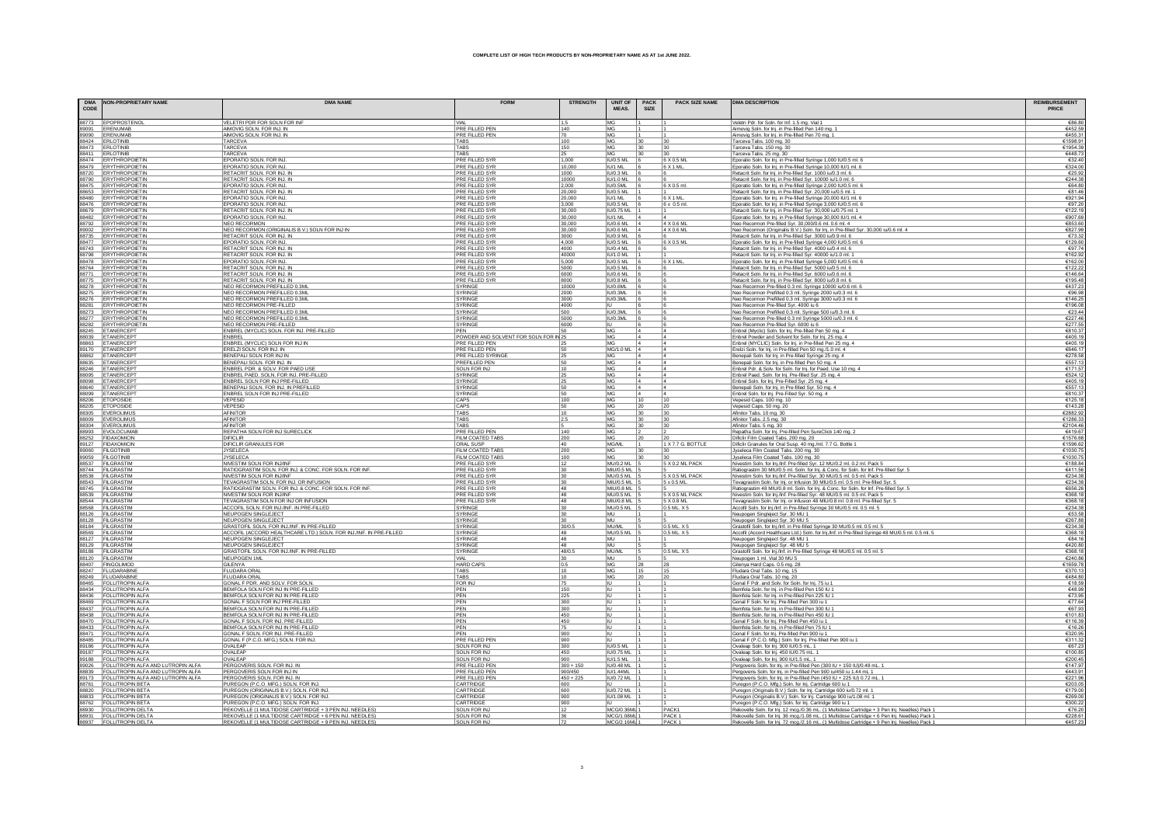| <b>DMA</b><br>CODE | <b>NON-PROPRIETARY NAME</b>                              | <b>DMA NAME</b>                                                                     | <b>FORM</b>                                    | <b>STRENGTH</b> | <b>UNIT OF</b><br>MEAS.              | <b>PACK</b><br>SIZE | <b>PACK SIZE NAME</b> | <b>DMA DESCRIPTION</b>                                                                                                                                                            | <b>REIMBURSEMENT</b> |
|--------------------|----------------------------------------------------------|-------------------------------------------------------------------------------------|------------------------------------------------|-----------------|--------------------------------------|---------------------|-----------------------|-----------------------------------------------------------------------------------------------------------------------------------------------------------------------------------|----------------------|
|                    | 88773 EPOPROSTENOL                                       | VELETRI PDR FOR SOLN FOR INF                                                        | I VIA                                          | 1.5             | <b>MG</b>                            |                     |                       | Veletri Pdr. for Soln. for Inf. 1.5 mg. Vial 1                                                                                                                                    | €86.8                |
|                    | 89091 ERENUMAB                                           | AIMOVIG SOLN, FOR INJ. IN                                                           | PRE FILLED PEN                                 | 140             | MG                                   |                     |                       | Aimovig Soln. for Inj. in Pre-filled Pen 140 mg.                                                                                                                                  | €452.5               |
|                    | 89090 ERENUMAB                                           | AIMOVIG SOLN. FOR INJ. IN                                                           | PRE FILLED PEN                                 | 70              | MG                                   |                     |                       | Aimovig Soln. for Inj. in Pre-filled Pen 70 mg. 1                                                                                                                                 | €455.3               |
|                    | 88424 ERLOTINIB                                          | TARCEVA                                                                             | <b>TARS</b>                                    | 100             | MG                                   | 30                  | 30                    | Tarceva Tabs. 100 mg. 30                                                                                                                                                          | €1598.9              |
|                    | 88473 ERLOTINIE<br>88411 ERLOTINIE                       | TARCEVA<br>TARCEVA                                                                  | <b>TARS</b><br>TABS                            | 150             | MG <sub></sub><br>MG                 | 30                  | 30<br> 30             | Tarceva Tabs. 150 mg. 30                                                                                                                                                          | €1954.3<br>€448.7    |
|                    | 88474 ERYTHROPOIETIN                                     | EPORATIO SOLN. FOR INJ.                                                             | <b>PRE FILLED SYR</b>                          | 25<br>1.000     | IU/0.5 ML                            |                     | 6 X 0.5 M             | Tarceva Tabs. 25 mg. 30<br>Eporatio Soln. for Inj. in Pre-filled Syringe 1,000 IU/0.5 ml. 6                                                                                       | €32.4                |
|                    | 88479 ERYTHROPOIETIN                                     | EPORATIO SOLN. FOR INJ.                                                             | PRE FILLED SYR                                 | 10,000          | IU/1 ML                              |                     | 6 X 1 ML              | Eporatio Soln. for Inj. in Pre-filled Syringe 10,000 IU/1 ml. 6                                                                                                                   | €324.0               |
|                    | 88720 ERYTHROPOIETIN                                     | RETACRIT SOLN. FOR INJ. IN                                                          | <b>PRE FILLED SYR</b>                          | 1000            | <b>IU/0.3 ML</b>                     |                     |                       | Retacrit Soln. for Inj. in Pre-filled Syr. 1000 iu/0.3 ml. 6                                                                                                                      | €25.9                |
|                    | 88790 ERYTHROPOIETIN                                     | RETACRIT SOLN, FOR INJ. IN                                                          | PRE FILLED SYR                                 | 10000           | <b>IU/1.0 ML</b>                     |                     |                       | Retacrit Soln. for Inj. in Pre-filled Syr. 10000 iu/1.0 ml. 6                                                                                                                     | €244.3               |
|                    | 88475 ERYTHROPOIETIN                                     | EPORATIO SOLN. FOR INJ.                                                             | <b>PRE FILLED SYR</b><br><b>PRE FILLED SYR</b> | 2,000<br>20,000 | IU/0.5ML<br><b>IU/0.5 ML</b>         |                     | 6 X 0.5 ml            | Eporatio Soln. for Inj. in Pre-filled Syringe 2,000 IU/0.5 ml. 6                                                                                                                  | €64.8<br>€81.4       |
|                    | 88653 ERYTHROPOIETIN<br>88480 ERYTHROPOIETIN             | RETACRIT SOLN. FOR INJ. IN<br>EPORATIO SOLN. FOR INJ.                               | <b>PRE FILLED SYR</b>                          | 20,000          | <b>ILI/1 MI</b>                      |                     | 6 X 1 ML              | Retacrit Soln. for Inj. in Pre-filled Syr. 20,000 iu/0.5 ml. 1<br>Eporatio Soln. for Inj. in Pre-filled Syringe 20,000 IU/1 ml. 6                                                 | €921.9               |
|                    | 88476 ERYTHROPOIETIN                                     | EPORATIO SOLN. FOR INJ.                                                             | <b>PRE FILLED SYR</b>                          | 3.000           | IU/0.5 ML                            |                     | $6 \times 0.5$ m      | Eporatio Soln. for Inj. in Pre-filled Syringe 3,000 IU/0.5 ml. 6                                                                                                                  | €97.2                |
|                    | 88679 ERYTHROPOIETIN<br>88482 ERYTHROPOIETIN             | RETACRIT SOLN. FOR INJ. IN                                                          | PRE FILLED SYP                                 | 30,000          | <b>IU/0.75 ML</b><br><b>IU/1 ML</b>  |                     |                       | Retacrit Soln. for Inj. in Pre-filled Syr. 30,000 iu/0.75 ml. 1                                                                                                                   | €122.                |
|                    |                                                          | EPORATIO SOLN. FOR INJ.                                                             | <b>PRE FILLED SYR</b>                          | 30,000          |                                      |                     |                       | Eporatio Soln. for Inj. in Pre-filled Syringe 30,000 IU/1 ml. 4                                                                                                                   | €907.6               |
|                    | 88792 ERYTHROPOIETIN                                     | NEO RECORMON                                                                        | <b>PRE FILLED SYR</b>                          | 30,000          | <b>IU/0.6 ML</b><br>IU/0.6 ML        |                     | 4 X 0.6 MI            | Neo Recormon Pre-filled Syr. 30,000/0.6 ml. 0.6 ml. 4                                                                                                                             | €853.6               |
|                    | 89002 ERYTHROPOIETIN<br>88735 ERYTHROPOIETIN             | NEO RECORMON (ORIGINALIS B.V.) SOLN FOR INJ IN<br>RETACRIT SOLN. FOR INJ. IN        | PRE FILLED SYR<br><b>PRE FILLED SYR</b>        | 30,000<br>3000  | <b>IU/0.9 ML</b>                     |                     | 4 X 0.6 ML            | Neo Recormon (Originalis B.V.) Soln. for Inj. in Pre-filled Syr. 30,000 iu/0.6 ml. 4<br>Retacrit Soln. for Inj. in Pre-filled Syr. 3000 iu/0.9 ml. 6                              | €827.9<br>€73.3      |
|                    | 88477 ERYTHROPOIETIN                                     | EPORATIO SOLN. FOR INJ.                                                             | <b>PRE FILLED SYR</b>                          | 4.000           | IU/0.5 ML                            |                     | 6 X 0.5 ML            | Eporatio Soln. for Inj. in Pre-filled Syringe 4,000 IU/0.5 ml. 6                                                                                                                  | €129.6               |
|                    | 88743 ERYTHROPOIETIN                                     | RETACRIT SOLN. FOR INJ. IN                                                          | PRE FILLED SYP                                 | 4000            | <b>ILI/O 4 MI</b>                    |                     |                       | Retacrit Soln. for Inj. in Pre-filled Syr. 4000 iu/0.4 ml. 6                                                                                                                      | €97.7                |
|                    | 88798 ERYTHROPOIETIN                                     | RETACRIT SOLN, FOR INJ. IN                                                          | PRE FILLED SYR                                 | 40000           | <b>ILI/1 0 MI</b>                    |                     |                       | Retacrit Soln. for Inj. in Pre-filled Syr. 40000 iu/1.0 ml. 1                                                                                                                     | €162.9               |
|                    | 88478 ERYTHROPOIETIN                                     | EPORATIO SOLN. FOR INJ.                                                             | PRE FILLED SYR<br><b>PRE FILLED SYR</b>        | 5,000<br>5000   | <b>IU/0.5 ML</b><br><b>IU/0.5 ML</b> |                     | 6 X 1 ML              | Eporatio Soln. for Inj. in Pre-filled Syringe 5,000 IU/0.5 ml. 6                                                                                                                  | €162.0<br>€122.      |
|                    | 88764 ERYTHROPOIETIN<br>88771 ERYTHROPOIETIN             | RETACRIT SOLN, FOR INJ. IN<br>RETACRIT SOLN. FOR INJ. IN                            | <b>PRE FILLED SYR</b>                          | 6000            | <b>IU/0.6 ML</b>                     |                     |                       | Retacrit Soln, for Ini, in Pre-filled Svr, 5000 iu/0.5 ml, 6<br>Retacrit Soln. for Inj. in Pre-filled Syr. 6000 iu/0.6 ml. 6                                                      | €146.6               |
|                    | 88775 ERYTHROPOIETIN                                     | RETACRIT SOLN. FOR INJ. IN                                                          | <b>PRE FILLED SYR</b>                          | 8000            | <b>IU/0.8 ML</b>                     |                     |                       | Retacrit Soln. for Inj. in Pre-filled Syr. 8000 iu/0.8 ml. 6                                                                                                                      | €195.4               |
|                    | 88278 ERYTHROPOIETIN<br>88275 ERYTHROPOIETIN             | NEO RECORMON PREFILLED 0.3ML                                                        | SYRINGE                                        | 10000           | <b>ILI/O GMI</b>                     |                     |                       | Neo Recormon Pre-filled 0.3 ml. Syringe 10000 iu/0.6 ml. 6                                                                                                                        | £437.2               |
|                    |                                                          | NEO RECORMON PREFILLED 0.3ML                                                        | SYRING                                         | 2000            | IU/0.3ML                             |                     |                       | Neo Recormon Prefilled 0.3 ml. Syringe 2000 iu/0.3 ml. 6                                                                                                                          | 696s                 |
|                    | 88276 ERYTHROPOIETIN                                     | NEO RECORMON PREFILLED 0.3ML                                                        | <b>SYRINGE</b><br><b>SYRING</b>                | 3000            | <b>IU/0.3ML</b>                      |                     |                       | Neo Recormon Prefilled 0.3 ml. Syringe 3000 iu/0.3 ml. 6                                                                                                                          | €146.2               |
|                    | 88281 ERYTHROPOIETIN<br>88273 ERYTHROPOIETIN             | NEO RECORMON PRE-FILLED<br>NEO RECORMON PREFILLED 0.3ML                             | <b>SYRINGE</b>                                 | 4000<br>500     | IU/0.3ML                             |                     |                       | Neo Recormon Pre-filled Syr. 4000 iu 6<br>Neo Recormon Prefilled 0.3 ml. Syringe 500 iu/0.3 ml. 6                                                                                 | €196.0<br>€23.4      |
|                    | 88277 ERYTHROPOIETIN                                     | NEO RECORMON PREFILLED 0.3ML                                                        | <b>SYRINGE</b>                                 | 5000            | <b>IU/0.3ML</b>                      |                     |                       | Neo Recormon Pre-filled 0.3 ml Syringe 5000 iu/0.3 ml. 6                                                                                                                          | €227.4               |
|                    | 88282 ERYTHROPOIETIN<br>88245 ETANERCEPT                 | NEO RECORMON PRE-FILLED                                                             | SYRINGE                                        | 6000            |                                      |                     |                       | Neo Recormon Pre-filled Syr. 6000 iu 6                                                                                                                                            | €277.5               |
|                    |                                                          | ENBREL (MYCLIC) SOLN. FOR INJ. PRE-FILLED                                           | PEN                                            |                 | MG                                   |                     |                       | Enbrel (Myclic) Soln. for Inj. Pre-filled Pen 50 mg.                                                                                                                              | €810.3               |
|                    | 88039 ETANERCEP                                          | <b>ENBREL</b>                                                                       | POWDER AND SOLVENT FOR SOLN FOR IN 25          |                 | MG                                   |                     |                       | Enbrel Powder and Solvent for Soln. for Inj. 25 mg. 4                                                                                                                             | €405.                |
|                    | 88863 ETANERCEPT                                         | ENBREL (MYCLIC) SOLN FOR INJ IN                                                     | PRE FILLED PEN                                 |                 | MG                                   |                     |                       | Enbrel (MYCLIC) Soln. for Inj. in Pre-filled Pen 25 mg. 4                                                                                                                         | €405                 |
| 88862              | 89170 ETANERCEPT<br><b>ETANERCEPT</b>                    | ERELZI SOLN. FOR INJ. IN<br>BENEPALI SOLN FOR INJ IN                                | PRE FILLED PEN<br>PRE FILLED SYRINGE           | 50<br>25        | MG/1.0 ML<br>MG                      |                     |                       | Erelzi Soln. for Inj. in Pre-filled Pen 50 mg/1.0 ml. 4<br>Benepali Soln. for Inj. in Pre-filled Syringe 25 mg. 4                                                                 | €646.<br>€278.       |
|                    | 88635 ETANERCEPT                                         | BENEPALI SOLN. FOR INJ. IN                                                          | PREFILLED PEN                                  | 50              | MG                                   |                     |                       | Benepali Soln. for Inj. in Pre-filled Pen 50 mg. 4                                                                                                                                | €557.                |
| 88246              | <b>ETANERCEP</b>                                         | ENBREL PDR. & SOLV. FOR PAED USE                                                    | <b>SOLN FOR INJ</b>                            | 10              | MG                                   | <b>4</b>            |                       | Enbrel Pdr. & Solv. for Soln. for Inj. for Paed. Use 10 mg. 4                                                                                                                     | €171.                |
|                    | 88095 ETANERCEPT                                         | ENBREL PAED. SOLN. FOR INJ. PRE-FILLED                                              | SYRINGE                                        | 25              | MG                                   |                     |                       | Enbrel Paed. Soln. for Inj. Pre-filled Syr. 25 mg. 4                                                                                                                              | €524                 |
| 88098              | <b>ETANERCEP</b>                                         | ENBREL SOLN FOR INJ PRE-FILLED                                                      | SYRING                                         | 25              | MG                                   |                     |                       | Enbrel Soln. for Inj. Pre-Filled Syr. 25 mg. 4                                                                                                                                    | €405                 |
|                    | 88640 ETANERCEP<br>88099 ETANERCEP                       | BENEPALI SOLN. FOR INJ. IN PREFILLED                                                | <b>SYRING</b><br><b>SYRING</b>                 | 50              | MG<br>MG                             |                     |                       | Benepali Soln. for Inj. in Pre-filled Syr. 50 mg. 4                                                                                                                               | €557.<br>€810.       |
|                    | 88206 ETOPOSIDE                                          | ENBREL SOLN FOR INJ PRE-FILLED<br><b>VEPESID</b>                                    | CAPS                                           | 50<br>100       | MG                                   | 10                  | 10                    | Enbrel Soln. for Inj. Pre-Filled Syr. 50 mg. 4<br>Vepesid Caps. 100 mg. 10                                                                                                        | €125.                |
| 88205              | <b>ETOPOSIDE</b>                                         | VEPESID                                                                             | CAPS                                           | 50              | MG                                   | 20                  | 20                    | Vepesid Caps. 50 mg. 20                                                                                                                                                           | €143.2               |
|                    | 88305 EVEROLIMUS                                         | <b>AFINITOR</b>                                                                     | TABS                                           | 10              | MG                                   | 30                  | 30                    | Afinitor Tabs. 10 mg. 30                                                                                                                                                          | €2882.9              |
|                    | 88009 EVEROLIMUS                                         | <b>AFINITOR</b>                                                                     | TABS                                           | 2.5             | MG                                   | 30                  | 30                    | Afinitor Tabs. 2.5 mg. 30                                                                                                                                                         | €1286.3              |
|                    | 88304 EVEROLIMUS                                         | <b>AFINITOR</b>                                                                     | TABS                                           | 15              | MG                                   | 30                  | 30                    | Afinitor Tabs. 5 mg. 30                                                                                                                                                           | €2104.4              |
|                    | 88993 EVOLOCUMAE<br>88252 FIDAXOMICIN                    | REPATHA SOLN FOR INJ SURECLICK<br>DIFICLIR                                          | PRE FILLED PEN<br>FILM COATED TABS             | 140<br>200      | MG<br>MG                             |                     |                       | Repatha Soln. for Inj. Pre-filled Pen SureClick 140 mg. 2<br>Dificlir Film Coated Tabs. 200 mg. 20                                                                                | €419.<br>€1576.6     |
| 89127              | FIDAXOMICIN                                              | DIFICLIR GRANULES FOR                                                               | <b>ORAL SUSP</b>                               | 40              | MG/ML                                |                     | 1 X 7.7 G. BOTTLE     | Dificlir Granules for Oral Susp. 40 mg./ml. 7.7 G. Bottle 1                                                                                                                       | €1596                |
|                    | 89060 FILGOTINIB                                         | <b>JYSELECA</b>                                                                     | FILM COATED TABS                               | 200             | MG                                   |                     |                       | Jyseleca Film Coated Tabs. 200 mg. 30                                                                                                                                             | €1030.7              |
|                    | 89059 FILGOTINIE                                         | <b>JYSELECA</b>                                                                     | FILM COATED TABS                               | 100             | MG                                   |                     |                       | Jyseleca Film Coated Tabs. 100 mg. 30                                                                                                                                             | €1030.7              |
|                    | 88537 FILGRASTIN                                         | NIVESTIM SOLN FOR INJ/INF                                                           | PRE FILLED SYR                                 | 12              | MU/0.2 ML 5                          |                     | 5 X 0.2 ML PACK       | Nivestim Soln. for Inj./Inf. Pre-filled Syr. 12 MU/0.2 ml. 0.2 ml. Pack 5                                                                                                         | €188.8               |
|                    | 88744 FILGRASTIM                                         | RATIOGRASTIM SOLN. FOR INJ. & CONC. FOR SOLN. FOR INF.<br>NIVESTIM SOLN FOR INJ/INF | PRE FILLED SYR<br>PRE FILLED SYP               | 30<br>30        | MIU/0.5 ML 5<br>MU/0.5 ML 5          |                     | 5 X 0.5 ML PACK       | Ratiograstim 30 MIU/0.5 ml. Soln. for Inj. & Conc. for Soln. for Inf. Pre-filled Syr. 5<br>Nivestim Soln. for Inj./Inf. Pre-filled Syr. 30 MU/0.5 ml. 0.5 ml. Pack 5              | €411<br>€234.3       |
|                    | 88538 FILGRASTIM                                         | TEVAGRASTIM SOLN. FOR INJ. OR INFUSION                                              | <b>PRE FILLED SYF</b>                          | 30              | <b>MIU/0.5 ML</b>                    |                     | $5 \times 0.5$ ML.    | Tevagrastim Soln. for Inj. or Infusion 30 MIU/0.5 ml. 0.5 ml. Pre-filled Syr. 5                                                                                                   | €234.                |
|                    | 88745 FILGRASTIM                                         | RATIOGRASTIM SOLN. FOR INJ. & CONC. FOR SOLN. FOR INF.                              | PRE FILLED SYR                                 | 48              | MIU/0.8 ML 5                         |                     |                       |                                                                                                                                                                                   | €656.2               |
|                    |                                                          | NIVESTIM SOLN FOR INJ/INF                                                           | PRE FILLED SYP                                 | 48              | MU/0.5 ML 5                          |                     | 5 X 0.5 ML PACK       | Ratiograstim 48 MIU/0.8 ml. Soln. for lnj. & Conc. for Soln. for lnf. Pre-filled Syr. 5 Nivestim Soln. for lnj./lnf. Pre-filled Syr. 48 MU/0.5 ml. 0.5 ml. Pack 5                 | €368.                |
|                    | 88539 FILGRASTIM<br>88544 FILGRASTIM<br>88568 FILGRASTIM | TEVAGRASTIM SOLN FOR INJ OR INFUSION                                                | PRE FILLED SYR                                 | 48              | MIU/0.8 ML 5                         |                     | 5 X 0.8 ML            | Tevagrastim Soln. for Inj. or Infusion 48 MIU/0.8 ml. 0.8 ml. Pre-filled Syr. 5                                                                                                   | €368.                |
|                    |                                                          | ACCOFIL SOLN. FOR INJ./INF. IN PRE-FILLED                                           | <b>SYRINGE</b>                                 | 30              | MU/0.5 ML 5                          |                     | 0.5 ML. X 5           | Accofil Soln. for Inj./Inf. in Pre-filled Syringe 30 MU/0.5 ml. 0.5 ml. 5                                                                                                         | €234.3               |
|                    | 88126 FILGRASTIN                                         | NEUPOGEN SINGLEJECT<br>NEUPOGEN SINGLEJECT                                          | SYRING<br><b>SYRING</b>                        | 30              |                                      |                     |                       | Neupogen Singleject Syr. 30 MU 1                                                                                                                                                  | €53.5<br>€267.8      |
|                    | 88128 FILGRASTIM<br>88184 FILGRASTIM                     | GRASTOFIL SOLN. FOR INJ./INF. IN PRE-FILLED                                         | <b>SYRINGE</b>                                 | 30/0.5          | MU/ML                                |                     | 0.5 ML. X 5           | Neupogen Singleject Syr. 30 MU 5                                                                                                                                                  | €234.3               |
|                    | 88569 FILGRASTIN                                         | ACCOFIL (ACCORD HEALTHCARE LTD.) SOLN. FOR INJ./INF. IN PRE-FILLED                  | <b>SYRINGE</b>                                 | 48              | MU/0.5 ML                            |                     | $0.5$ ML. $X$ 5       | Grastofil Soln. for Inj./Inf. in Pre-filled Syringe 30 MU/0.5 ml. 0.5 ml. 5<br>Accofil (Accord Healthcare Ltd.) Soln. for Inj./Inf. in Pre-filled Syringe 48 MU/0.5 ml. 0.5 ml. 5 | €368.1               |
|                    | 88127 FILGRASTIM                                         | NEUPOGEN SINGLEJECT                                                                 | <b>SYRINGE</b>                                 | 48              | MU.                                  |                     |                       | Neupogen Singleject Syr. 48 MU 1                                                                                                                                                  | €84.1                |
|                    | 88129 FILGRASTIN                                         | NEUPOGEN SINGLEJECT                                                                 | <b>SYRINGE</b>                                 | 48              | MU                                   |                     |                       | Neupogen Singleiect Syr. 48 MU 5                                                                                                                                                  | €420.8               |
|                    | 88188 FILGRASTIM                                         | GRASTOFIL SOLN. FOR INJ./INF. IN PRE-FILLED                                         | <b>SYRINGE</b>                                 | 48/0.5          | <b>MUMI</b>                          |                     | 0.5 ML. X 5           | Grastofil Soln. for Inj./Inf. in Pre-filled Syringe 48 MU/0.5 ml. 0.5 ml. 5                                                                                                       | €368                 |
|                    | 88120 FILGRASTIM<br>88407 FINGOLIMOD                     | NEUPOGEN 1ML<br><b>GILENYA</b>                                                      | I VIAL                                         | 30<br>0.5       | MU<br>MG                             | 28                  |                       | Neupogen 1 ml. Vial 30 MU 5                                                                                                                                                       | €240.8<br>€1659.7    |
|                    | 88247 FLUDARABINI                                        | <b>FLUDARA ORA</b>                                                                  | HARD CAP<br><b>TABS</b>                        | 10              | <b>MG</b>                            | 15                  | 28<br> 15             | Gilenya Hard Caps. 0.5 mg. 28<br>Fludara Oral Tabs. 10 mg. 15                                                                                                                     | €370.1               |
|                    | 88249 FLUDARABINE                                        | <b>FLUDARA ORAL</b>                                                                 | <b>TABS</b>                                    | 10              | <b>MG</b>                            | 20                  | 120                   | Fludara Oral Tabs. 10 mg. 20                                                                                                                                                      | €484.8               |
|                    | 88465 FOLLITROPIN ALFA                                   | GONAL F PDR. AND SOLV. FOR SOLN                                                     | <b>FOR IN.</b>                                 | 75              | I II J                               |                     |                       | Gonal F Pdr. and Solv. for Soln. for Inj. 75 iu 1                                                                                                                                 | €18.5                |
|                    | 88434 FOLLITROPIN ALFA                                   | BEMFOLA SOLN FOR INJ IN PRE-FILLED                                                  | PEN                                            | 150             | IU.                                  |                     |                       | Bemfola Soln. for Inj. in Pre-filled Pen 150 IU                                                                                                                                   | €48.9                |
|                    | 88436 FOLLITROPIN ALFA                                   | BEMFOLA SOLN FOR INJ IN PRE-FILLED                                                  | PEN                                            | 225             | IU.                                  |                     |                       | Bemfola Soln. for Inj. in Pre-filled Pen 225 IU 1                                                                                                                                 | €73.9                |
|                    | 88469 FOLLITROPIN ALFA<br>88437 FOLLITROPIN ALFA         | GONAL F SOLN FOR INJ PRE-FILLED                                                     | PFN<br>PFN                                     | 300             | m<br>IU                              |                     |                       | Gonal F Soln. for Inj. Pre-filled Pen 300 iu 1                                                                                                                                    | 6776<br><b>E679</b>  |
|                    | 88438 FOLLITROPIN ALFA                                   | BEMFOLA SOLN FOR INJ IN PRE-FILLED<br>BEMFOLA SOLN FOR INJ IN PRE-FILLED            | <b>PEN</b>                                     | 300<br>450      | IU.                                  |                     |                       | Bemfola Soln. for Inj. in Pre-filled Pen 300 IU 1<br>Bemfola Soln. for Inj. in Pre-filled Pen 450 IU 1                                                                            | €101.8               |
|                    | 88470 FOLLITROPIN ALFA                                   | GONAL F SOLN, FOR INJ. PRE-FILLED                                                   | <b>PEN</b>                                     | 450             | IU.                                  |                     |                       | Gonal F Soln. for Inj. Pre-filled Pen 450 iu 1                                                                                                                                    | €116.3               |
|                    | 88433 FOLLITROPIN ALFA                                   | BEMFOLA SOLN FOR INJ IN PRE-FILLED                                                  | <b>PEN</b>                                     | 75              | IU                                   |                     |                       | Bemfola Soln. for Inj. in Pre-filled Pen 75 IU 1                                                                                                                                  | €16.2                |
|                    | 88471 FOLLITROPIN ALFA                                   | GONAL F SOLN. FOR INJ. PRE-FILLED                                                   | PEN                                            | 900             | ш                                    |                     |                       | Gonal F Soln. for Inj. Pre-filled Pen 900 iu 1                                                                                                                                    | €320.9               |
|                    | 88485 FOLLITROPIN ALFA                                   | GONAL F (P.C.O. MFG.) SOLN. FOR INJ.                                                | PRE FILLED PEN                                 | 900             |                                      |                     |                       | Gonal F (P.C.O. Mfg.) Soln. for Inj. Pre-filled Pen 900 iu 1                                                                                                                      | €311.3               |
|                    | 89186 FOLLITROPIN ALFA<br>89187 FOLLITROPIN ALFA         | OVALEAP<br>OVALEAP                                                                  | <b>SOLN FOR INJ</b><br><b>SOLN FOR INJ</b>     | 300<br>450      | IU/0.5 ML<br><b>IU/0.75 ML</b>       |                     |                       | Ovaleap Soln. for Inj. 300 IU/0.5 mL. 1<br>Ovaleap Soln. for Inj. 450 IU/0.75 mL. 1                                                                                               | €67.2<br>€100.8      |
|                    | 89188 FOLLITROPIN ALFA                                   | OVALEAP                                                                             | SOLN FOR IN.                                   | 900             | <b>ILI/1 5 MI</b>                    |                     |                       | Ovaleap Soln. for Inj. 900 IU/1.5 mL. 1                                                                                                                                           | €200.4               |
|                    | 89026 FOLLITROPIN ALFA AND LUTROPIN ALFA                 | PERGOVERIS SOLN. FOR INJ. IN                                                        | PRE FILLED PEN                                 | $300 + 150$     | <b>ILI/O 48 MI</b>                   |                     |                       | Pergoveris Soln. for Inj. in Pre-filled Pen (300 IU + 150 IU)/0.48 mL. 1                                                                                                          | €147 S               |
|                    | 88839 FOLLITROPIN ALFA AND LUTROPIN ALFA                 | PERGOVERIS SOLN FOR INJ IN                                                          | PRE FILLED PEN                                 | 900/450         | <b>IU/1.44ML</b>                     |                     |                       | Pergoveris Soln. for Inj. in Pre-filled Pen 900 iu/450 iu 1.44 mL 1                                                                                                               | €443.9               |
|                    | 89173 FOLLITROPIN ALFA AND LUTROPIN ALFA                 | PERGOVERIS SOLN. FOR INJ. IN                                                        | PRE FILLED PEN                                 | $450 + 225$     | <b>IU/0.72 ML</b>                    |                     |                       | Pergoveris Soln. for Inj. in Pre-filled Pen (450 IU + 225 IU) 0.72 mL. 1                                                                                                          | €221.9               |
|                    | 88761 FOLLITROPIN BETA                                   | PUREGON (P.C.O. MFG.) SOLN. FOR INJ.                                                | CARTRIDGE<br><b>CARTRIDGE</b>                  | 600<br>600      | <b>IU/0.72 ML</b>                    |                     |                       | Puregon (P.C.O. Mfg.) Soln. for Inj. Cartridge 600 iu 1                                                                                                                           | €203.0<br>€179.0     |
|                    | 88820 FOLLITROPIN BETA<br>88833 FOLLITROPIN BETA         | PUREGON (ORIGINALIS B.V.) SOLN. FOR INJ<br>PUREGON (ORIGINALIS B.V.) SOLN. FOR INJ. | <b>CARTRIDGE</b>                               | 900             | <b>IU/1.08 ML</b>                    |                     |                       | Puregon (Originals B.V.) Soln. for Inj. Cartridge 600 iu/0.72 ml. 1<br>Puregon (Originalis B.V.) Soln. for Inj. Cartridge 900 iu/1.08 ml. 1                                       | €269.                |
|                    | 88762 FOLLITROPIN BETA                                   | PUREGON (P.C.O. MFG.) SOLN. FOR INJ.                                                | CARTRIDGE                                      | 900             | $\mathbb{H}$                         |                     |                       | Puregon (P.C.O. Mfg.) Soln. for Inj. Cartridge 900 iu 1                                                                                                                           | €300.2               |
|                    | 88930 FOLLITROPIN DELTA                                  | REKOVELLE (1 MULTIDOSE CARTRIDGE + 3 PEN INJ. NEEDLES)                              | SOLN FOR IN.                                   | 12              | MCG/0.36ML 1                         |                     | PACK1                 | Rekovelle Soln. for Inj. 12 mcg./0.36 mL. (1 Multidose Cartridge + 3 Pen Inj. Needles) Pack 1                                                                                     | €76.2                |
|                    | 88931 FOLLITROPIN DELTA                                  | REKOVELLE (1 MULTIDOSE CARTRIDGE + 6 PEN INJ. NEEDLES)                              | SOLN FOR INJ                                   |                 | MCG/1.08ML 1                         |                     | PACK <sub>1</sub>     | Rekovelle Soln. for Inj. 36 mcg./1.08 mL. (1 Multidose Cartridge + 6 Pen Inj. Needles) Pack 1                                                                                     | €228.6               |
|                    |                                                          |                                                                                     |                                                |                 |                                      |                     | DACK                  |                                                                                                                                                                                   | £457                 |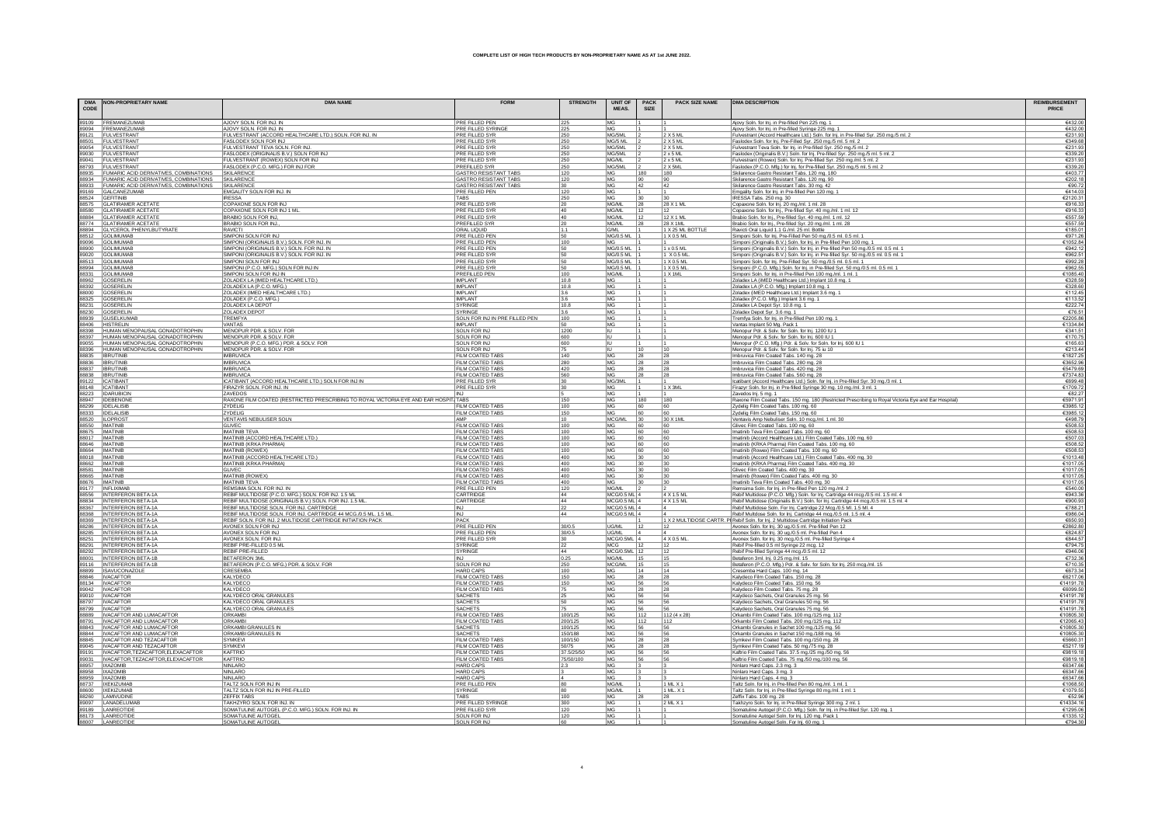| <b>DMA</b><br>$\texttt{CODE}$ | <b>NON-PROPRIETARY NAME</b>                                          | <b>DMA NAME</b>                                                                                  | <b>FORM</b>                                    | <b>STRENGTH</b>    | <b>UNIT OF</b><br><b>MEAS</b> | <b>PACK</b><br>SIZE | <b>PACK SIZE NAME</b>         | <b>DMA DESCRIPTION</b>                                                                                                                                     | <b>REIMBURSEMENT</b>     |
|-------------------------------|----------------------------------------------------------------------|--------------------------------------------------------------------------------------------------|------------------------------------------------|--------------------|-------------------------------|---------------------|-------------------------------|------------------------------------------------------------------------------------------------------------------------------------------------------------|--------------------------|
|                               | 89109 FREMANEZUMAB                                                   | AJOVY SOLN, FOR INJ. IN                                                                          | PRE FILLED PEN                                 | 225                | IMG.                          |                     |                               | Ajovy Soln. for Inj. in Pre-filled Pen 225 mg. 1                                                                                                           | €432.0                   |
|                               | 89094 FREMANEZUMAB                                                   | AJOVY SOLN. FOR INJ. IN                                                                          | PRE FILLED SYRING                              | 225                | MG                            |                     |                               | Ajovy Soln. for lnj. in Pre-filled Syringe 225 mg. 1<br>Fulvestrant (Accord Healthcare Ltd.) Soln. for lnj. in Pre-filled Syr. 250 mg./5 ml. 2             | €432.0                   |
|                               | 89121 FULVESTRANT                                                    | FULVESTRANT (ACCORD HEALTHCARE LTD.) SOLN. FOR INJ. IN                                           | PRE FILLED SYR                                 | 250                | MG/5ML                        |                     | 2X5ML                         |                                                                                                                                                            | €231.9                   |
|                               | 88501 FULVESTRANT<br>89054 FULVESTRAN                                | FASLODEX SOLN FOR INJ                                                                            | PRE FILLED SYR<br><b>PRE FILLED SYF</b>        | 250<br>250         | MG/5 ML<br>MG/5ML             |                     | $2$ X 5 ML<br>2 X 5 ML        | Faslodex Soln. for Inj. Pre-Filled Syr. 250 mg./5 ml. 5 ml. 2                                                                                              | €349.6<br>€231.9         |
|                               | 89030 FULVESTRAN                                                     | FULVESTRANT TEVA SOLN. FOR INJ.<br>FASLODEX (ORIGINALIS B.V.) SOLN FOR INJ                       | <b>PRE FILLED SYF</b>                          | 250                | MG/5ML                        |                     | $2 \times 5$ ML               | Fulvestrant Teva Soln. for Inj. in Pre-filled Syr. 250 mg./5 ml. 2<br>Faslodex (Originalis B.V.) Soln. for Inj. Pre-filled Syr. 250 mg./5 ml. 5 ml. 2      | €339.2                   |
|                               | 89041 FULVESTRAN                                                     | FULVESTRANT (ROWEX) SOLN FOR INJ                                                                 | <b>PRE FILLED SYF</b>                          | 250                | <b>MG/ML</b>                  |                     | $2 \times 5$ MI               | Fulvestrant (Rowex) Soln. for Inj. Pre-filled Syr. 250 mg./ml. 5 ml. 2                                                                                     | €231.9                   |
|                               | 88793 FULVESTRANT                                                    | FASLODEX (P.C.O. MFG.) FOR INJ FOR                                                               | <b>PREFILLED SYR</b>                           | 250                | MG/5ML                        |                     | $2 \times 5$ MI               | Faslodex (P.C.O. Mfg.) for Inj. for Pre-filled Syr. 250 mg/5 ml. 5 ml. 2                                                                                   | €339.2                   |
|                               | 88935 FUMARIC ACID DERIVATIVES, COMBINATIONS                         | SKILARENCE                                                                                       | <b>GASTRO RESISTANT TABS</b>                   | 120                | <b>MG</b>                     | 180                 | 180                           | Skilarence Gastro Resistant Tabs. 120 mg. 180                                                                                                              | €403.7                   |
|                               | 88934 FUMARIC ACID DERIVATIVES, COMBINATIONS                         | SKILARENCE                                                                                       | <b>GASTRO RESISTANT TABS</b>                   | 120                | MG                            | 90                  | 90                            | Skilarence Gastro Resistant Tabs. 120 mg. 90                                                                                                               | €202.1                   |
|                               | 8933 FUMARIC ACID DERIVATIVES, COMBINATIONS<br>89169 GALCANEZUMAB    | SKILARENCE<br>EMGALITY SOLN FOR INJ. IN                                                          | <b>GASTRO RESISTANT TABS</b><br>PRE FILLED PEN | 30<br>120          | MG<br>MG                      | 42                  | 42                            | Skilarence Gastro Resistant Tabs. 30 mg. 42                                                                                                                | €90.7<br><b>€414</b> 0   |
|                               | 38524 GEFITINIB                                                      | <b>IRESSA</b>                                                                                    | TARS                                           | 250                | MG.                           | 30                  |                               | Emgality Soln. for Inj. in Pre-filled Pen 120 mg.<br>IRESSA Tabs. 250 mg. 30                                                                               | €2120.3                  |
|                               | 88575 GLATIRAMER ACETATE                                             | COPAXONE SOLN FOR INJ                                                                            | <b>PRE FILLED SYF</b>                          | 20                 | MG/M                          | 28                  | 28 X 1 M                      | Copaxone Soln. for Inj. 20 mg./ml. 1 ml. 28                                                                                                                | €916.3                   |
|                               | 88580 GLATIRAMER ACETATE<br>88884 GLATIRAMER ACETATE                 | COPAXONE SOLN FOR INJ 1 ML<br>BRABIO SOLN FOR INJ,                                               | PRE FILLED SYR                                 | $\frac{40}{40}$    | MG/ML                         | $\frac{12}{2}$      |                               | Copaxone Soln. for Inj., Pre-filled Syr. 40 mg./ml. 1 ml. 12                                                                                               | €916.3                   |
|                               |                                                                      |                                                                                                  | <b>PRE FILLED SYR</b>                          |                    | MG/ML                         | 12                  | 12 X 1 ML                     | Brabio Soln. for Inj., Pre-filled Syr. 40 mg./ml. 1 ml. 12                                                                                                 | €557.5                   |
|                               | 88774 GLATIRAMER ACETATE                                             | BRABIO SOLN FOR INJ.<br><b>RAVICTI</b>                                                           | <b>PREFILLED SYR</b>                           | 20<br>1.1          | MG/ML<br>G/ML                 | 28                  | 28 X 1 ML<br>1 X 25 ML BOTTLE | Brabio Soln. for Inj., Pre-filled Syr. 20 mg./ml. 1 ml. 28                                                                                                 | €557.5<br>€185.0         |
|                               | 88894 GLYCEROL PHENYLBUTYRATE<br>88512 GOLIMUMAB                     | SIMPONI SOLN FOR INJ                                                                             | ORAL LIQUID<br>PRE FILLED PEN                  | 50                 | <b>MG/0.5 ML</b>              |                     | 1 X 0.5 ML                    | Ravicti Oral Liquid 1.1 G./ml. 25 ml. Bottle<br>Simponi Soln. for Inj. Pre-Filled Pen 50 mg./0.5 ml. 0.5 ml. 1                                             | €971.2                   |
|                               | 89096 GOLIMUMAB                                                      | SIMPONI (ORIGINALIS B.V.) SOLN. FOR INJ. IN                                                      | PRE FILLED PEN                                 | 100                | MG.                           |                     |                               | Simponi (Originalis B.V.) Soln. for Inj. in Pre-filled Pen 100 mg.                                                                                         | €1052.8                  |
|                               | 88900 GOLIMUMAE                                                      | SIMPONI (ORIGINALIS B.V.) SOLN. FOR INJ. IN                                                      | PRE FILLED PEN                                 | 50                 | MG/0.5 ML                     |                     | $1 \times 0.5$ ML             | Simponi (Originalis B.V.) Soln. for Inj. in Pre-filled Pen 50 mg./0.5 ml. 0.5 ml. 1                                                                        | 6942                     |
|                               | 89020 GOLIMUMAE                                                      | SIMPONI (ORIGINALIS B.V.) SOLN. FOR INJ. IN                                                      | <b>PRE FILLED SYR</b>                          | 50                 | MG/0.5 ML                     |                     | 1 X 0 5 MI                    | Simponi (Originalis B.V.) Soln. for Inj. in Pre-filled Syr. 50 mg./0.5 ml. 0.5 ml. 1                                                                       | £962.5                   |
|                               | 38513 GOLIMUMAB                                                      | SIMPONI SOLN FOR INJ                                                                             | PRE FILLED SYR                                 | 50                 | MG/0.5 ML                     |                     | 1 X 0.5 ML                    | Simponi Soln. for Inj. Pre-Filled Syr. 50 mg./0.5 ml. 0.5 ml.                                                                                              | €992.2                   |
| 88994                         | <b>GOLIMUMAE</b><br>88331 GOLIMUMAB                                  | SIMPONI (P.C.O. MFG.) SOLN FOR INJ IN<br>SIMPONI SOLN FOR INJ IN                                 | <b>PRE FILLED SYR</b><br><b>PREFILLED PEN</b>  | 50<br>100          | <b>MG/0.5 ML</b><br>MG/ML     |                     | 1 X 0.5 M<br>1 X 1 ML         | Simponi (P.C.O. Mfa.) Soln, for Ini, in Pre-filled Svr, 50 ma./0.5 ml, 0.5 ml, 1                                                                           | €962.5<br>€1085.40       |
| 88962                         | <b>GOSERELIN</b>                                                     | ZOLADEX LA (IMED HEALTHCARE LTD.)                                                                | <b>IMPLANT</b>                                 | 10.8               | MG                            |                     |                               | Simponi Soln. for Inj. in Pre-filled Pen 100 mg./ml. 1 ml. 1<br>Zoladex LA (iMED Healthcare Ltd.) Implant 10.8 mg. 1                                       | €328.5                   |
|                               | 88392 GOSERELIN                                                      | ZOLADEX LA (P.C.O. MFG.                                                                          | <b>IMPI ANT</b>                                | 10.8               | MG                            |                     |                               | Zoladex LA (P.C.O. Mfg.) Implant 10.8 mg. 1                                                                                                                | €328.6                   |
|                               | 88000 GOSERELIN                                                      | ZOLADEX (IMED HEALTHCARE LTD.)                                                                   | IMPI ANT                                       | 3.6                | MG                            |                     |                               | Zoladex (iMED Healthcare Ltd.) Implant 3.6 mg. '                                                                                                           | €112.4                   |
|                               | 88325 GOSERELIN                                                      | ZOLADEX (P.C.O. MFG.)                                                                            | <b>IMPLANT</b>                                 | 3.6                | MG                            |                     |                               | Zoladex (P.C.O. Mfg.) Implant 3.6 mg. 1                                                                                                                    | €113.                    |
| 88231                         | <b>GOSERELIN</b>                                                     | ZOLADEX LA DEPOT                                                                                 | <b>SYRINGE</b><br><b>SYRINGE</b>               | 10.8               | MG                            |                     |                               | Zoladex LA Depot Syr. 10.8 mg. 1                                                                                                                           | €222.                    |
|                               | 88230 GOSERELIN<br>88939 GUSELKUMAE                                  | ZOLADEX DEPOT<br>TREMFYA                                                                         | SOLN FOR INJ IN PRE FILLED PEN                 | 3.6<br>100         | MG<br>MG                      |                     |                               | Zoladex Depot Syr. 3.6 mg. 1<br>Tremfya Soln. for Inj. in Pre-filled Pen 100 mg. 1                                                                         | €76.5<br>€2205.8         |
|                               | 88406 HISTRELIN                                                      | VANTAS                                                                                           | <b>IMPI ANT</b>                                | 50                 | MG                            |                     |                               | Vantas Implant 50 Mg. Pack 1                                                                                                                               | €1334.8                  |
|                               | 88398 HUMAN MENOPAUSAL GONADOTROPHIN                                 | MENOPUR PDR. & SOLV. FOR                                                                         | SOLN FOR IN.                                   | 1200               | ШT                            |                     |                               | Menopur Pdr. & Solv. for Soln. for Inj. 1200 IU 1                                                                                                          | €341.                    |
|                               | 88397 HUMAN MENOPAUSAL GONADOTROPHIN                                 | MENOPUR PDR. & SOLV. FOR                                                                         | SOLN FOR IN.                                   | 600                | IU.                           |                     |                               | Menopur Pdr. & Solv. for Soln. for Inj. 600 IU 1                                                                                                           | €170.7                   |
|                               | 89055 HUMAN MENOPAUSAL GONADOTROPHIN                                 | MENOPUR (P.C.O. MFG.) PDR. & SOLV. FOR                                                           | SOLN FOR INJ                                   | 600                |                               |                     |                               | Menopur (P.C.O. Mfg.) Pdr. & Solv. for Soln. for Inj. 600 IU 1                                                                                             | €165.6                   |
|                               | 88396 HUMAN MENOPAUSAL GONADOTROPHIN                                 | MENOPUR PDR. & SOLV. FOR                                                                         | SOLN FOR INJ                                   | 75                 |                               | 10                  | 10                            | Menopur Pdr. & Solv. for Soln. for Inj. 75 iu 10                                                                                                           | €213.4                   |
|                               | 88835 BRUTINIB<br>88836 BRUTINIE                                     | <b>IMBRUVICA</b><br><b>IMBRUVICA</b>                                                             | FILM COATED TAB:<br>FILM COATED TABS           | 140<br>280         | MG<br>MG                      | 28<br>28            | 28<br>28                      | Imbruvica Film Coated Tabs. 140 mg. 28<br>Imbruvica Film Coated Tabs. 280 mg. 28                                                                           | €1827.2<br>€3652.9       |
| 88837                         | <b>IBRUTINE</b>                                                      | <b>IMBRUVIC</b>                                                                                  | <b>FILM COATED TABS</b>                        | 420                | MG                            | 28                  | 28                            | Imbruvica Film Coated Tabs. 420 mg. 28                                                                                                                     | €5479.                   |
|                               | 88838 BRUTINE                                                        | <b>IMBRUVICA</b>                                                                                 | FILM COATED TABS                               | 560                | MG                            | 28                  | 28                            | Imbruvica Film Coated Tabs. 560 mg. 28                                                                                                                     | €7374.8                  |
| 89122                         | <b>ICATIBAN</b>                                                      | ICATIBANT (ACCORD HEALTHCARE LTD.) SOLN FOR INJ IN                                               | PRE FILLED SYR                                 | 30                 | MG/3ML                        |                     |                               | Icatibant (Accord Healthcare Ltd.) Soln. for Inj. in Pre-filled Syr. 30 mg./3 ml. 1                                                                        | €699.4                   |
|                               | 88148 ICATIBAN                                                       | FIRAZYR SOLN. FOR INJ. IN                                                                        | PRE FILLED SYR                                 | 30                 | MG                            |                     | 1 X 3ML                       | Firazyr Soln. for Inj. in Pre-filled Syringe 30 mg. 10 mg./ml. 3 ml. 1                                                                                     | €1709.7                  |
| 88223<br>88947                | <b>IDARUBICII</b><br><b>IDEBENON</b>                                 | ZAVEDOS                                                                                          |                                                |                    | MG                            |                     |                               | Zavedos Inj. 5 mg. 1                                                                                                                                       | €82.<br>€5971.9          |
| 88299                         | <b>IDELALISE</b>                                                     | RAXONE FILM COATED (RESTRICTED PRESCRIBING TO ROYAL VICTORIA EYE AND EAR HOSPIT. TABS<br>ZYDELIG | FILM COATED TABS                               | 150<br> 100        | MG<br>MG                      | 180<br>60           | 180<br>60                     | Raxone Film Coated Tabs. 150 mg. 180 (Restricted Prescribing to Royal Victoria Eye and Ear Hospital)<br>Zydelig Film Coated Tabs. 100 mg. 60               | €3985.                   |
|                               | 88333 IDELALISIB                                                     | ZYDELIG                                                                                          | FILM COATED TABS                               | 150                | MG                            | 60                  | 60                            | Zydelig Film Coated Tabs. 150 mg. 60                                                                                                                       | €3985.1                  |
|                               | 88520   ILOPROST                                                     | VENTAVIS NEBULISER SOLN                                                                          |                                                | 10                 | MCG/ML                        | 30                  | 30 X 1ML                      | Ventavis Amp Nebuliser Soln. 10 mcg./ml. 1 ml. 30                                                                                                          | €498.7                   |
|                               | 88550 IMATINIB                                                       | GLIVEC                                                                                           | FILM COATED TABS                               | 100                | MG                            | 60                  |                               | Glivec Film Coated Tabs. 100 mg. 60                                                                                                                        | €508.5                   |
| 88675                         | <b>IMATINIE</b>                                                      | <b>IMATINIB TEVA</b>                                                                             | FILM COATED TABS                               | 100                | MG                            | 60                  | 60                            | Imatinib Teva Film Coated Tabs. 100 mg. 60                                                                                                                 | €508.5                   |
| 8646                          | 88017 IMATINIB<br><b>IMATINIE</b>                                    | IMATINIB (ACCORD HEALTHCARE LTD.)<br>IMATINIB (KRKA PHARMA)                                      | FILM COATED TABS<br><b>FILM COATED TABS</b>    | 100<br>100         | MG<br>MG                      | 60<br>60            | 60<br>60                      | Imatinib (Accord Healthcare Ltd.) Film Coated Tabs. 100 mg. 60                                                                                             | €507.0<br>€508.          |
|                               | 8664 IMATINIB                                                        | <b>IMATINIB (ROWEX)</b>                                                                          | FILM COATED TABS                               | 100                | <b>MG</b>                     | 60                  |                               | Imatinib (KRKA Pharma) Film Coated Tabs. 100 mg. 60                                                                                                        | €508.5                   |
|                               | 8018 MATINIB                                                         | <b>IMATINIB (ACCORD HEALTHCARE LTD.)</b>                                                         | FILM COATED TABS                               | 400                | MG                            | 30                  |                               | Imatinib (Rowex) Film Coated Tabs. 100 mg. 60<br>Imatinib (Accord Healthcare Ltd.) Film Coated Tabs. 400 mg. 30                                            | €1013.48                 |
|                               | 88662 IMATINIB                                                       | IMATINIB (KRKA PHARMA)                                                                           | FILM COATED TABS                               | 400                | <b>MG</b>                     | 30                  | 30                            | Imatinib (KRKA Pharma) Film Coated Tabs. 400 mg. 30                                                                                                        | €1017.0                  |
|                               | 88581 IMATINIB                                                       | <b>GLIVEC</b>                                                                                    | FILM COATED TABS                               | 400                | MG                            | 30                  | $ 30\rangle$                  | Glivec Film Coated Tabs. 400 mg. 30                                                                                                                        | €1017.0                  |
|                               | 88665 MATINE                                                         | <b>IMATINIB (ROWEX)</b>                                                                          | FILM COATED TABS                               | 400                | MG                            | 30                  | 30                            | Imatinib (Rowex) Film Coated Tabs. 400 mg. 30                                                                                                              | €1017.                   |
|                               | 8676 MATINE<br>89177 INFLIXIMAE                                      | <b>IMATINIB TEVA</b><br>REMSIMA SOLN. FOR INJ. IN                                                | <b>FILM COATED TABS</b><br>PRE FILLED PEN      | 400<br>120         | MG<br><b>MG/ML</b>            |                     |                               | Imatinib Teva Film Coated Tabs. 400 mg. 30                                                                                                                 | €1017.0<br>€540.0        |
|                               | 88556 INTERFERON BETA-1A                                             | REBIF MULTIDOSE (P.C.O. MFG.) SOLN. FOR INJ. 1.5 ML                                              | CARTRIDGE                                      | 44                 | MCG/0.5 ML 4                  |                     | 4 X 1.5 ML                    | Remsima Soln. for Inj. in Pre-filled Pen 120 mg./ml. 2<br>Rebif Multidose (P.C.O. Mfg.) Soln. for Inj. Cartridge 44 mcg./0.5 ml. 1.5 ml. 4                 | €943.3                   |
|                               | 88834 INTERFERON BETA-1A                                             | REBIF MULTIDOSE (ORIGINALIS B.V.) SOLN. FOR INJ. 1.5 ML.                                         | CARTRIDGE                                      | 44                 | MCG/0.5 ML 4                  |                     | 4 X 1.5 ML                    |                                                                                                                                                            | €900.9                   |
|                               | 88367 INTERFERON BETA-1A                                             | REBIF MULTIDOSE SOLN. FOR INJ. CARTRIDGE                                                         | INJ                                            | 22                 | MCG/0.5 ML 4                  |                     |                               | Rebif Multidose (Originalis B.V.) Soln. for Inj. Cartridge 44 mcg./0.5 ml. 1.5 ml. 4<br>Rebif Multidose Soln. For Inj. Cartridge 22 Mcg./0.5 Ml. 1.5 Ml. 4 | €788.2                   |
|                               | 88368 INTERFERON BETA-1A                                             | REBIF MULTIDOSE SOLN. FOR INJ. CARTRIDGE 44 MCG./0.5 ML. 1.5 ML.                                 | <b>INJ</b>                                     | 44                 | MCG/0.5 ML 4                  |                     |                               | Rebif Multdose Soln. for Inj. Cartridge 44 mcg./0.5 ml. 1.5 ml. 4                                                                                          | €986.0                   |
|                               | 88369 INTERFERON BETA-1A                                             | REBIF SOLN. FOR INJ. 2 MULTIDOSE CARTRIDGE INITIATION PACK                                       | PACK                                           |                    |                               |                     |                               | 1 X 2 MULTIDOSE CARTR. P  Rebif Soln. for Inj. 2 Multidose Cartridge Initiation Pack                                                                       | €650.9                   |
|                               | 88286 INTERFERON BETA-1A<br>88285 INTERFERON BETA-1A                 | AVONEX SOLN FOR INJ                                                                              | <b>PRE FILLED PEN</b><br>PRE FILLED PEN        | 30/0.5             | UG/ML<br>UG/ML                | 12                  |                               | Avonex Soln. for Inj. 30 ug./0.5 ml. Pre-filled Pen 12<br>Avonex Soln. for Inj. 30 ug./0.5 ml. Pre-filled Pen 4                                            | €2862.8<br>€824.8        |
|                               | 88251  INTERFERON BETA-1A                                            | AVONEX SOLN. FOR INJ.                                                                            | PRE FILLED SYR                                 | 30/0.5<br>30       | $MCG/0.5ML$ 4                 |                     | 4 X 0.5 ML                    | Avonex Soln. for Inj. 30 mcg./0.5 ml. Pre-filled Syringe 4                                                                                                 | €844.5                   |
|                               | 88291 INTERFERON BETA-1A                                             | REBIF PRE-FILLED 0.5 ML                                                                          | <b>SYRINGE</b>                                 | 22                 | MCG                           |                     |                               | Rebif Pre-filled 0.5 ml Syringe 22 mcg. 12                                                                                                                 | €794.                    |
|                               | 88292 INTERFERON BETA-1A                                             | REBIF PRE-FILLED                                                                                 | SYRINGE                                        | 44                 | MCG/0.5ML 12                  |                     | 12                            | Rebif Pre-filled Syringe 44 mcg./0.5 ml. 12                                                                                                                | <b>£9460</b>             |
|                               | 8001 INTERFERON BETA-1B                                              | <b>BETAFERON 3ML</b>                                                                             |                                                | 0.25               | MG/ML                         | 15                  |                               | Betaferon 3ml. Inj. 0.25 mg./ml. 15                                                                                                                        | €732.3                   |
|                               | 89116 INTERFERON BETA-1E                                             | BETAFERON (P.C.O. MFG.) PDR. & SOLV. FOR                                                         | <b>SOLN FOR IN.</b>                            | 250                | MCG/ML                        | 15                  | 115                           | Betaferon (P.C.O. Mfg.) Pdr. & Solv. for Soln. for Inj. 250 mcg./ml. 15                                                                                    | €710.3                   |
|                               | 88899 ISAVUCONAZOLE<br>88846 IVACAFTOR                               | <b>CRESEMB</b><br>KALYDECO                                                                       | <b>HARD CAPS</b><br><b>FILM COATED TABS</b>    | 100<br>150         | <b>MG</b><br>MG               | 14                  |                               | Cresemba Hard Caps. 100 mg. 14                                                                                                                             | €673.3                   |
|                               | 88134 IVACAFTOR                                                      | <b>KALYDECO</b>                                                                                  | <b>FILM COATED TABS</b>                        | 150                | <b>MG</b>                     | 28<br>56            | 28<br>56                      | Kalydeco Film Coated Tabs. 150 mg. 28<br>Kalydeco Film Coated Tabs. 150 mg. 56                                                                             | €6217.0<br>€14191.7      |
|                               | 89042 IVACAFTOR                                                      | KALYDECC                                                                                         | <b>FILM COATED TABS</b>                        | 75                 | MG                            | 28                  | 28                            | Kalydeco Film Coated Tabs. 75 mg. 28                                                                                                                       | €6099.5                  |
|                               | 89010 IVACAFTOR                                                      | KALYDECO ORAL GRANULES                                                                           | <b>SACHETS</b>                                 | 25                 | MG                            | 56                  | 56                            | Kalydeco Sachets, Oral Granules 25 mg. 56                                                                                                                  | €14191.7                 |
|                               | 88797 IVACAFTOR                                                      | KALYDECO ORAL GRANULES                                                                           | <b>SACHETS</b>                                 | 50                 | MG                            | 56                  | 56                            | Kalydeco Sachets, Oral Granules 50 mg. 56                                                                                                                  | €14191.                  |
|                               | 88799 IVACAFTOR                                                      | KALYDECO ORAL GRANULES                                                                           | <b>SACHETS</b>                                 | 75                 | MG                            | 56                  |                               | Kalydeco Sachets, Oral Granules 75 mg. 56                                                                                                                  | £141917                  |
|                               | 88889   IVACAFTOR AND LUMACAFTOR<br>88791   IVACAFTOR AND LUMACAFTOR | ORKAMBI<br>ORKAMB                                                                                | FILM COATED TABS                               | 100/125            | <b>MG</b>                     | 112                 | $112(4 \times 28)$            | Orkambi Film Coated Tabs. 100 mg/125 mg. 112                                                                                                               | €10805.3                 |
|                               | 88843   IVACAFTOR AND LUMACAFTOR                                     | ORKAMBI GRANULES IN                                                                              | FILM COATED TABS<br><b>SACHETS</b>             | 200/125<br>100/125 | MG<br>MG                      | 112<br>56           | 112<br>56                     | Orkambi Film Coated Tabs. 200 mg/125 mg. 112<br>Orkambi Granules in Sachet 100 mg./125 mg. 56                                                              | €12065.4<br>€10805.3     |
|                               | 8844   IVACAFTOR AND LUMACAFTOR                                      | ORKAMBI GRANULES IN                                                                              | SACHET!                                        | 150/188            | MG                            | 56                  |                               | Orkambi Granules in Sachet 150 mg./188 mg. 56                                                                                                              | €10805.3                 |
|                               | 88845   IVACAFTOR AND TEZACAFTOR                                     | SYMKEVI                                                                                          | FILM COATED TABS                               | 100/150            | MG                            | 28                  | 28                            | Symkevi Film Coated Tabs. 100 mg/150 mg. 28                                                                                                                | €5660.3                  |
|                               | 89045   IVACAFTOR AND TEZACAFTOR                                     | SYMKEV                                                                                           | FILM COATED TABS                               | 50/75              | MG                            | 28                  | 28                            | Symkevi Film Coated Tabs. 50 mg./75 mg. 28                                                                                                                 | €5217.                   |
|                               | 89191  IVACAFTOR, TEZACAFTOR, ELEXACAFTOR                            | KAFTRIO                                                                                          | FILM COATED TABS                               | 37.5/25/50         | <b>MG</b>                     | 56                  | 56                            | Kaftrio Film Coated Tabs. 37.5 mg./25 mg./50 mg. 56                                                                                                        | €9819.                   |
|                               | 89031 IVACAFTOR.TEZACAFTOR.ELEXACAFTOR<br>88957 IXAZOMIR             | KAFTRIO<br>NINI ARC                                                                              | <b>FILM COATED TABS</b><br><b>HARD CAPS</b>    | 75/50/10<br>23     | MG<br>MG                      | 56                  | 56                            | Kaftrio Film Coated Tabs. 75 mg/50 mg/100 mg. 56                                                                                                           | €9819 °<br><b>E63476</b> |
|                               |                                                                      | NINLARC                                                                                          |                                                |                    | MG                            |                     |                               | Ninlaro Hard Caps. 2.3 mg. 3                                                                                                                               | €6347.6                  |
|                               | 8958 IXAZOMIB<br>88959 IXAZOMIB                                      | NINLARC                                                                                          | <b>HARD CAPS</b><br><b>HARD CAPS</b>           |                    | MG                            |                     |                               | Ninlaro Hard Caps. 3 mg. 3<br>Ninlaro Hard Caps. 4 mg. 3                                                                                                   | €6347.                   |
|                               | 38737   IXEKIZUMA                                                    | TALTZ SOLN FOR INJ IN                                                                            | PRE FILLED PEN                                 | 80                 | MG/ML                         |                     | 1 ML X 1                      | Taltz Soln. for Inj. in Pre-filled Pen 80 mg./ml. 1 ml. 1                                                                                                  | €1068.5                  |
| 88600                         | <b>IXEKIZUMAE</b>                                                    | TALTZ SOLN FOR INJ IN PRE-FILLED                                                                 | <b>SYRINGE</b>                                 | 80                 | <b>MG/ML</b>                  |                     | 1 ML. X 1                     | Taltz Soln. for Inj. in Pre-filled Syringe 80 mg./ml. 1 ml. 1                                                                                              | €1079.5                  |
|                               | 88260 LAMIVUDINE                                                     | <b>ZEFFIX TABS</b>                                                                               | <b>TARS</b>                                    | 100                | <b>MG</b>                     | 28                  |                               | Zeffix Tabs. 100 mg. 28                                                                                                                                    | €52.9                    |
|                               | 89097 LANADELUMA                                                     | TAKHZYRO SOLN. FOR INJ. IN                                                                       | PRE FILLED SYRINGE                             | 300                | MG                            |                     | 2 ML X 1                      | Takhzyro Soln. for Inj. in Pre-filled Syringe 300 mg. 2 ml. 1                                                                                              | £14334                   |
|                               | 89189 LANREOTIDE<br>88173 LANREOTIDE                                 | SOMATULINE AUTOGEL (P.C.O. MFG.) SOLN. FOR INJ. IN<br>SOMATULINE AUTOGEL                         | PRE FILLED SYR<br>SOLN FOR INJ                 | 120<br>120         | MG<br>MG                      |                     |                               | Somatuline Autogel (P.C.O. Mfg.) Soln. for Inj. in Pre-filled Syr. 120 mg. 1<br>Somatuline Autogel Soln. for Inj. 120 mg. Pack 1                           | €1295.0<br>€1335.1       |
|                               |                                                                      |                                                                                                  |                                                |                    |                               |                     |                               |                                                                                                                                                            | £704                     |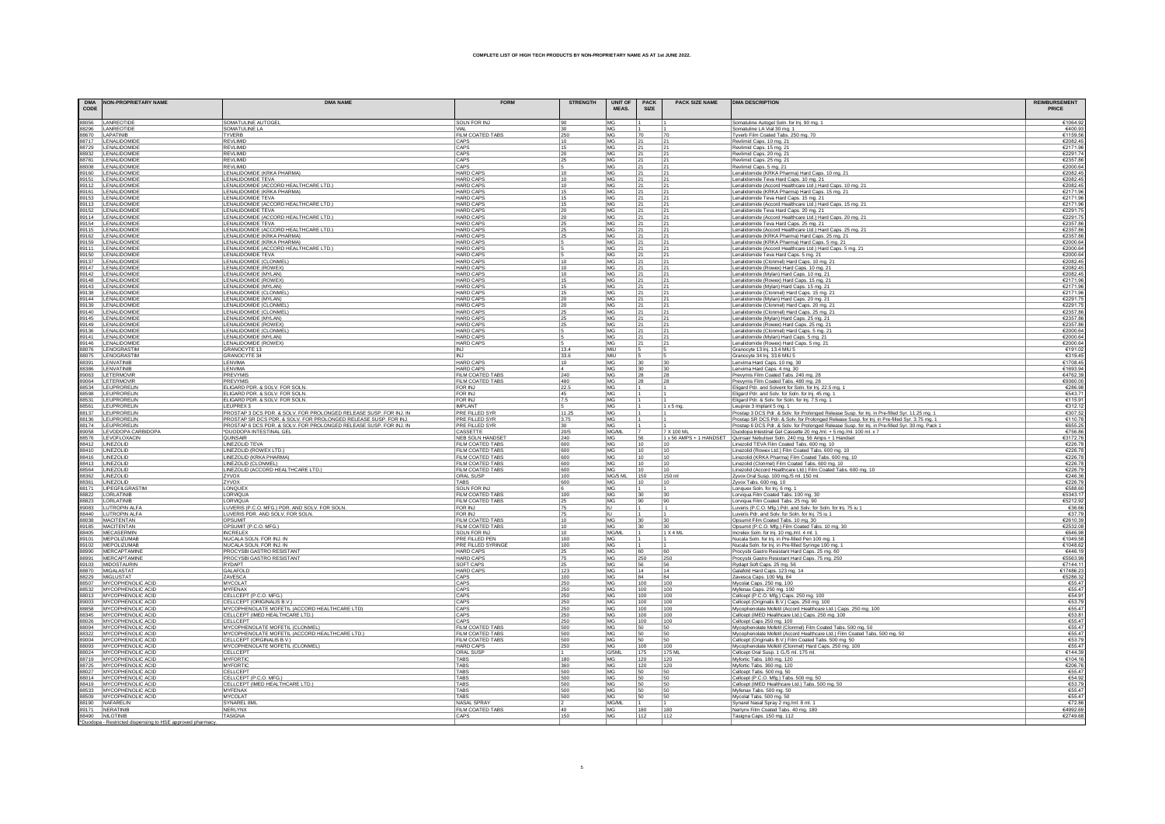| CODE | DMA NON-PROPRIETARY NAME                           | <b>DMA NAME</b>                                                             | <b>FORM</b>                                 | <b>STRENGTH</b>       | <b>UNIT OF</b><br>MEAS.       | <b>PACK</b><br>SIZE | <b>PACK SIZE NAME</b> | <b>DMA DESCRIPTION</b>                                                                                                      | <b>REIMBURSEMENT</b><br>PRICE |
|------|----------------------------------------------------|-----------------------------------------------------------------------------|---------------------------------------------|-----------------------|-------------------------------|---------------------|-----------------------|-----------------------------------------------------------------------------------------------------------------------------|-------------------------------|
|      | 88056 LANREOTIDE                                   | SOMATULINE AUTOGEL                                                          | <b>SOLN FOR INJ</b>                         | 90                    | <b>MG</b>                     |                     |                       | Somatuline Autogel Soln. for Inj. 90 mg. 1                                                                                  | €1064.9                       |
|      | 88296 LANREOTIDE                                   | SOMATULINE LA                                                               |                                             | 30                    | MG                            |                     |                       | Somatuline LA Vial 30 mg. 1                                                                                                 | €400.9                        |
|      | 88670 LAPATINIB<br>88717 LENALIDOMIDE              | <b>TYVERB</b><br><b>REVLIMID</b>                                            | FILM COATED TABS<br>CAPS                    | $\frac{250}{10}$      | <b>MG</b><br>MG               | 70<br>21            | 70<br>$\overline{21}$ | Tyverb Film Coated Tabs. 250 mg. 70                                                                                         | €1159.5<br>€2082.4            |
|      | 88729 LENALIDOMIDE                                 | <b>REVI IMID</b>                                                            | CAPS                                        | 15                    | MG                            | 21                  | 21                    | Revlimid Caps. 10 mg. 21<br>Revlimid Caps. 15 mg. 21                                                                        | €2171.9                       |
|      | 88932 LENALIDOMIDE                                 | <b>REVLIMID</b>                                                             | CAPS                                        | 20                    | MG                            | 21                  | 21                    | Revlimid Caps. 20 mg. 21                                                                                                    | €2291.7                       |
|      | 88781 LENALIDOMIDE                                 | <b>REVLIMID</b>                                                             | CAPS                                        | 25                    | MG                            | 21                  | 21                    | Revlimid Caps. 25 mg. 21                                                                                                    | €2357.8                       |
|      | 88008 LENALIDOMIDE                                 | <b>REVLIMID</b>                                                             | CAPS                                        |                       | MG                            | 21                  | 21                    | Revlimid Caps. 5 mg. 21                                                                                                     | €2000.6                       |
|      | 89160 LENALIDOMIDE<br>89151 LENALIDOMIDE           | LENALIDOMIDE (KRKA PHARMA)<br>LENALIDOMIDE TEVA                             | <b>HARD CAPS</b><br><b>HARD CAPS</b>        | 10<br>10              | MG<br>MG                      | 21<br>21            | 21<br>21              | Lenalidomide (KRKA Pharma) Hard Caps. 10 mg. 21<br>Lenalidomide Teva Hard Caps. 10 mg. 21                                   | €2082.4<br>€2082.4            |
|      | 89112 LENALIDOMIDE                                 | LENALIDOMIDE (ACCORD HEALTHCARE LTD.)                                       | <b>HARD CAPS</b>                            | 10                    | MG                            | 21                  | 21                    | Lenalidomide (Accord Healthcare Ltd.) Hard Caps. 10 mg. 21                                                                  | €2082.4                       |
|      | 89161 LENALIDOMIDE                                 | LENALIDOMIDE (KRKA PHARMA)                                                  | <b>HARD CAPS</b>                            | 15                    | MG                            | 21                  | 21                    | Lenalidomide (KRKA Pharma) Hard Caps. 15 mg. 21                                                                             | €2171.9                       |
|      | 89153 LENALIDOMIDE                                 | LENALIDOMIDE TEVA                                                           | <b>HARD CAPS</b>                            | 15                    | MG                            | 21                  | 21                    | Lenalidomide Teva Hard Caps. 15 mg. 21                                                                                      | €2171.9                       |
|      | 89113 LENALIDOMIDE<br>89152 LENALIDOMIDE           | LENALIDOMIDE (ACCORD HEALTHCARE LTD.)<br>LENALIDOMIDE TEVA                  | <b>HARD CAPS</b><br><b>HARD CAPS</b>        | 15                    | MG                            | 21<br> 21           | 21<br> 21             | Lenalidomide (Accord Healthcare Ltd.) Hard Caps. 15 mg. 21                                                                  | €2171.9<br>€2291.7            |
|      | 89114 LENALIDOMIDE                                 | LENALIDOMIDE (ACCORD HEALTHCARE LTD.)                                       | <b>HARD CAPS</b>                            | $\frac{20}{2}$<br>20  | $\frac{\text{MG}}{\text{MG}}$ | 21                  | 21                    | Lenalidomide Teva Hard Caps. 20 mg. 21<br>Lenalidomide (Accord Healthcare Ltd.) Hard Caps. 20 mg. 21                        | €2291.                        |
|      | 89154 LENALIDOMIDE                                 | LENALIDOMIDE TEVA                                                           | <b>HARD CAPS</b>                            | 25                    | MG                            | 21                  | 21                    | Lenalidomide Teva Hard Caps. 25 mg. 21                                                                                      | €2357.8                       |
|      | 89115 LENALIDOMIDE                                 | LENALIDOMIDE (ACCORD HEALTHCARE LTD.)                                       | <b>HARD CAPS</b>                            | 25                    | MG                            | 21                  | 21                    | Lenalidomide (Accord Healthcare Ltd.) Hard Caps. 25 mg. 21                                                                  | €2357.8                       |
|      | 89162 LENALIDOMIDE                                 | LENALIDOMIDE (KRKA PHARMA)                                                  | <b>HARD CAPS</b><br><b>HARD CAPS</b>        | 25                    | MG<br>MG                      | 21<br>21            | 21                    | Lenalidomide (KRKA Pharma) Hard Caps. 25 mg. 21                                                                             | €2357.8                       |
|      | 89159 LENALIDOMIDE<br>89111 LENALIDOMIDE           | LENALIDOMIDE (KRKA PHARMA)<br>LENALIDOMIDE (ACCORD HEALTHCARE LTD.)         | <b>HARD CAPS</b>                            |                       | MG                            | 21                  | 21<br> 21             | Lenalidomide (KRKA Pharma) Hard Caps. 5 mg. 21<br>Lenalidomide (Accord Healthcare Ltd.) Hard Caps. 5 mg. 21                 | €2000.6<br>€2000.6            |
|      | 89150 LENALIDOMIDE                                 | LENALIDOMIDE TEVA                                                           | <b>HARD CAPS</b>                            |                       | MG.                           | 21                  | 21                    | Lenalidomide Teva Hard Caps. 5 mg. 21                                                                                       | €2000.6                       |
|      | 89137 LENALIDOMIDE                                 | LENALIDOMIDE (CLONMEL)                                                      | <b>HARD CAPS</b>                            | 10                    | MG                            | 21                  | 21                    | Lenalidomide (Clonmel) Hard Caps. 10 mg. 2                                                                                  | €2082.4                       |
|      | 89147 LENALIDOMIDE                                 | LENALIDOMIDE (ROWEX)                                                        | <b>HARD CAPS</b>                            | 10                    | MG                            | 21                  | $ _{21}$              | Lenalidomide (Rowex) Hard Caps, 10 mg, 21                                                                                   | €2082.4                       |
|      | 89142 LENALIDOMIDE<br>89148 LENALIDOMIDE           | LENALIDOMIDE (MYLAN)<br>LENALIDOMIDE (ROWEX)                                | <b>HARD CAPS</b><br><b>HARD CAPS</b>        | 10<br>15              | MG<br>MG                      | 21<br> 21           | $\frac{21}{2}$<br>21  | Lenalidomide (Mylan) Hard Caps. 10 mg. 21<br>Lenalidomide (Rowex) Hard Caps. 15 mg. 21                                      | €2082.4<br>€2171.9            |
|      | 89143 LENALIDOMIDE                                 | LENALIDOMIDE (MYLAN)                                                        | <b>HARD CAPS</b>                            | 15                    | <b>MG</b>                     | 21                  | 21                    | Lenalidomide (Mylan) Hard Caps. 15 mg. 21                                                                                   | €2171.9                       |
|      | 89138 LENALIDOMIDE                                 | LENALIDOMIDE (CLONMEL                                                       | <b>HARD CAPS</b>                            | 15                    | <b>MG</b>                     | 21                  | 21                    | Lenalidomide (Clonmel) Hard Caps. 15 mg. 21                                                                                 | €2171.9                       |
|      | 89144 LENALIDOMIDE                                 | LENALIDOMIDE (MYLAN)                                                        | <b>HARD CAPS</b>                            | 20                    | MG                            | 21                  | 21                    | Lenalidomide (Mylan) Hard Caps. 20 mg. 21                                                                                   | €2291.                        |
|      | 89139 LENALIDOMIDE<br>89140 LENALIDOMIDE           | LENALIDOMIDE (CLONMEL)<br>LENALIDOMIDE (CLONMEL)                            | <b>HARD CAPS</b><br><b>HARD CAPS</b>        | 20<br>25              | MG<br>MG                      | 21<br>21            | 21<br> 21             | Lenalidomide (Clonmel) Hard Caps. 20 mg. 21<br>Lenalidomide (Clonmel) Hard Caps. 25 mg. 21                                  | €2291.7<br>€2357.8            |
|      | 89145 LENALIDOMIDE                                 | LENALIDOMIDE (MYLAN)                                                        | <b>HARD CAPS</b>                            | 25                    | MG                            | 21                  | 21                    | Lenalidomide (Mylan) Hard Caps. 25 mg. 21                                                                                   | €2357.8                       |
|      | 89149 LENALIDOMIDE<br>89136 LENALIDOMIDE           | LENALIDOMIDE (ROWEX)                                                        | <b>HARD CAPS</b>                            | 25                    | MG                            | 21                  | 21                    | Lenalidomide (Rowex) Hard Caps. 25 mg. 21                                                                                   | €2357.8                       |
|      |                                                    | LENALIDOMIDE (CLONMEL                                                       | <b>HARD CAPS</b>                            |                       | <b>MG</b>                     | 21                  | 21                    | Lenalidomide (Clonmel) Hard Caps. 5 mg. 21                                                                                  | €2000.6                       |
|      | 89141 LENALIDOMIDI<br>89146 LENALIDOMIDE           | LENALIDOMIDE (MYLAN)<br>LENALIDOMIDE (ROWEX)                                | <b>HARD CAPS</b><br><b>HARD CAPS</b>        |                       | MG<br><b>MG</b>               | 21<br>21            | 21<br>21              | Lenalidomide (Mylan) Hard Caps. 5 mg. 21<br>Lenalidomide (Rowex) Hard Caps. 5 mg. 21                                        | €2000.6<br>€2000.6            |
|      | 88076 LENOGRASTIM                                  | <b>GRANOCYTE 13</b>                                                         | <b>INJ</b>                                  | 13.4                  | MIU                           |                     |                       | Granocyte 13 Inj. 13.4 MIU 5                                                                                                | €191.0                        |
|      | 88075 LENOGRASTIM                                  | <b>GRANOCYTE 34</b>                                                         | <b>INJ</b>                                  | 33.6                  | MIU                           |                     |                       | Granocyte 34 Inj. 33.6 MIU 5                                                                                                | €319.4                        |
|      | 88391 LENVATINIB                                   | <b>I FNVIMA</b>                                                             | <b>HARD CAPS</b>                            | 10                    | MG                            | 30                  | 30                    | Lenvima Hard Caps. 10 mg. 30                                                                                                | €1708.4                       |
|      | 88386 LENVATINIB<br>89063 LETERMOVIR               | <b>I FNVIMA</b><br>PREVYMIS                                                 | <b>HARD CAPS</b><br>FILM COATED TABS        | $\overline{4}$<br>240 | MG<br>MG                      | 30 <br>28           | 30<br>28              | Lenvima Hard Caps. 4 mg. 30<br>Prevymis Film Coated Tabs. 240 mg. 28                                                        | €1693.9<br>€4762.3            |
|      | 89064 LETERMOVIR                                   | PREVYMIS                                                                    | FILM COATED TABS                            | 480                   | MG                            | 28                  | 28                    | Prevymis Film Coated Tabs. 480 mg. 28                                                                                       | €9360.0                       |
|      | 88534 LEUPRORELIN                                  | ELIGARD PDR. & SOLV. FOR SOLN                                               | <b>FOR INJ</b>                              | 22.5                  | MG                            |                     |                       | Eligard Pdr. and Solvent for Soln. for Inj. 22.5 mg. 1                                                                      | €286.9                        |
|      | 88598 LEUPRORELIN                                  | ELIGARD PDR. & SOLV. FOR SOLN.                                              | <b>FOR INJ</b>                              | 45                    | MG                            |                     |                       | Eligard Pdr. and Solv. for Soln. for Inj. 45 mg. 1                                                                          | €543.                         |
|      | 88531 LEUPRORELIN<br>88561 LEUPRORELIN             | ELIGARD PDR. & SOLV. FOR SOLN.<br>LEUPREX 3                                 | FOR INJ<br><b>IMPLANT</b>                   | 7.5                   | MG                            |                     |                       | Eligard Pdr. & Solv. for Soln. for Inj. 7.5 mg. 1                                                                           | €115.9                        |
|      | 88137 LEUPRORELIN                                  | PROSTAP 3 DCS PDR. & SOLV. FOR PROLONGED RELEASE SUSP. FOR INJ. IN          | PRE FILLED SYR                              | 11.25                 | MG<br>MG                      |                     | $1 \times 5$ mg.      | Leuprex 3 Implant 5 mg. 1<br>Prostap 3 DCS Pdr. & Solv. for Prolonged Release Susp. for Inj. in Pre-filled Syr. 11.25 mg. 1 | €312.1<br>€307.5              |
|      | 88136 LEUPRORELIN                                  | PROSTAP SR DCS PDR. & SOLV. FOR PROLONGED RELEASE SUSP. FOR INJ.            | PRE FILLED SYR                              | 3.75                  | MG                            |                     |                       | Prostap SR DCS Pdr. & Solv. for Prolonged Release Susp. for Inj. in Pre-filled Syr. 3.75 mg. 1                              | €110.7                        |
|      | 88174 LEUPRORELIN                                  | PROSTAP 6 DCS PDR. & SOLV. FOR PROLONGED RELEASE SUSP. FOR INJ. IN          | PRE FILLED SYR                              | 30 <sub>2</sub>       | MG.                           |                     |                       | Prostap 6 DCS Pdr. & Solv. for Prolonged Release Susp. for Inj. in Pre-filled Syr. 30 mg. Pack 1                            | €655.2                        |
|      | 89058 LEVODOPA CARBIDOPA<br>88576 LEVOFLOXACIN     | *DUODOPA INTESTINAL GEL<br>QUINSAIR                                         | CASSETTE<br>NEB SOLN HANDSET                | 20/5                  | MG/ML<br>MG                   |                     | 7 X 100 ML            | Duodopa Intestinal Gel Cassette 20 mg/ml. + 5 mg/ml. 100 ml. x 7                                                            | €756.8<br>€3172.7             |
|      | 88412 LINEZOLID                                    | LINEZOLID TEVA                                                              | FILM COATED TABS                            | 240<br>600            | MG                            | 56<br>10            | 10                    | 1 x 56 AMPS + 1 HANDSET Quinsair Nebuliser Soln. 240 mg. 56 Amps + 1 Handset<br>Linezolid TEVA Film Coated Tabs. 600 mg. 10 | €226.                         |
|      |                                                    | LINEZOLID (ROWEX LTD.)                                                      | FILM COATED TABS                            | 600                   | MG                            | 10                  | 10                    |                                                                                                                             | €226.7                        |
|      | 88410 LINEZOLID<br>88416 LINEZOLID                 | LINEZOLID (KRKA PHARMA)                                                     | FILM COATED TABS                            | 600                   | MG                            | 10                  | 10                    | Linezolid (Rowex Ltd.) Film Coated Tabs. 600 mg. 10<br>Linezolid (KRKA Pharma) Film Coated Tabs. 600 mg. 10                 | €226.                         |
|      | 88413 LINEZOLID                                    | LINEZOLID (CLONMEL)                                                         | FILM COATED TABS                            | 600                   | MG                            | 10                  | 10                    | Linezolid (Clonmel) Film Coated Tabs. 600 mg. 10                                                                            | €226.7                        |
|      | 88564 LINEZOLID                                    | LINEZOLID (ACCORD HEALTHCARE LTD.)<br>ZYVOX                                 | FILM COATED TABS<br>ORAL SUSP               | 600<br>100            | MG<br>MG/5 ML                 | 10<br>150           | 10<br>150 ml          | Linezolid (Accord Healthcare Ltd.) Film Coated Tabs. 600 mg. 10<br>Zyvox Oral Susp. 100 mg./5 ml. 150 ml.                   | €226.7<br>€246.               |
|      | 88362 LINEZOLID<br>88361 LINEZOLID                 | ZYVOX                                                                       |                                             | 600                   | MG                            |                     | 10                    | Zyvox Tabs. 600 mg. 10                                                                                                      | €226.                         |
|      | 88171 LIPEGFILGRASTIM                              | LONQUE>                                                                     | SOLN FOR INJ                                | 6                     | MG                            |                     |                       | Lonquex Soln. for lnj. 6 mg. 1<br>Lorviqua Film Coated Tabs. 100 mg. 30                                                     | €588.6                        |
|      | 88822 LORLATINIB<br>88823 LORLATINIB               | LORVIQUA                                                                    | FILM COATED TABS                            | 100                   | MG                            | 30                  | 30                    |                                                                                                                             | €5343.                        |
|      | 89083 LUTROPIN ALFA                                | LORVIQUA<br>LUVERIS (P.C.O. MFG.) PDR. AND SOLV. FOR SOLN.                  | FILM COATED TABS<br>FOR INJ                 | 25<br>75              | <b>MG</b><br>ΙU               | 90                  | 90                    | Lorviqua Film Coated Tabs. 25 mg. 90<br>Luveris (P.C.O. Mfg.) Pdr. and Solv. for Soln. for Inj. 75 iu 1                     | €5212.9<br>€36.6              |
|      | 88440 LUTROPIN ALFA                                | LUVERIS PDR. AND SOLV. FOR SOLN.                                            | FOR INJ                                     | 75                    |                               |                     |                       | Luveris Pdr. and Solv. for Soln. for Inj. 75 iu 1                                                                           | €37.7                         |
|      | 88038 MACITENTAN<br>89185 MACITENTAN               | OPSUMIT                                                                     | <b>FILM COATED TABS</b>                     | 10                    | MG                            | 30                  | 30                    | Opsumit Film Coated Tabs. 10 mg. 30                                                                                         | €2610.3                       |
|      |                                                    | OPSUMIT (P.C.O. MFG.)                                                       | FILM COATED TABS                            | 10                    | MG                            | 30                  | $ 30\rangle$          | Opsumit (P.C.O. Mfg.) Film Coated Tabs. 10 mg. 30                                                                           | €2532.0                       |
|      | 88405 MECASERMIN<br>89101 MEPOLIZUMAE              | <b>INCRELEX</b><br>NUCALA SOLN, FOR INJ. IN                                 | <b>SOLN FOR INJ</b><br>PRE FILLED PEN       | 10<br>100             | MG/ML<br>MG                   |                     | 1 X 4 ML              | Increlex Soln. for Inj. 10 mg./ml. 4 ml. 1<br>Nucala Soln. for Inj. in Pre-filled Pen 100 mg.                               | €646.9<br>€1049.5             |
|      | 89102 MEPOLIZUMAB                                  | NUCALA SOLN. FOR INJ. IN                                                    | PRE FILLED SYRINGE                          | 100                   | MG                            |                     |                       | Nucala Soln. for Inj. in Pre-filled Syringe 100 mg. '                                                                       | €1048.6                       |
|      | 88990 MERCAPTAMINE                                 | PROCYSBI GASTRO RESISTANT                                                   | HARD CAPS                                   |                       | MG                            | 60                  | 60                    | Procysbi Gastro Resistant Hard Caps. 25 mg. 60                                                                              | £446.1                        |
|      |                                                    | PROCYSBI GASTRO RESISTANT                                                   | <b>HARD CAPS</b>                            | $\frac{25}{75}$       | MG                            | 250                 | 250                   | Procysbi Gastro Resistant Hard Caps. 75 mg. 250                                                                             | €5563.9                       |
|      | 89103 MIDOSTAURIN                                  | <b>RYDAPT</b>                                                               | <b>SOFT CAPS</b>                            | 25                    | MG                            | 56                  | 56                    | Rydapt Soft Caps. 25 mg. 56<br>Galafold Hard Caps. 123 mg. 14                                                               | €7144.1                       |
|      | 88870 MIGALASTAT<br>88229 MIGLUSTAT                | GALAFOLD<br>ZAVESCA                                                         | HARD CAP!<br>CAPS                           | 123<br>100            | MG<br>MG                      | 14<br>84            | 14<br>84              | Zavesca Caps. 100 Mg. 84                                                                                                    | €17486.2<br>€5286.3           |
|      |                                                    | <b>MYCOLAT</b>                                                              | CAPS                                        | 250                   | MG                            | 100                 | 100                   | Mycolat Caps. 250 mg. 100                                                                                                   | €55.4                         |
|      | 88507 MYCOPHENOLIC ACID<br>88532 MYCOPHENOLIC ACID | <b>MYFENAX</b>                                                              | CAPS                                        | 250                   | MG                            | 100                 | 100                   | Myfenax Caps. 250 mg. 100                                                                                                   | €55.4                         |
|      | 88013 MYCOPHENOLIC ACID                            | CELLCEPT (P.C.O. MFG.)                                                      | CAPS                                        | 250                   | MG                            | 100                 | 100                   | Cellcept (P.C.O. Mfg.) Caps. 250 mg. 100                                                                                    | €54.9                         |
|      | 89003 MYCOPHENOLIC ACID<br>88858 MYCOPHENOLIC ACID | CELLCEPT (ORIGINALIS B.V.)<br>MYCOPHENOLATE MOFETIL (ACCORD HEALTHCARE LTD) | CAPS<br>CAPS                                | 250                   | MG                            | 100<br>100          | 100<br>100            | Cellcept (Originalis B.V.) Caps. 250 mg. 100<br>Mycophenolate Mofetil (Accord Healthcare Ltd.) Caps. 250 mg. 100            | €53.7<br>£554                 |
|      | 88345 MYCOPHENOLIC ACID                            | CELLCEPT (IMED HEALTHCARE LTD.)                                             | CAPS                                        | 250<br>250            | MG<br>MG                      | 100                 | 1100                  | Cellcept (iMED Healthcare Ltd.) Caps. 250 mg. 100                                                                           | €53.8                         |
|      | 88026 MYCOPHENOLIC ACID                            | CELLCEPT                                                                    | CAPS                                        | $\frac{250}{500}$     | MG                            | 100                 | 100                   | Cellcept Caps 250 mg. 100                                                                                                   | €55.4                         |
|      | 88094 MYCOPHENOLIC ACID                            | MYCOPHENOLATE MOFETIL (CLONMEL)                                             | FILM COATED TABS                            |                       | MG                            | 50                  | 50                    | Mycophenolate Mofetil (Clonmel) Film Coated Tabs. 500 mg. 50                                                                | €55.4                         |
|      | 88322 MYCOPHENOLIC ACID                            | MYCOPHENOLATE MOFETIL (ACCORD HEALTHCARE LTD.)                              | FILM COATED TABS<br><b>FILM COATED TABS</b> | 500<br>500            | MG<br>MG                      | 50<br>50            | 50<br>50              | Mycophenolate Mofetil (Accord Healthcare Ltd.) Film Coated Tabs. 500 mg. 50                                                 | €55.4<br>€53.7                |
|      | 89004 MYCOPHENOLIC ACID<br>88093 MYCOPHENOLIC ACID | CELLCEPT (ORGINALIS B.V.)<br>MYCOPHENOLATE MOFETIL (CLONMEL)                | <b>HARD CAPS</b>                            | 250                   | MG                            | 100                 | 100                   | Cellcept (Originalis B.V.) Film Coated Tabs. 500 mg. 50<br>Mycophenolate Mofetil (Clonmel) Hard Caps. 250 mg. 100           | €55.4                         |
|      | 88024 MYCOPHENOLIC ACID                            | CELLCEPT                                                                    | <b>ORAL SUSF</b>                            |                       | G/5ML                         | 175                 | 175 M                 | Cellcept Oral Susp. 1 G./5 ml. 175 ml.                                                                                      | €144.3                        |
|      | 88719 MYCOPHENOLIC ACID                            | <b>MYFORTIC</b>                                                             | <b>TARS</b>                                 | 180                   | MG                            | 120                 | 120                   | Myfortic Tabs. 180 mg. 120                                                                                                  | €1041                         |
|      | 88725 MYCOPHENOLIC ACID                            | MYFORTIC                                                                    | <b>TARS</b><br>TABS                         | 360                   | MG.                           | 120                 | 120                   | Myfortic Tabs. 360 mg. 120                                                                                                  | €206.7                        |
|      | 88027 MYCOPHENOLIC ACID<br>88014 MYCOPHENOLIC ACID | <b>CELLCEPT</b><br>CELLCEPT (P.C.O. MFG.)                                   | TABS                                        | 500<br>500            | MG<br>MG                      | 50<br>50            | 50<br>50              | Cellcept Tabs. 500 mg. 50<br>Cellcept (P.C.O. Mfg.) Tabs. 500 mg. 50                                                        | €55.4<br>€54.9                |
|      | 88419 MYCOPHENOLIC ACID                            | CELLCEPT (IMED HEALTHCARE LTD.)                                             | TABS                                        | 500                   | MG                            | 50                  | 50                    | Cellcept (iMED Healthcare Ltd.) Tabs. 500 mg. 50                                                                            | €53.7                         |
|      | 88533 MYCOPHENOLIC ACID                            | <b>MYFENAX</b>                                                              | <b>TARS</b>                                 | 500                   | MG                            | 50                  | 50                    | Myfenax Tabs. 500 mg. 50                                                                                                    | €55.4                         |
|      | 88509 MYCOPHENOLIC ACID                            | <b>MYCOLAT</b><br><b>SYNAREL 8M</b>                                         | TARS<br>NASAL SPRAY                         | 500<br>12             | MG<br><b>MG/ML</b>            | 50<br>$\vert$ 1     | 50<br>$\vert$ 1       | Mycolat Tabs. 500 mg. 50                                                                                                    | €55.4<br>€72.8                |
|      | 88190 NAFARELIN<br>89171 NERATINIB                 | NERLYNX                                                                     | FILM COATED TABS                            | 40                    | MG.                           | 180                 | 180                   | Synarel Nasal Spray 2 mg./ml. 8 ml. 1<br>Nerlynx Film Coated Tabs. 40 mg. 180                                               | €4992.6                       |
|      | 88490 NILOTINIB                                    | TASIGNA                                                                     | CAPS                                        | 150                   | MG                            | 112                 | 112                   | Tasigna Caps. 150 mg. 112                                                                                                   | €2749.6                       |
|      | a to HSE on                                        |                                                                             |                                             |                       |                               |                     |                       |                                                                                                                             |                               |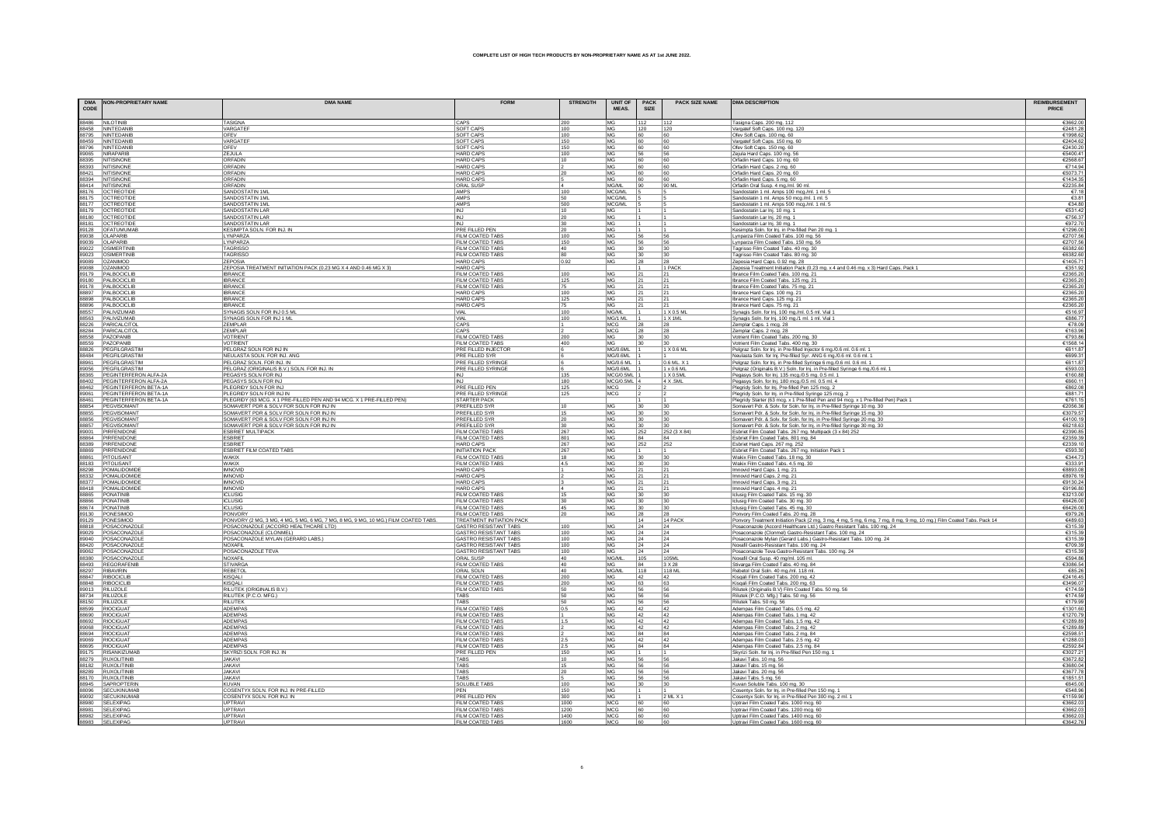|      | DMA NON-PROPRIETARY NAME | <b>DMA NAME</b>                                                                    | <b>FORM</b>                                                  | <b>STRENGTH</b>  | <b>UNIT OF</b>           | <b>PACK</b> | <b>PACK SIZE NAME</b> | <b>DMA DESCRIPTION</b>                                                                                                                               | <b>REIMBURSEMENT</b> |
|------|--------------------------|------------------------------------------------------------------------------------|--------------------------------------------------------------|------------------|--------------------------|-------------|-----------------------|------------------------------------------------------------------------------------------------------------------------------------------------------|----------------------|
| CODE |                          |                                                                                    |                                                              |                  | MEAS.                    | SIZE        |                       |                                                                                                                                                      | PRICE                |
|      |                          | <b>TASIGNA</b>                                                                     | CAPS                                                         | 200              | МG                       | 112         |                       | Tasigna Caps. 200 mg. 112                                                                                                                            | €3662.0              |
|      |                          | VARGATEF                                                                           | SOFT CAPS                                                    | 100              | MG                       | 120         | $\frac{112}{120}$     | Vargatef Soft Caps. 100 mg. 120                                                                                                                      | €2481.2              |
|      |                          | OFEV                                                                               | SOFT CAPS                                                    | 100              | MG                       | 60          | 60                    | Ofev Soft Caps. 100 mg. 60                                                                                                                           | €1998.6              |
|      |                          | VARGATER                                                                           | SOFT CAPS                                                    | 150              | MG                       | 60          | 60                    | Vargatef Soft Caps. 150 mg. 60                                                                                                                       | €2404.6              |
|      |                          | OFEV<br>ZEJULA                                                                     | SOFT CAPS<br><b>HARD CAPS</b>                                | 150<br>100       | MG<br>MG                 | 60<br>56    | 60<br>56              | Ofev Soft Caps. 150 mg. 60<br>Zejula Hard Caps. 100 mg. 56                                                                                           | €2430.2<br>€5400.4   |
|      |                          | ORFADIN                                                                            | <b>HARD CAPS</b>                                             | 10               | MG                       | 60          | 60                    | Orfadin Hard Caps. 10 mg. 60                                                                                                                         | €2568.6              |
|      |                          | ORFADIN                                                                            | <b>HARD CAPS</b>                                             |                  | MG                       | 60          | 60                    | Orfadin Hard Caps. 2 mg. 60                                                                                                                          | €714.9               |
|      |                          | ORFADIN                                                                            | <b>HARD CAPS</b>                                             | 20               | MG                       | 60          | 60                    | Orfadin Hard Caps. 20 mg. 60                                                                                                                         | €5073.7              |
|      |                          | ORFADIN                                                                            | HARD CAPS                                                    |                  | MG                       | 60          | 60                    | Orfadin Hard Caps. 5 mg. 60                                                                                                                          | €1434.3              |
|      |                          | ORFADIN<br>SANDOSTATIN 1ML                                                         | <b>ORAL SUSP</b><br><b>AMPS</b>                              | 100              | MG/ML<br>MCG/ML          | 90          | 90 ML                 | Orfadin Oral Susp. 4 mg./ml. 90 ml.<br>Sandostatin 1 ml. Amps 100 mcg./ml. 1 ml. 5                                                                   | €2235.8<br>€7.1      |
|      |                          | SANDOSTATIN 1ML                                                                    | AMPS                                                         | 50               | MCG/ML                   |             |                       | Sandostatin 1 ml. Amps 50 mcg./ml. 1 ml. 5                                                                                                           | €3.8                 |
|      |                          | SANDOSTATIN 1ML                                                                    | AMPS                                                         | 500              | MCG/ML                   |             |                       | Sandostatin 1 ml. Amps 500 mcg./ml. 1 ml. 5                                                                                                          | €34.8                |
|      |                          | <b>SANDOSTATIN LAR</b>                                                             | <b>INJ</b>                                                   | 10               | <b>MG</b>                |             |                       | Sandostatin Lar Inj. 10 mg. 1                                                                                                                        | €531.4               |
|      |                          | SANDOSTATIN LAR<br>SANDOSTATIN LAR                                                 | <b>INJ</b>                                                   | 20               | MG                       |             |                       | Sandostatin Lar Inj. 20 mg. 1                                                                                                                        | €756.3               |
|      |                          | KESIMPTA SOLN. FOR INJ. IN                                                         | INJ<br>PRE FILLED PEN                                        | 30<br>20         | MG<br>MG                 |             |                       | Sandostatin Lar Inj. 30 mg. 1<br>Kesimpta Soln. for Inj. in Pre-filled Pen 20 mg. 1                                                                  | €972.7<br>€1296.0    |
|      |                          | <b>LYNPARZA</b>                                                                    | <b>FILM COATED TABS</b>                                      | 100              | MG                       | 56          | 56                    | Lynparza Film Coated Tabs. 100 mg. 56                                                                                                                | €2707.5              |
|      |                          | LYNPARZA                                                                           | <b>FILM COATED TABS</b>                                      | 150              | MG                       | 56          | 56                    | Lynparza Film Coated Tabs. 150 mg. 56                                                                                                                | €2707.5              |
|      |                          | <b>TAGRISSO</b>                                                                    | <b>FILM COATED TABS</b>                                      | 40               | <b>MG</b>                | 30          | 130                   | Tagrisso Film Coated Tabs. 40 mg. 30                                                                                                                 | €6382.6              |
|      |                          | TAGRISSO<br><b>ZEPOSIA</b>                                                         | FILM COATED TABS<br><b>HARD CAPS</b>                         | 80               | MG                       | 30<br>28    | 30                    | Tagrisso Film Coated Tabs. 80 mg. 30                                                                                                                 | €6382.6              |
|      |                          | ZEPOSIA TREATMENT INITIATION PACK (0.23 MG X 4 AND 0.46 MG X 3)                    | <b>HARD CAPS</b>                                             | 0.92             | MG                       |             | 28<br>1 PACK          | Zeposia Hard Caps. 0.92 mg. 28<br>Zeposia Treatment Initiation Pack (0.23 mg, x 4 and 0.46 mg, x 3) Hard Caps, Pack 1                                | €1405.7<br>€351.9    |
|      |                          | <b>IRRANCE</b>                                                                     | <b>FILM COATED TABS</b>                                      | 100              | MG                       | 21          | 21                    | Ibrance Film Coated Tabs. 100 mg. 21                                                                                                                 | €2365.2              |
|      |                          | <b>IRRANCE</b>                                                                     | FILM COATED TABS                                             | 125              | MG                       | 21          | 21                    | Ibrance Film Coated Tabs. 125 mg. 21                                                                                                                 | €2365.2              |
|      |                          | <b>IBRANCE</b>                                                                     | FILM COATED TABS                                             | $\frac{75}{100}$ | MG                       | 21          | $\frac{21}{21}$       | Ibrance Film Coated Tabs. 75 mg. 21                                                                                                                  | €2365.2              |
|      |                          | <b>IBRANCE</b><br><b>IBRANCE</b>                                                   | <b>HARD CAPS</b><br><b>HARD CAPS</b>                         |                  | MG<br>MG                 | 21          |                       | Ibrance Hard Caps. 100 mg. 21                                                                                                                        | €2365.2              |
|      |                          | <b>IBRANCE</b>                                                                     | <b>HARD CAPS</b>                                             | 125<br>75        | MG                       | 21          | 21<br>21              | Ibrance Hard Caps. 125 mg. 21<br>Ibrance Hard Caps. 75 mg. 21                                                                                        | €2365.2<br>€2365.2   |
|      |                          | SYNAGIS SOLN FOR INJ 0.5 ML                                                        | <b>VIAL</b>                                                  | 100              | MG/ML                    |             | 1 X 0.5 ML            | Synagis Soln. for Inj. 100 mg./ml. 0.5 ml. Vial 1                                                                                                    | €516.9               |
|      |                          | SYNAGIS SOLN FOR INJ 1 ML                                                          | VIAL                                                         | 100              | MG/1 ML                  |             | 1 X 1 ML              | Synagis Soln. for Inj. 100 mg./1 ml. 1 ml. Vial 1                                                                                                    | €886.7               |
|      |                          | <b>ZEMPLAR</b>                                                                     | CAPS                                                         |                  | MCG                      | 28          | $\frac{28}{28}$       | Zemplar Caps. 1 mcg. 28                                                                                                                              | €78.0                |
|      |                          | <b>ZEMPLAR</b><br><b>VOTRIENT</b>                                                  | CAPS<br>FILM COATED TABS                                     | 200              | MCG<br>MG                | 28<br>30    | 30                    | Zemplar Caps. 2 mcg. 28                                                                                                                              | €1639<br>€793.8      |
|      |                          | <b>VOTRIENT</b>                                                                    | FILM COATED TABS                                             | 400              | MG                       | 30          | 30                    | Votrient Film Coated Tabs. 200 mg. 30<br>Votrient Film Coated Tabs. 400 mg. 30                                                                       | €1568.1              |
|      |                          | PELGRAZ SOLN FOR INJ IN                                                            | PRE FILLED INJECTOR                                          |                  | MG/0.6ML 1               |             | 1 X 0.6 ML            | Pelgraz Soln. for Inj. in Pre-filled Injector 6 mg./0.6 ml. 0.6 ml. 1                                                                                | €611.8               |
|      |                          | NEULASTA SOLN. FOR INJ. ANG                                                        | PRE FILLED SYR                                               |                  | MG/0.6ML                 |             |                       | Neulasta Soln. for Inj. Pre-filled Syr. ANG 6 mg./0.6 ml. 0.6 ml. 1                                                                                  | €699.3               |
|      |                          | PELGRAZ SOLN. FOR INJ. IN                                                          | PRE FILLED SYRINGE                                           |                  | MG/0 6 ML                |             | 0.6 ML. X 1           | Pelgraz Soln. for Inj. in Pre-filled Syringe 6 mg./0.6 ml. 0.6 ml. 1                                                                                 | €611.8               |
|      |                          | PELGRAZ (ORIGINALIS B.V.) SOLN. FOR INJ. IN                                        | PRE FILLED SYRINGE                                           |                  | MG/0.6ML                 |             | 1 x 0.6 ML            | Pelgraz (Originalis B.V.) Soln. for Inj. in Pre-filled Syringe 6 mg./0.6 ml. 1                                                                       | €593.                |
|      |                          | PEGASYS SOLN FOR INJ<br>PEGASYS SOLN FOR INJ                                       | <b>INJ</b><br>INJ                                            | 135<br>180       | MCG/0.5ML<br>MCG/0.5ML   |             | 1 X 0.5ML<br>4 X .5ML | Pegasys Soln. for Inj. 135 mcg./0.5 mg. 0.5 ml. 1<br>Pegasys Soln. for Inj. 180 mcg./0.5 ml. 0.5 ml. 4                                               | €160.8<br>€660.      |
|      |                          | PLEGRIDY SOLN FOR INJ                                                              | PRE FILLED PEN                                               | 125              | MCG                      |             |                       | Plegridy Soln. for Inj. Pre-filled Pen 125 mcg. 2                                                                                                    | €862.0               |
|      |                          | PLEGRIDY SOLN FOR INJ IN                                                           | PRE FILLED SYRINGE                                           | 125              | MCG                      |             |                       | Plegridy Soln. for Inj. in Pre-filled Syringe 125 mcg. 2                                                                                             | €881.7               |
|      |                          | PLEGRIDY (63 MCG. X 1 PRE-FILLED PEN AND 94 MCG. X 1 PRE-FILLED PEN)               | STARTER PACK                                                 |                  |                          |             |                       | Plegridy Starter (63 mcg. x 1 Pre-filled Pen and 94 mcg. x 1 Pre-filled Pen) Pack 1                                                                  | €761.                |
|      |                          | SOMAVERT PDR & SOLV FOR SOLN FOR INJ IN                                            | <b>PREFILLED SYR</b>                                         | 10               | MG                       | 30          | 130                   | Somavert Pdr. & Solv. for Soln. for Inj. in Pre-filled Syringe 10 mg. 30                                                                             | €2056.3              |
|      |                          | SOMAVERT PDR & SOLV FOR SOLN FOR INJ IN<br>SOMAVERT PDR & SOLV FOR SOLN FOR INJ IN | PREFILLED SYR<br>PREFILLED SYR                               | 15<br>20         | MG<br>MG                 | 30<br>30    | 30<br>30              | Somavert Pdr. & Solv. for Soln. for Inj. in Pre-filled Syringe 15 mg. 30<br>Somavert Pdr. & Solv. for Soln. for Inj. in Pre-filled Syringe 20 mg. 30 | €3079.5<br>€4100.    |
|      |                          | SOMAVERT PDR & SOLV FOR SOLN FOR INJ IN                                            | PREFILLED SYR                                                | 30               | MG                       | 30          | 30                    | Somavert Pdr. & Solv. for Soln. for Inj. in Pre-filled Syringe 30 mg. 30                                                                             | €6218.6              |
|      |                          | <b>ESBRIET MULTIPACK</b>                                                           | FILM COATED TABS                                             | 267              | MG                       | 252         | 252 (3 X 84)          | Esbriet Film Coated Tabs. 267 mg. Multipack (3 x 84) 252                                                                                             | €2390.8              |
|      |                          | <b>ESBRIFT</b>                                                                     | FILM COATED TABS                                             | 801              | MG                       | 84          |                       | Esbriet Film Coated Tabs. 801 mg. 84                                                                                                                 | €2359.3              |
|      |                          | <b>FSBRIFT</b>                                                                     | <b>HARD CAPS</b>                                             | 267              | MG                       | 252         | 252                   | Esbriet Hard Caps. 267 mg. 252                                                                                                                       | €2339.               |
|      |                          | <b>ESBRIET FILM COATED TABS</b><br>WAKIX                                           | <b>INITIATION PACK</b><br>FILM COATED TABS                   | 267<br>18        | MG<br>MG                 | 30          | 30                    | Esbriet Film Coated Tabs. 267 mg. Initiation Pack 1<br>Wakix Film Coated Tabs. 18 mg. 30                                                             | €593.3<br>€344.7     |
|      |                          | WAKIX                                                                              | FILM COATED TABS                                             | 4.5              | MG                       | 30          | 30                    | Wakix Film Coated Tabs. 4.5 mg. 30                                                                                                                   | €333.9               |
|      |                          | <b>IMNOVID</b>                                                                     | <b>HARD CAPS</b>                                             |                  | MG                       | 21          | 21                    | Imnovid Hard Caps. 1 mg. 21                                                                                                                          | €8893.0              |
|      |                          | <b>IMNOVID</b>                                                                     | <b>HARD CAPS</b>                                             |                  | MG                       | 21          | 21                    | Imnovid Hard Caps. 2 mg. 21                                                                                                                          | €8976.               |
|      |                          | <b>IMNOVID</b>                                                                     | <b>HARD CAPS</b>                                             |                  | MG                       |             | 21                    | Imnovid Hard Caps. 3 mg. 21                                                                                                                          | €9130.2              |
|      |                          | <b>IMNOVID</b><br><b>ICLUSIG</b>                                                   | <b>HARD CAPS</b><br>FILM COATED TABS                         | 15               | MG<br>MG                 | 21<br>30    | 21<br>30              | Imnovid Hard Caps. 4 mg. 21<br>Iclusig Film Coated Tabs. 15 mg. 30                                                                                   | €9196.8<br>€3213.0   |
|      |                          | <b>ICLUSIG</b>                                                                     | FILM COATED TABS                                             | 30               | MG                       | 30          | 30                    | Iclusig Film Coated Tabs. 30 mg. 30                                                                                                                  | €6426.0              |
|      |                          | <b>ICLUSIG</b>                                                                     | FILM COATED TABS                                             | 45               | MG                       | 30          | 30                    | Iclusig Film Coated Tabs. 45 mg. 30                                                                                                                  | €6426.0              |
|      |                          | PONVOR <sup>®</sup>                                                                | FILM COATED TABS                                             | 20               | MG                       | 28          |                       | Ponvory Film Coated Tabs. 20 mg. 28                                                                                                                  | €979.2               |
|      |                          | PONVORY (2 MG, 3 MG, 4 MG, 5 MG, 6 MG, 7 MG, 8 MG, 9 MG, 10 MG.) FILM COATED TABS. | <b>TREATMENT INITIATION PACK</b>                             |                  |                          |             | 14 PACK               | Ponvory Treatment Initiation Pack (2 mg, 3 mg, 4 mg, 5 mg, 6 mg, 7 mg, 8 mg, 9 mg, 10 mg.) Film Coated Tabs. Pack 14                                 | €489.6               |
|      |                          | POSACONAZOLE (ACCORD HEALTHCARE LTD)<br>POSACONAZOLE (CLONMEL)                     | <b>GASTRO RESISTANT TABS</b><br><b>GASTRO RESISTANT TABS</b> | 100<br>100       | MG<br>MG                 | 24<br>24    | 24                    | Posaconazole (Accord Healthcare Ltd.) Gastro Resistant Tabs. 100 mg. 24<br>Posaconazole (Clonmel) Gastro-Resistant Tabs. 100 mg. 24                  | €315.3<br>€315.3     |
|      |                          | POSACONAZOLE MYLAN (GERARD LABS.)                                                  | <b>GASTRO RESISTANT TABS</b>                                 | 100              | MG                       | 24          | $\frac{24}{24}$       |                                                                                                                                                      | €315.3               |
|      |                          | <b>NOXAFIL</b>                                                                     | <b>GASTRO RESISTANT TABS</b>                                 | 100              | MG                       | 24          | 24                    | Posaconazole Mylan (Gerard Labs.) Gastro-Resistant Tabs. 100 mg. 24<br>Noxafil Gastro-Resistant Tabs. 100 mg. 24                                     | €709.3               |
|      |                          | POSACONAZOLE TEVA                                                                  | GASTRO RESISTANT TABS                                        | 100              | MG                       | 24          | $\overline{24}$       | Posaconazole Teva Gastro-Resistant Tabs. 100 mg. 24                                                                                                  | €315.3               |
|      |                          | <b>NOXAFIL</b><br><b>STIVARGA</b>                                                  | <b>ORAL SUSF</b><br><b>FILM COATED TABS</b>                  | 40<br>40         | MG/ML<br>MG              | 105<br>84   | 105M<br>3 X 28        | Noxafil Oral Susp. 40 mg/ml. 105 ml.                                                                                                                 | €594.8<br>€3086.5    |
|      |                          | <b>REBETOL</b>                                                                     | ORAL SOLN                                                    | 40               | MG/M                     | 118         | 118 ML                | Stivarga Film Coated Tabs. 40 mg. 84<br>Rebetol Oral Soln. 40 mg./ml. 118 ml.                                                                        | €85.2                |
|      |                          | KISQALI                                                                            | FILM COATED TABS                                             | 200              | MG                       | 42          | 42                    |                                                                                                                                                      | €2416.4              |
|      |                          | KISQALI                                                                            | FILM COATED TABS                                             | 200              | MG                       | 63          | 63                    | Kisqali Film Coated Tabs. 200 mg. 42<br>Kisqali Film Coated Tabs. 200 mg. 63                                                                         | €3496.0              |
|      |                          | RILUTEK (ORIGINALIS B.V.)                                                          | FILM COATED TABS                                             | 50               | MG                       | 56          | 56                    | Rilutek (Originalis B.V) Film Coated Tabs. 50 mg. 56                                                                                                 | €174.5               |
|      |                          | RILUTEK (P.C.O. MFG.)<br><b>RILUTEK</b>                                            | <b>TARS</b><br><b>TABS</b>                                   | 50<br>50         | MG<br>MG                 | 56<br>56    | 56<br>56              | Rilutek (P.C.O. Mfg.) Tabs. 50 mg. 56                                                                                                                | €174.5<br>€179.9     |
|      |                          | ADEMPAS                                                                            | FILM COATED TABS                                             | 0.5              | MG                       | 142         | 42                    | Rilutek Tabs. 50 mg. 56<br>Adempas Film Coated Tabs. 0.5 mg. 42                                                                                      | €1301.6              |
|      |                          | ADEMPAS                                                                            | <b>FILM COATED TABS</b>                                      |                  | MG                       | 42          | 42                    | Adempas Film Coated Tabs. 1 mg. 42                                                                                                                   | €1270.7              |
|      |                          | ADEMPAS                                                                            | <b>FILM COATED TABS</b>                                      | 1.5              | <b>IMG</b>               | 42          | 42                    | Adempas Film Coated Tabs. 1.5 mg. 42                                                                                                                 | €1289.8              |
|      |                          | ADEMPAS<br>ADEMPAS                                                                 | FILM COATED TABS                                             |                  | MG                       | 42          | 42                    | Adempas Film Coated Tabs. 2 mg. 42                                                                                                                   | €1289.8              |
|      |                          | <b>ADEMPAS</b>                                                                     | <b>FILM COATED TABS</b><br><b>FILM COATED TABS</b>           | 2.5              | MG<br>MG <sub></sub>     | 84<br>42    | 84<br>42              | Adempas Film Coated Tabs. 2 mg. 84<br>Adempas Film Coated Tabs. 2.5 mg. 42                                                                           | €2598.5<br>€1288.0   |
|      |                          | ADEMPAS                                                                            | <b>FILM COATED TABS</b>                                      | 2.5              | <b>MG</b>                | 84          | 84                    | Adempas Film Coated Tabs. 2.5 mg. 84                                                                                                                 | €2592.8              |
|      |                          | SKYRIZI SOLN. FOR INJ. IN                                                          | PRE FILLED PEN                                               | 150              | MG                       |             |                       | Skyrizi Soln. for Inj. in Pre-filled Pen 150 mg. 1                                                                                                   | €3027.2              |
|      |                          | <b>JAKAVI</b>                                                                      | <b>TARS</b>                                                  | 10               | MG                       | 56          | 56                    | Jakavi Tabs. 10 mg. 56                                                                                                                               | €3672.8              |
|      |                          | <b>JAKAVI</b>                                                                      | <b>TABS</b>                                                  | 15               | MG                       | 56          | 56                    | Jakavi Tabs. 15 mg. 56                                                                                                                               | €3680.0              |
|      |                          | <b>JAKAVI</b><br><b>JAKAVI</b>                                                     | <b>TABS</b><br><b>TABS</b>                                   | 20               | MG<br>MG                 | 56<br>56    | 56<br>56              | Jakavi Tabs. 20 mg. 56<br>Jakavi Tabs. 5 mg. 56                                                                                                      | €3677.7<br>€1851.    |
|      |                          | KUVAN                                                                              | <b>SOLUBLE TABS</b>                                          | 100              | MG                       | 30          | 30                    | Kuvan Soluble Tabs. 100 mg. 30                                                                                                                       | €645.0               |
|      |                          | COSENTYX SOLN. FOR INJ. IN PRE-FILLED                                              | PFN                                                          | 150              | MG                       |             |                       | Cosentyx Soln. for Inj. in Pre-filled Pen 150 mg. 1                                                                                                  | €548.9               |
|      |                          | COSENTYX SOLN. FOR INJ. IN                                                         | PRE FILLED PEN                                               | 300              | MG                       |             | 2 ML X 1              | Cosentyx Soln. for Inj. in Pre-filled Pen 300 mg. 2 ml. 1                                                                                            | €1159.9              |
|      |                          | <b>UPTRAVI</b><br>UPTRAVI                                                          | FILM COATED TABS                                             | 1000             | MCG                      | 60          | 60                    | Uptravi Film Coated Tabs. 1000 mcg. 60                                                                                                               | €3662.0              |
|      |                          | UPTRAVI                                                                            | FILM COATED TABS<br>FILM COATED TABS                         | 1200<br>1400     | <b>MCG</b><br><b>MCG</b> | 60<br>60    | 60<br>60              | Uptravi Film Coated Tabs. 1200 mcg. 60<br>Uptravi Film Coated Tabs. 1400 mcg. 60                                                                     | €3662.0<br>€3662.0   |
|      |                          | <b>IDTDA</b>                                                                       |                                                              |                  | MCC                      |             |                       | Intravi Film Coated Tabs 1600                                                                                                                        | <b>ERRAD</b>         |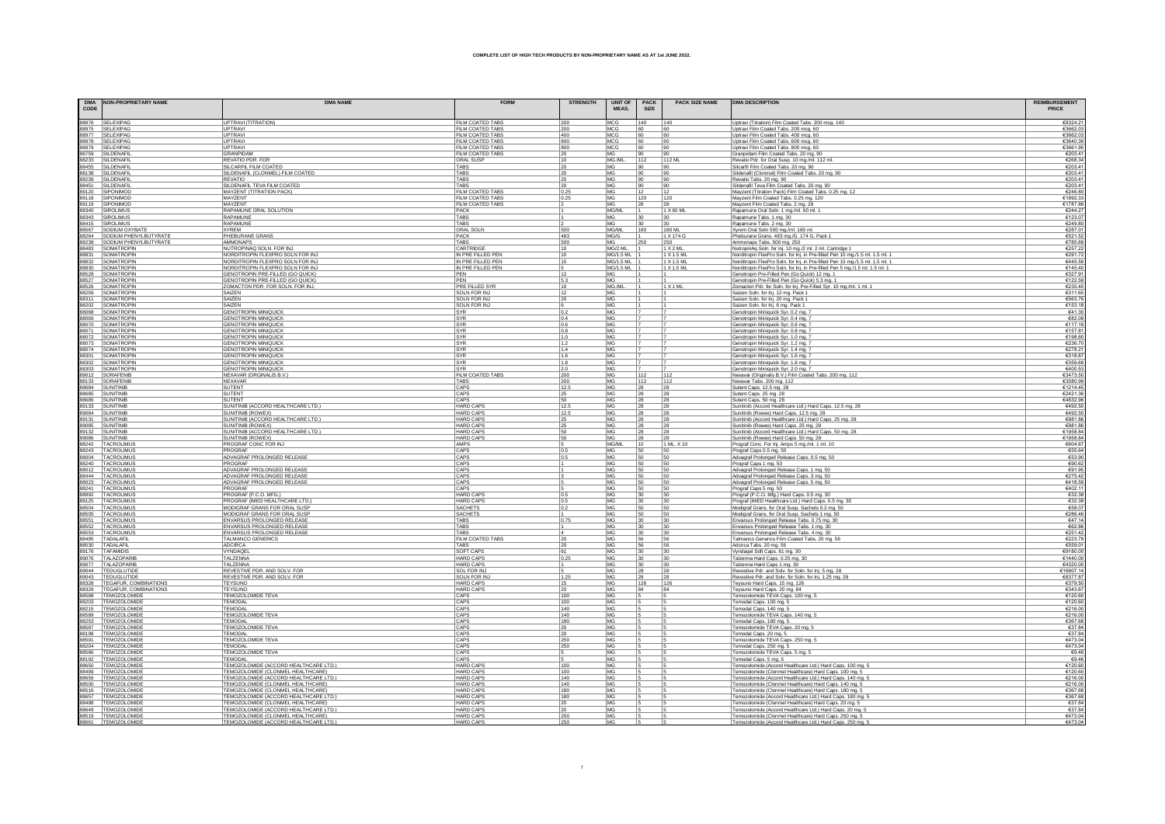| CODE  | DMA NON-PROPRIETARY NAME                                                                                                                                                                                                                           | <b>DMA NAME</b>                                                            | <b>FORM</b>                          | <b>STRENGTH</b> | <b>UNIT OF</b><br><b>MEAS</b> | <b>PACK</b><br>SIZE | <b>PACK SIZE NAME</b> | <b>DMA DESCRIPTION</b>                                                                                                         | <b>REIMBURSEMENT</b><br><b>PRICE</b> |
|-------|----------------------------------------------------------------------------------------------------------------------------------------------------------------------------------------------------------------------------------------------------|----------------------------------------------------------------------------|--------------------------------------|-----------------|-------------------------------|---------------------|-----------------------|--------------------------------------------------------------------------------------------------------------------------------|--------------------------------------|
|       |                                                                                                                                                                                                                                                    |                                                                            |                                      |                 |                               |                     |                       |                                                                                                                                |                                      |
|       | 88976 SELEXIPAG                                                                                                                                                                                                                                    | UPTRAVI (TITRATION)                                                        | FILM COATED TABS                     | 200             | MCG                           | 140                 | 140                   | Uptravi (Titration) Film Coated Tabs. 200 mcg. 140                                                                             | €8324.21                             |
|       | 88975 SELEXIPAG                                                                                                                                                                                                                                    | <b>UPTRAVI</b>                                                             | FILM COATED TABS                     | 200             | <b>MCG</b>                    | 60                  | 60                    | Uptravi Film Coated Tabs. 200 mcg. 60                                                                                          | €3662.0                              |
|       | 88977 SELEXIPAG                                                                                                                                                                                                                                    | UPTRAVI<br>UPTRAV                                                          | FILM COATED TABS<br>FILM COATED TABS | 400<br>600      | MCG<br><b>MCG</b>             | 60<br>60            | 60<br>60              | Uptravi Film Coated Tabs. 400 mcg. 60<br>Uptravi Film Coated Tabs. 600 mcg. 60                                                 | €3662.0<br>€3640.3                   |
|       |                                                                                                                                                                                                                                                    | <b>UPTRAVI</b>                                                             | FILM COATED TABS                     | 800             | <b>MCG</b>                    | 60                  | 160                   | Uptravi Film Coated Tabs. 800 mcg. 60                                                                                          | €3661.9                              |
|       |                                                                                                                                                                                                                                                    | <b>GRANPIDAM</b>                                                           | FILM COATED TABS                     | 20              | <b>MG</b>                     | 90                  | 90                    | Granpidam Film Coated Tabs. 20 mg. 90                                                                                          | €203.4                               |
|       |                                                                                                                                                                                                                                                    | REVATIO PDR. FOR                                                           | ORAL SUSF                            | 10              | MG./M                         | 112                 | 112 ML                | Revatio Pdr. for Oral Susp. 10 mg./ml. 112 ml.                                                                                 | €268.3                               |
|       |                                                                                                                                                                                                                                                    | SILCARFIL FILM COATED                                                      | <b>TABS</b>                          | 20              | MG                            | 90                  | 190                   | Silcarfil Film Coated Tabs. 20 mg. 90                                                                                          | €203.4                               |
|       |                                                                                                                                                                                                                                                    | SILDENAFIL (CLONMEL) FILM COATED<br><b>REVATIO</b>                         | <b>TABS</b><br>TABS                  | 20<br>20        | MG<br>MG                      | 90                  | 90                    | Sildenafil (Clonmel) Film Coated Tabs. 20 mg. 90                                                                               | €203.4                               |
|       |                                                                                                                                                                                                                                                    | SILDENAFIL TEVA FILM COATED                                                | TABS                                 |                 | MG                            | 90<br>90            | 90<br> 90             | Revatio Tabs. 20 mg. 90<br>Sildenafil Teva Film Coated Tabs. 20 mg. 90                                                         | €203.4<br>€203.4                     |
|       |                                                                                                                                                                                                                                                    | MAYZENT (TITRATION PACK)                                                   | FILM COATED TABS                     | 20<br>0.25      | MG                            | 12                  | 112                   | Mayzent (Titration Pack) Film Coated Tabs. 0.25 mg. 12                                                                         | €246.8                               |
|       |                                                                                                                                                                                                                                                    | MAYZENT                                                                    | FILM COATED TABS                     | 0.25            | MG                            | 1120                | 120                   | Mayzent Film Coated Tabs. 0.25 mg. 120                                                                                         | €1892.3                              |
|       |                                                                                                                                                                                                                                                    | MAYZENT                                                                    | <b>FILM COATED TABS</b>              |                 | MG                            | 28                  | 28                    | Mayzent Film Coated Tabs. 2 mg. 28                                                                                             | €1787.8                              |
|       |                                                                                                                                                                                                                                                    | RAPAMUNE ORAL SOLUTION                                                     | <b>PACK</b>                          |                 | MG/ML                         | $\vert$ 1           | 1 X 60 ML             | Rapamune Oral Soln. 1 mg/ml. 60 ml. 1                                                                                          | €244.2                               |
|       |                                                                                                                                                                                                                                                    | <b>RAPAMUNE</b>                                                            | TARS                                 |                 | <b>MG</b>                     | 30                  | 30 <sup>°</sup>       | Rapamune Tabs. 1 mg. 30                                                                                                        | €123.0                               |
|       | 88343 SIROLIMUS<br>88667 SODIUM OXYBATE<br>88264 SODIUM PHENYLBUTYRATE<br>88238 SODIUM PHENYLBUTYRATE<br>88483 SOMATROPIN<br>88831 SOMATROPIN                                                                                                      | RAPAMUNE<br><b>XYREM</b>                                                   | TABS<br><b>ORAL SOLN</b>             | 500             | MG<br><b>MG/ML</b>            | 30<br>180           | 30<br>180 M           | Rapamune Tabs. 2 mg. 30                                                                                                        | €249.8<br>€287.0                     |
|       |                                                                                                                                                                                                                                                    | PHEBURANE GRANS                                                            | <b>PACK</b>                          | 483             | MG/G                          | $\overline{11}$     | 1 X 174 G             | Xyrem Oral Soln 500 mg./ml. 180 ml.<br>Pheburane Grans. 483 mg./G. 174 G. Pack 1                                               | €521.5                               |
|       |                                                                                                                                                                                                                                                    | AMMONAPS                                                                   | <b>TABS</b>                          | 500             | <b>MG</b>                     | 250                 | 250                   | Ammonaps Tabs. 500 mg. 250                                                                                                     | €785.6                               |
|       |                                                                                                                                                                                                                                                    | NUTROPINAQ SOLN, FOR INJ.                                                  | CARTRIDGE                            | 10              | MG/2 ML                       |                     | 1 X 2 ML              | NutropinAq Soln. for lnj. 10 mg./2 ml. 2 ml. Cartridge 1                                                                       | €257.2                               |
|       |                                                                                                                                                                                                                                                    | NORDITROPIN FLEXPRO SOLN FOR INJ                                           | IN PRE FILLED PEN                    | 10              | <b>MG/1.5 ML</b>              |                     | 1 X 1.5 ML            | Norditropin FlexPro Soln. for Inj. in Pre-filled Pen 10 mg./1.5 ml. 1.5 ml. 1                                                  | €291.7                               |
|       | 88831 SOMATROPIN<br>88832 SOMATROPIN<br>88820 SOMATROPIN<br>88528 SOMATROPIN<br>88526 SOMATROPIN<br>88259 SOMATROPIN<br>88259 SOMATROPIN                                                                                                           | NORDITROPIN FLEXPRO SOLN FOR INJ                                           | IN PRE FILLED PEN                    | 15<br>l s       | <b>MG/1.5 ML</b>              |                     | 1 X 1.5 ML            | Norditropin FlexPro Soln. for Inj. in Pre-filled Pen 15 mg./1.5 ml. 1.5 ml. 1                                                  | €445.5<br>€145.4                     |
|       |                                                                                                                                                                                                                                                    | NORDITROPIN FLEXPRO SOLN FOR INJ<br>GENOTROPIN PRE-FILLED (GO QUICK)       | IN PRE FILLED PEN<br>PFN             | 12              | <b>MG/1.5 ML</b><br>MG        |                     | 1 X 1.5 ML            | Norditropin FlexPro Soln, for Ini, in Pre-filled Pen 5 ma./1.5 ml. 1.5 ml. 1.<br>Genotropin Pre-Filled Pen (Go Quick) 12 mg. 1 | €327.9                               |
|       |                                                                                                                                                                                                                                                    | GENOTROPIN PRE-FILLED (GO QUICK)                                           | PFN                                  | 5.3             | <b>MG</b>                     |                     |                       | Genotropin Pre-Filled Pen (Go Quick) 5.3 mg. 1                                                                                 | €122.5                               |
|       |                                                                                                                                                                                                                                                    | ZOMACTON PDR, FOR SOLN, FOR INJ.                                           | PRE FILLED SYR                       | 10              | MG./ML                        |                     | 1 X 1 ML              | Zomacton Pdr. for Soln. for Inj. Pre-Filled Syr. 10 mg./ml. 1 ml. 1                                                            | €235.4                               |
|       |                                                                                                                                                                                                                                                    | SAIZEN                                                                     | <b>SOLN FOR INJ</b>                  | 12              | <b>MG</b>                     |                     |                       | Saizen Soln. for Inj. 12 mg. Pack 1                                                                                            | €311.6                               |
|       | 88311 SOMATROPIN<br>88202 SOMATROPIN                                                                                                                                                                                                               | SAIZEN                                                                     | SOLN FOR IN.                         | 20              | MG                            |                     |                       | Saizen Soln. for Inj. 20 mg. Pack 1                                                                                            | €563.7                               |
|       |                                                                                                                                                                                                                                                    | SAIZEN                                                                     | SOLN FOR INJ                         |                 | MG                            |                     |                       | Saizen Soln. for Inj. 6 mg. Pack 1                                                                                             | €153.1                               |
|       | 88068 SOMATROPIN<br>88069 SOMATROPIN<br>88070 SOMATROPIN<br>88071 SOMATROPIN                                                                                                                                                                       | <b>GENOTROPIN MINIQUICK</b><br><b>GENOTROPIN MINIQUICK</b>                 | <b>SYR</b><br>SYR                    | 0.2<br>0.4      | MG<br>MG                      | 7                   |                       | Genotropin Miniquick Syr. 0.2 mg. 7<br>Genotropin Miniquick Syr. 0.4 mg. 7                                                     | €41.3<br>€82.0                       |
|       |                                                                                                                                                                                                                                                    | <b>GENOTROPIN MINIQUICK</b>                                                | SYR                                  | 0.6             | <b>MG</b>                     |                     |                       | Genotropin Miniquick Syr. 0.6 mg. 7                                                                                            | 6117'                                |
|       |                                                                                                                                                                                                                                                    | <b>GENOTROPIN MINIQUICK</b>                                                | SYR                                  | 0.8             | MG                            | $\overline{17}$     |                       | Genotropin Miniquick Syr. 0.8 mg.                                                                                              | €157.8                               |
|       | 88072 SOMATROPIN                                                                                                                                                                                                                                   | <b>GENOTROPIN MINIQUICK</b>                                                | <b>SYR</b>                           | 1.0             | MG                            |                     |                       | Genotropin Miniquick Syr. 1.0 mg.                                                                                              | €198.6                               |
|       |                                                                                                                                                                                                                                                    | <b>GENOTROPIN MINIQUICK</b>                                                | SYR                                  | 1.2             | MG                            | 7                   |                       | Genotropin Miniquick Syr. 1.2 mg.                                                                                              | €236.7                               |
|       | MATROPIN<br>88073 SOMATROPIN<br>88074 SOMATROPIN<br>88301 SOMATROPIN<br>88303 SOMATROPIN<br>88303 SOMATROPIN                                                                                                                                       | <b>GENOTROPIN MINIQUICK</b>                                                | <b>SYR</b>                           | 1.4             | MG                            | 7                   |                       | Genotropin Miniquick Syr. 1.4 mg. 7                                                                                            | €278.2                               |
|       |                                                                                                                                                                                                                                                    | <b>GENOTROPIN MINIQUICK</b><br><b>GENOTROPIN MINIQUICK</b>                 | SYR<br>SYR                           | 1.6<br>1.8      | MG<br><b>MG</b>               |                     |                       | Genotropin Miniquick Syr. 1.6 mg. 7<br>Genotropin Miniquick Syr. 1.8 mg. 7                                                     | €318.8<br>€359 F                     |
|       |                                                                                                                                                                                                                                                    | <b>GENOTROPIN MINIQUICK</b>                                                | SYR                                  | 2.0             | MG                            |                     |                       | Genotropin Miniquick Syr. 2.0 mg.                                                                                              | €400.5                               |
|       | 89012 SORAFENIB                                                                                                                                                                                                                                    | <b>NEXAVAR (ORGINALIS B.V.)</b>                                            | FILM COATED TABS                     | 200             | MG                            | 112                 | 112                   | Nexavar (Originalis B.V.) Film Coated Tabs. 200 mg. 112                                                                        | €3473.5                              |
|       | 88133 SORAFENIE                                                                                                                                                                                                                                    | <b>NEXAVAR</b>                                                             | <b>TABS</b>                          | 200             | MG                            | 112                 | 112                   | Nexavar Tabs. 200 mg. 112                                                                                                      | €3580.9                              |
|       | 88684 SUNITINIE                                                                                                                                                                                                                                    | <b>SUTENT</b>                                                              | CAPS                                 | 12.5            | MG                            | 28                  | 28                    | Sutent Caps. 12.5 mg. 28                                                                                                       | €1214.4                              |
|       | 88685 SUNITINIE                                                                                                                                                                                                                                    | <b>SUTENT</b><br>SUTENT                                                    | CAPS<br>CAPS                         | 25<br>50        | MG<br>MG                      | 28<br>28            | 28<br>28              | Sutent Caps. 25 mg. 28<br>Sutent Caps. 50 mg. 28                                                                               | €2421.<br>€4832.9                    |
|       | 88686 SUNITINIB<br>89133 SUNITINIB                                                                                                                                                                                                                 | SUNITINIB (ACCORD HEALTHCARE LTD.)                                         | <b>HARD CAPS</b>                     | 12.5            | MG                            | 28                  | 28                    | Sunitinib (Accord Healthcare Ltd.) Hard Caps. 12.5 mg. 28                                                                      | €492.5                               |
|       | 89084 SUNITINIB                                                                                                                                                                                                                                    | SUNITINIB (ROWEX)                                                          | <b>HARD CAPS</b>                     | 12.5            | MG                            | 28                  | 28                    | Sunitinib (Rowex) Hard Caps. 12.5 mg. 28                                                                                       | €492.5                               |
| 89131 | SUNITINIE                                                                                                                                                                                                                                          | SUNITINIB (ACCORD HEALTHCARE LTD.)                                         | HARD CAPS                            | 25              | MG                            | 28                  | 28                    | Sunitinib (Accord Healthcare Ltd.) Hard Caps. 25 mg. 28                                                                        | €981.                                |
|       | 89085 SUNITINIE                                                                                                                                                                                                                                    | SUNITINIB (ROWEX)                                                          | HARD CAPS                            | 25              | MG                            | 28                  | 28                    | Sunitinib (Rowex) Hard Caps. 25 mg. 28                                                                                         | €981.8                               |
|       | 89132 SUNITINIE                                                                                                                                                                                                                                    | SUNITINIB (ACCORD HEALTHCARE LTD.)                                         | HARD CAPS                            | 50              | MG                            | 28                  | 28                    | Sunitinib (Accord Healthcare Ltd.) Hard Caps. 50 mg. 28                                                                        | €1958.8                              |
|       | 89086 SUNITINIB<br>88242 TACROLIMUS<br>88243 TACROLIMUS<br>88004 TACROLIMUS                                                                                                                                                                        | SUNITINIB (ROWEX)                                                          | HARD CAPS<br>AMPS                    | 50              | MG                            | 28                  | 28                    | Sunitinib (Rowex) Hard Caps. 50 mg. 28                                                                                         | €1958.8<br>€604.6                    |
|       |                                                                                                                                                                                                                                                    | PROGRAF CONC FOR INJ<br>PROGRAF                                            | CAPS                                 | 0.5             | MG/ML<br>MG                   | $ 10\rangle$<br>50  | 1 ML. X 10<br>50      | Prograf Conc. For Inj. Amps 5 mg./ml. 1 ml. 10<br>Prograf Caps 0.5 mg. 50                                                      | €55.6                                |
|       |                                                                                                                                                                                                                                                    | ADVAGRAF PROLONGED RELEASE                                                 | CAPS                                 | 0.5             | MG                            | 50                  | 50                    | Advagraf Prolonged Release Caps. 0.5 mg. 50                                                                                    | €53.9                                |
|       | 88240 TACROLIMUS                                                                                                                                                                                                                                   | PROGRAF                                                                    | CAPS                                 |                 | MG                            | 50                  | 50                    | Prograf Caps 1 mg. 50                                                                                                          | €90.6                                |
|       | 88012 TACROLIMUS                                                                                                                                                                                                                                   | ADVAGRAF PROLONGED RELEASE                                                 | CAPS                                 |                 | MG                            | 50                  | 50                    | Advagraf Prolonged Release Caps. 1 mg. 50                                                                                      | €91.9                                |
|       | 88444 TACROLIMUS<br>88023 TACROLIMUS                                                                                                                                                                                                               | ADVAGRAF PROLONGED RELEASE                                                 | CAPS                                 |                 | MG                            | 50                  | 50                    | Advagraf Prolonged Release Caps. 3 mg. 50                                                                                      | €275.4                               |
|       |                                                                                                                                                                                                                                                    | ADVAGRAF PROLONGED RELEASE                                                 | CAPS                                 |                 | MG                            | 50                  | 50                    | Advagraf Prolonged Release Caps. 5 mg. 50                                                                                      | €418.                                |
|       | 88241 TACROLIMUS<br>88992 TACROLIMUS<br>89125 TACROLIMUS<br>88504 TACROLIMUS                                                                                                                                                                       | PROGRAF<br>PROGRAF (P.C.O. MFG.)                                           | CAPS<br><b>HARD CAPS</b>             | 0.5             | MG<br>MG                      | 50<br>30            | 50<br> 30             | Prograf Caps 5 mg. 50<br>Prograf (P.C.O. Mfg.) Hard Caps. 0.5 mg. 30                                                           | €402.<br>€32.3                       |
|       |                                                                                                                                                                                                                                                    | PROGRAF (IMED HEALTHCARE LTD.)                                             | <b>HARD CAPS</b>                     | 0.5             | MG                            | 30                  | 30                    | Prograf (iMED Healthcare Ltd.) Hard Caps. 0.5 mg. 30                                                                           | €32.3                                |
|       |                                                                                                                                                                                                                                                    | MODIGRAF GRANS FOR ORAL SUSP                                               | <b>SACHETS</b>                       | 0.2             | MG                            | 50                  | 50                    | Modigraf Grans. for Oral Susp. Sachets 0.2 mg. 50                                                                              | €58.0                                |
|       | 88505 TACROLIMUS                                                                                                                                                                                                                                   | MODIGRAF GRANS FOR ORAL SUSI                                               | <b>SACHETS</b>                       |                 | MG                            | 50                  | 50                    | Modigraf Grans. for Oral Susp. Sachets 1 mg. 50                                                                                | €286.4                               |
|       |                                                                                                                                                                                                                                                    | ENVARSUS PROLONGED RELEASE                                                 | <b>TABS</b>                          | 0.75            | MG                            | 30                  | 30                    | Envarsus Prolonged Release Tabs. 0.75 mg. 30                                                                                   | €47.                                 |
|       |                                                                                                                                                                                                                                                    | ENVARSUS PROLONGED RELEASE                                                 | TABS                                 |                 | MG                            | 30                  | 30                    | Envarsus Prolonged Release Tabs. 1 mg. 30<br>Envarsus Prolonged Release Tabs. 4 mg. 30                                         | €62.8                                |
|       | 885151 TACROLIMUS<br>88551 TACROLIMUS<br>88552 TACROLIMUS<br>88553 TACROLIMUS<br>88495 TADALAFIL<br>89176 TAFAMIDIS<br>70176 TAFAMIDIS                                                                                                             | ENVARSUS PROLONGED RELEASE<br>TALMANCO GENERICS                            | TABS<br>FILM COATED TABS             | l4.<br>20       | MG<br>MG                      | 30<br>56            | 30<br>56              | Talmanco Generics Film Coated Tabs. 20 mg. 56                                                                                  | €251.4<br>€223.7                     |
|       |                                                                                                                                                                                                                                                    | <b>ADCIRCA</b>                                                             | TABS                                 | 20              | MG                            | 56                  | 56                    | Adcirca Tabs. 20 mg. 56                                                                                                        | €559.0                               |
|       |                                                                                                                                                                                                                                                    | VYNDAQE                                                                    | SOFT CAPS                            | 61              | MG                            | 30                  | 30                    | Vyndagel Soft Caps. 61 mg. 30                                                                                                  | €9180.0                              |
|       |                                                                                                                                                                                                                                                    | <b>TALZENNA</b>                                                            | <b>HARD CAPS</b>                     | 0.25            | MG                            | 30                  | 30                    | Talzenna Hard Caps. 0.25 mg. 30                                                                                                | €1440.0                              |
|       |                                                                                                                                                                                                                                                    | <b>TALZENNA</b>                                                            | <b>HARD CAPS</b>                     |                 | MG                            | 30                  | 30                    | Talzenna Hard Caps 1 mg. 30                                                                                                    | €4320.0                              |
|       |                                                                                                                                                                                                                                                    | REVESTIVE PDR, AND SOLV, FOR                                               | SOL FOR INJ<br>SOLN FOR IN.          | 1.25            | MG<br>MG                      | 28                  | 28                    | Revestive Pdr. and Solv. for Soln. for Inj. 5 mg. 28                                                                           | €16907.1<br>€8377.8                  |
|       | 89176 TAFAMIDS<br>89077 TALAZOPARIB<br>89044 TEOUGLUTIDE<br>89043 TEOLGLUTIDE<br>89043 TEOLGLUTIDE<br>89329 TEGAFUR, COMBINATIONS<br>89329 TEGAFUR, COMBINATIONS<br>89239 TEMOZOLOMIDE<br>89293 TEMOZOLOMIDE<br>89295 TEMOZOLOMIDE<br>89269 TEMOZO | REVESTIVE PDR. AND SOLV. FOR<br><b>TEYSUNO</b>                             | <b>HARD CAPS</b>                     | 15              | MG                            | 28<br>126           | 28<br>126             | Revestive Pdr. and Solv. for Soln. for Inj. 1.25 mg. 28<br>Teysuno Hard Caps. 15 mg. 126                                       | €379.5                               |
|       |                                                                                                                                                                                                                                                    | <b>TEYSUNO</b>                                                             | <b>HARD CAPS</b>                     | 20              | MG                            | 84                  | 84                    | Teysuno Hard Caps. 20 mg. 84                                                                                                   | €343.6                               |
|       |                                                                                                                                                                                                                                                    | <b>TEMOZOLOMIDE TEVA</b>                                                   | CAPS                                 | 100             | MG                            |                     |                       | Temozolomide TEVA Caps. 100 mg. 5                                                                                              | €120.6                               |
|       |                                                                                                                                                                                                                                                    | <b>TEMODAL</b>                                                             | CAPS                                 | 100             | MG                            |                     |                       | Temodal Caps. 100 mg. 5                                                                                                        | €120.6                               |
|       |                                                                                                                                                                                                                                                    | <b>TEMODAL</b>                                                             | CAPS                                 | 140             | <b>MG</b>                     |                     |                       | Temodal Caps. 140 mg. 5                                                                                                        | €216.0                               |
|       |                                                                                                                                                                                                                                                    | TEMOZOLOMIDE TEVA<br><b>TEMODAL</b>                                        | CAPS<br>CAPS                         | 140<br>180      | <b>MG</b><br><b>MG</b>        |                     |                       | Temozolomide TEVA Caps. 140 mg. 5                                                                                              | €216.0<br>€367.6                     |
|       |                                                                                                                                                                                                                                                    | TEMOZOLOMIDE TEVA                                                          | CAPS                                 | 20              | MG                            | 15                  |                       | Temodal Caps. 180 mg. 5<br>Temozolomide TEVA Caps. 20 mg. 5                                                                    | €37.8                                |
|       | 88198 TEMOZOLOMIDE                                                                                                                                                                                                                                 | TEMODAL                                                                    | CAPS                                 | 20              | MG                            |                     |                       | Temodal Caps. 20 mg. 5                                                                                                         | €37.8                                |
|       |                                                                                                                                                                                                                                                    | TEMOZOLOMIDE TEVA                                                          | CAPS                                 | 250             | MG                            |                     |                       | Temozolomide TEVA Caps. 250 mg. 5                                                                                              | €473.0                               |
|       |                                                                                                                                                                                                                                                    | TEMODAL                                                                    | CAPS                                 | 250             | MG                            |                     |                       | Temodal Caps. 250 mg. 5                                                                                                        | €473.0                               |
|       |                                                                                                                                                                                                                                                    | TEMOZOLOMIDE TEVA                                                          | CAPS                                 |                 | MG                            |                     |                       | Temozolomide TEVA Caps. 5 mg. 5                                                                                                | €9.4                                 |
|       | 98591 TEMOZOLOMIDE<br>88204 TEMOZOLOMIDE<br>88586 TEMOZOLOMIDE<br>88192 TEMOZOLOMIDE<br>88650 TEMOZOLOMIDE<br>TEMOZOLOMIDE                                                                                                                         | TEMODAL<br>TEMOZOLOMIDE (ACCORD HEALTHCARE LTD.)                           | CAPS<br><b>HARD CAPS</b>             | 100             | MG<br><b>MG</b>               | 15                  |                       | Temodal Caps. 5 mg. 5                                                                                                          | €94<br>€120.6                        |
|       | 88499 TEMOZOLOMIDE                                                                                                                                                                                                                                 | TEMOZOLOMIDE (CLONMEL HEALTHCARE)                                          | <b>HARD CAPS</b>                     | 100             | MG                            |                     |                       | Temozolomide (Accord Healthcare Ltd.) Hard Caps. 100 mg. 5<br>Temozolomide (Clonmel Healthcare) Hard Caps. 100 mg. 5           | €120.6                               |
|       | B9899 TEMOZOLOMIDE<br>88500 TEMOZOLOMIDE<br>88516 TEMOZOLOMIDE<br>88515 TEMOZOLOMIDE<br>88498 TEMOZOLOMIDE<br>88649 TEMOZOLOMIDE<br>88649 TEMOZOLOMIDE<br>88649 TEMOZOLOMIDE<br>88649 TEMOZOLOMIDE                                                 | TEMOZOLOMIDE (ACCORD HEALTHCARE LTD.)                                      | HARD CAPS                            | 140             | MG                            |                     |                       | Temozolomide (Accord Healthcare Ltd.) Hard Caps. 140 mg. 5                                                                     | €216.0                               |
|       |                                                                                                                                                                                                                                                    | TEMOZOLOMIDE (CLONMEL HEALTHCARE)                                          | <b>HARD CAPS</b>                     | 140             | MG                            |                     |                       | Temozolomide (Clonmel Healthcare) Hard Caps. 140 mg. 5                                                                         | €216.0                               |
|       |                                                                                                                                                                                                                                                    | TEMOZOLOMIDE (CLONMEL HEALTHCARE)                                          | <b>HARD CAPS</b>                     | 180             | MG                            |                     |                       | Temozolomide (Clonmel Healthcare) Hard Caps. 180 mg. 5                                                                         | €367.6                               |
|       |                                                                                                                                                                                                                                                    | TEMOZOLOMIDE (ACCORD HEALTHCARE LTD.)<br>TEMOZOLOMIDE (CLONMEL HEALTHCARE) | <b>HARD CAPS</b><br>HARD CAPS        | 180<br>20       | MG<br><b>MG</b>               | $\overline{5}$      |                       | Temozolomide (Accord Healthcare Ltd.) Hard Caps. 180 mg. 5                                                                     | €367.6<br>637.8                      |
|       |                                                                                                                                                                                                                                                    | TEMOZOLOMIDE (ACCORD HEALTHCARE LTD.)                                      | <b>HARD CAPS</b>                     | 20              | MG                            |                     |                       | Temozolomide (Clonmel Healthcare) Hard Caps. 20 mg. 5<br>Temozolomide (Accord Healthcare Ltd.) Hard Caps. 20 mg. 5             | €37.8                                |
|       |                                                                                                                                                                                                                                                    | TEMOZOLOMIDE (CLONMEL HEALTHCARE)                                          | <b>HARD CAPS</b>                     | 250             | MG                            |                     |                       | Temozolomide (Clonmel Healthcare) Hard Caps. 250 mg. 5                                                                         | €473.0                               |
|       |                                                                                                                                                                                                                                                    | CMOZOLOMIDE (ACCORD UEALTUCARE                                             |                                      |                 |                               |                     |                       | Je (Accord Healtho                                                                                                             | £473 0                               |